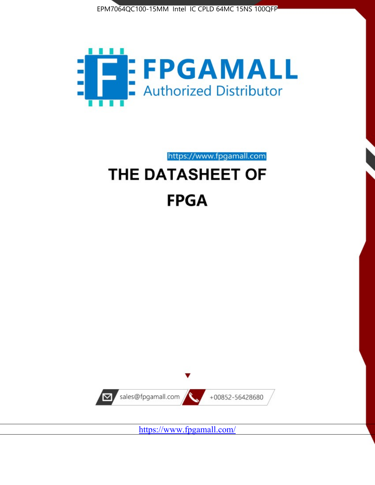



https://www.fpgamall.com

# THE DATASHEET OF **FPGA**



<https://www.fpgamall.com/>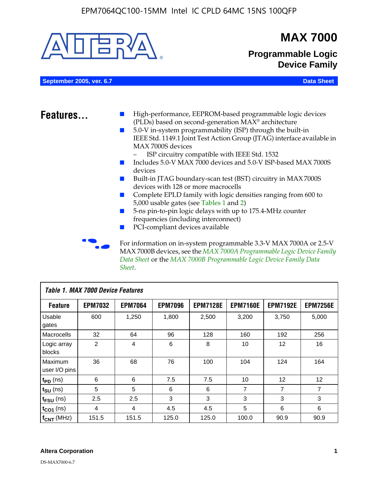

MAX 7000B devices, see the *MAX 7000A Programmable Logic Device Family Data Sheet* or the *MAX 7000B Programmable Logic Device Family Data Sheet*.

| <b>Table 1. MAX 7000 Device Features</b> |                |                |                |                 |                 |                 |                 |
|------------------------------------------|----------------|----------------|----------------|-----------------|-----------------|-----------------|-----------------|
| <b>Feature</b>                           | <b>EPM7032</b> | <b>EPM7064</b> | <b>EPM7096</b> | <b>EPM7128E</b> | <b>EPM7160E</b> | <b>EPM7192E</b> | <b>EPM7256E</b> |
| Usable<br>gates                          | 600            | 1,250          | 1,800          | 2,500           | 3.200           | 3,750           | 5,000           |
| Macrocells                               | 32             | 64             | 96             | 128             | 160             | 192             | 256             |
| Logic array<br>blocks                    | $\overline{2}$ | 4              | 6              | 8               | 10              | 12              | 16              |
| Maximum<br>user I/O pins                 | 36             | 68             | 76             | 100             | 104             | 124             | 164             |
| $t_{PD}$ (ns)                            | 6              | 6              | 7.5            | 7.5             | 10              | 12              | 12              |
| $t_{\text{SU}}$ (ns)                     | 5              | 5              | 6              | 6               | 7               | 7               | 7               |
| $t_{FSU}$ (ns)                           | 2.5            | 2.5            | 3              | 3               | 3               | 3               | 3               |
| $t_{CO1}$ (ns)                           | 4              | 4              | 4.5            | 4.5             | 5               | 6               | 6               |
| $f_{CNT}$ (MHz)                          | 151.5          | 151.5          | 125.0          | 125.0           | 100.0           | 90.9            | 90.9            |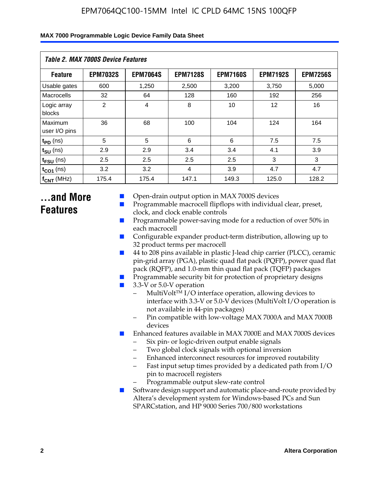|  | MAX 7000 Programmable Logic Device Family Data Sheet |  |  |  |
|--|------------------------------------------------------|--|--|--|
|--|------------------------------------------------------|--|--|--|

| <b>Table 2. MAX 7000S Device Features</b> |                 |                 |                 |                 |                   |                 |  |
|-------------------------------------------|-----------------|-----------------|-----------------|-----------------|-------------------|-----------------|--|
| <b>Feature</b>                            | <b>EPM7032S</b> | <b>EPM7064S</b> | <b>EPM7128S</b> | <b>EPM7160S</b> | <b>EPM7192S</b>   | <b>EPM7256S</b> |  |
| Usable gates                              | 600             | 1.250           | 2,500           | 3.200           | 3.750             | 5,000           |  |
| Macrocells                                | 32              | 64              | 128             | 160             | 192               | 256             |  |
| Logic array<br>blocks                     | 2               | $\overline{4}$  | 8               | 10              | $12 \overline{ }$ | 16              |  |
| Maximum<br>user I/O pins                  | 36              | 68              | 100             | 104             | 124               | 164             |  |
| $t_{PD}$ (ns)                             | 5               | 5               | 6               | 6               | 7.5               | 7.5             |  |
| $t_{SU}$ (ns)                             | 2.9             | 2.9             | 3.4             | 3.4             | 4.1               | 3.9             |  |
| $t_{\text{FSU}}$ (ns)                     | 2.5             | 2.5             | 2.5             | 2.5             | 3                 | 3               |  |
| $t_{CO1}$ (ns)                            | 3.2             | 3.2             | 4               | 3.9             | 4.7               | 4.7             |  |
| $f_{CNT}$ (MHz)                           | 175.4           | 175.4           | 147.1           | 149.3           | 125.0             | 128.2           |  |

# **...and More Features**

- Open-drain output option in MAX 7000S devices
- Programmable macrocell flipflops with individual clear, preset, clock, and clock enable controls
- Programmable power-saving mode for a reduction of over 50% in each macrocell
- Configurable expander product-term distribution, allowing up to 32 product terms per macrocell
- 44 to 208 pins available in plastic J-lead chip carrier (PLCC), ceramic pin-grid array (PGA), plastic quad flat pack (PQFP), power quad flat pack (RQFP), and 1.0-mm thin quad flat pack (TQFP) packages
- Programmable security bit for protection of proprietary designs
- 3.3-V or 5.0-V operation
	- MultiVolt<sup>TM</sup> I/O interface operation, allowing devices to interface with 3.3-V or 5.0-V devices (MultiVolt I/O operation is not available in 44-pin packages)
	- Pin compatible with low-voltage MAX 7000A and MAX 7000B devices
- Enhanced features available in MAX 7000E and MAX 7000S devices
	- Six pin- or logic-driven output enable signals
	- Two global clock signals with optional inversion
	- Enhanced interconnect resources for improved routability
	- Fast input setup times provided by a dedicated path from I/O pin to macrocell registers
	- Programmable output slew-rate control
- Software design support and automatic place-and-route provided by Altera's development system for Windows-based PCs and Sun SPARCstation, and HP 9000 Series 700/800 workstations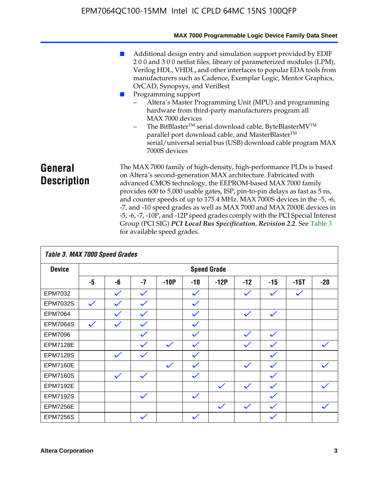|                               | MAX 7000 Programmable Logic Device Family Data Sheet                                                                                                                                                                                                                                                                                                                                                                                                                                                                                                                                                                                                                            |
|-------------------------------|---------------------------------------------------------------------------------------------------------------------------------------------------------------------------------------------------------------------------------------------------------------------------------------------------------------------------------------------------------------------------------------------------------------------------------------------------------------------------------------------------------------------------------------------------------------------------------------------------------------------------------------------------------------------------------|
|                               | Additional design entry and simulation support provided by EDIF<br>200 and 300 netlist files, library of parameterized modules (LPM),<br>Verilog HDL, VHDL, and other interfaces to popular EDA tools from<br>manufacturers such as Cadence, Exemplar Logic, Mentor Graphics,<br>OrCAD, Synopsys, and VeriBest<br>Programming support<br>Altera's Master Programming Unit (MPU) and programming<br>hardware from third-party manufacturers program all<br>MAX 7000 devices<br>The BitBlaster™ serial download cable, ByteBlasterMV™<br>$-$<br>parallel port download cable, and MasterBlaster™<br>serial/universal serial bus (USB) download cable program MAX<br>7000S devices |
| General<br><b>Description</b> | The MAX 7000 family of high-density, high-performance PLDs is based<br>on Altera's second-generation MAX architecture. Fabricated with<br>advanced CMOS technology, the EEPROM-based MAX 7000 family<br>provides 600 to 5,000 usable gates, ISP, pin-to-pin delays as fast as 5 ns,<br>and counter speeds of up to 175.4 MHz. MAX 7000S devices in the -5, -6,<br>-7, and -10 speed grades as well as MAX 7000 and MAX 7000E devices in<br>-5, -6, -7, -10P, and -12P speed grades comply with the PCI Special Interest<br>Group (PCI SIG) PCI Local Bus Specification, Revision 2.2. See Table 3                                                                               |

| Table 3. MAX 7000 Speed Grades |              |                    |              |              |              |              |              |              |              |              |
|--------------------------------|--------------|--------------------|--------------|--------------|--------------|--------------|--------------|--------------|--------------|--------------|
| <b>Device</b>                  |              | <b>Speed Grade</b> |              |              |              |              |              |              |              |              |
|                                | -5           | -6                 | $-7$         | $-10P$       | $-10$        | $-12P$       | $-12$        | $-15$        | $-15T$       | $-20$        |
| EPM7032                        |              | $\checkmark$       | $\checkmark$ |              | $\checkmark$ |              | $\checkmark$ | $\checkmark$ | $\checkmark$ |              |
| EPM7032S                       | $\checkmark$ | $\checkmark$       | $\checkmark$ |              | $\checkmark$ |              |              |              |              |              |
| <b>EPM7064</b>                 |              | $\checkmark$       | $\checkmark$ |              | $\checkmark$ |              | $\checkmark$ | $\checkmark$ |              |              |
| <b>EPM7064S</b>                | $\checkmark$ | $\checkmark$       | $\checkmark$ |              | $\checkmark$ |              |              |              |              |              |
| <b>EPM7096</b>                 |              |                    | $\checkmark$ |              | $\checkmark$ |              | $\checkmark$ | $\checkmark$ |              |              |
| <b>EPM7128E</b>                |              |                    | $\checkmark$ | $\checkmark$ | $\checkmark$ |              | $\checkmark$ | $\checkmark$ |              | $\checkmark$ |
| <b>EPM7128S</b>                |              | $\checkmark$       | $\checkmark$ |              | $\checkmark$ |              |              | $\checkmark$ |              |              |
| <b>EPM7160E</b>                |              |                    |              | $\checkmark$ | $\checkmark$ |              | $\checkmark$ | $\checkmark$ |              | $\checkmark$ |
| <b>EPM7160S</b>                |              | $\checkmark$       | $\checkmark$ |              | $\checkmark$ |              |              | $\checkmark$ |              |              |
| <b>EPM7192E</b>                |              |                    |              |              |              | $\checkmark$ | $\checkmark$ | $\checkmark$ |              |              |
| <b>EPM7192S</b>                |              |                    | $\checkmark$ |              | $\checkmark$ |              |              | $\checkmark$ |              |              |
| <b>EPM7256E</b>                |              |                    |              |              |              | $\checkmark$ | $\checkmark$ | $\checkmark$ |              | $\checkmark$ |
| <b>EPM7256S</b>                |              |                    | $\checkmark$ |              | $\checkmark$ |              |              | $\checkmark$ |              |              |

for available speed grades.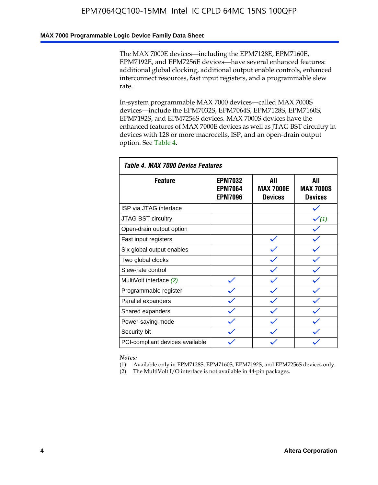### **MAX 7000 Programmable Logic Device Family Data Sheet**

The MAX 7000E devices—including the EPM7128E, EPM7160E, EPM7192E, and EPM7256E devices—have several enhanced features: additional global clocking, additional output enable controls, enhanced interconnect resources, fast input registers, and a programmable slew rate.

In-system programmable MAX 7000 devices—called MAX 7000S devices—include the EPM7032S, EPM7064S, EPM7128S, EPM7160S, EPM7192S, and EPM7256S devices. MAX 7000S devices have the enhanced features of MAX 7000E devices as well as JTAG BST circuitry in devices with 128 or more macrocells, ISP, and an open-drain output option. See Table 4.

| Table 4. MAX 7000 Device Features |                                                    |                                           |                                           |  |  |  |  |  |
|-----------------------------------|----------------------------------------------------|-------------------------------------------|-------------------------------------------|--|--|--|--|--|
| <b>Feature</b>                    | <b>EPM7032</b><br><b>EPM7064</b><br><b>EPM7096</b> | All<br><b>MAX 7000E</b><br><b>Devices</b> | All<br><b>MAX 7000S</b><br><b>Devices</b> |  |  |  |  |  |
| ISP via JTAG interface            |                                                    |                                           |                                           |  |  |  |  |  |
| JTAG BST circuitry                |                                                    |                                           | $\checkmark$ (1)                          |  |  |  |  |  |
| Open-drain output option          |                                                    |                                           |                                           |  |  |  |  |  |
| Fast input registers              |                                                    |                                           |                                           |  |  |  |  |  |
| Six global output enables         |                                                    |                                           |                                           |  |  |  |  |  |
| Two global clocks                 |                                                    |                                           |                                           |  |  |  |  |  |
| Slew-rate control                 |                                                    |                                           |                                           |  |  |  |  |  |
| MultiVolt interface (2)           |                                                    |                                           |                                           |  |  |  |  |  |
| Programmable register             |                                                    |                                           |                                           |  |  |  |  |  |
| Parallel expanders                |                                                    |                                           |                                           |  |  |  |  |  |
| Shared expanders                  |                                                    |                                           |                                           |  |  |  |  |  |
| Power-saving mode                 |                                                    |                                           |                                           |  |  |  |  |  |
| Security bit                      |                                                    |                                           |                                           |  |  |  |  |  |
| PCI-compliant devices available   |                                                    |                                           |                                           |  |  |  |  |  |

*Notes:*

(1) Available only in EPM7128S, EPM7160S, EPM7192S, and EPM7256S devices only.

(2) The MultiVolt I/O interface is not available in 44-pin packages.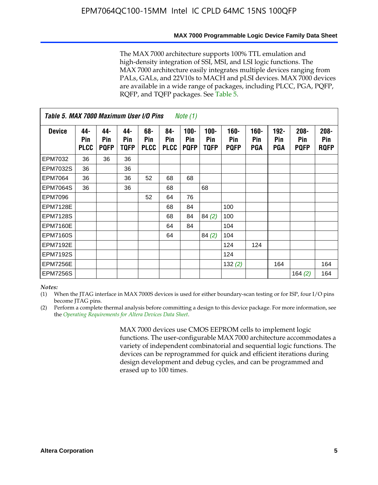The MAX 7000 architecture supports 100% TTL emulation and high-density integration of SSI, MSI, and LSI logic functions. The MAX 7000 architecture easily integrates multiple devices ranging from PALs, GALs, and 22V10s to MACH and pLSI devices. MAX 7000 devices are available in a wide range of packages, including PLCC, PGA, PQFP, RQFP, and TQFP packages. See Table 5.

|                 | Table 5. MAX 7000 Maximum User I/O Pins<br><i>Note</i> $(1)$ |                           |                           |                           |                           |                               |                        |                            |                       |                              |                               |                               |
|-----------------|--------------------------------------------------------------|---------------------------|---------------------------|---------------------------|---------------------------|-------------------------------|------------------------|----------------------------|-----------------------|------------------------------|-------------------------------|-------------------------------|
| <b>Device</b>   | 44-<br>Pin<br><b>PLCC</b>                                    | 44-<br>Pin<br><b>PQFP</b> | 44-<br>Pin<br><b>TQFP</b> | 68-<br>Pin<br><b>PLCC</b> | 84-<br>Pin<br><b>PLCC</b> | $100 -$<br>Pin<br><b>PQFP</b> | $100 -$<br>Pin<br>TQFP | 160-<br>Pin<br><b>PQFP</b> | $160 -$<br>Pin<br>PGA | $192 -$<br>Pin<br><b>PGA</b> | $208 -$<br>Pin<br><b>PQFP</b> | $208 -$<br>Pin<br><b>RQFP</b> |
| EPM7032         | 36                                                           | 36                        | 36                        |                           |                           |                               |                        |                            |                       |                              |                               |                               |
| <b>EPM7032S</b> | 36                                                           |                           | 36                        |                           |                           |                               |                        |                            |                       |                              |                               |                               |
| <b>EPM7064</b>  | 36                                                           |                           | 36                        | 52                        | 68                        | 68                            |                        |                            |                       |                              |                               |                               |
| <b>EPM7064S</b> | 36                                                           |                           | 36                        |                           | 68                        |                               | 68                     |                            |                       |                              |                               |                               |
| <b>EPM7096</b>  |                                                              |                           |                           | 52                        | 64                        | 76                            |                        |                            |                       |                              |                               |                               |
| <b>EPM7128E</b> |                                                              |                           |                           |                           | 68                        | 84                            |                        | 100                        |                       |                              |                               |                               |
| <b>EPM7128S</b> |                                                              |                           |                           |                           | 68                        | 84                            | 84(2)                  | 100                        |                       |                              |                               |                               |
| <b>EPM7160E</b> |                                                              |                           |                           |                           | 64                        | 84                            |                        | 104                        |                       |                              |                               |                               |
| EPM7160S        |                                                              |                           |                           |                           | 64                        |                               | 84(2)                  | 104                        |                       |                              |                               |                               |
| <b>EPM7192E</b> |                                                              |                           |                           |                           |                           |                               |                        | 124                        | 124                   |                              |                               |                               |
| <b>EPM7192S</b> |                                                              |                           |                           |                           |                           |                               |                        | 124                        |                       |                              |                               |                               |
| <b>EPM7256E</b> |                                                              |                           |                           |                           |                           |                               |                        | 132(2)                     |                       | 164                          |                               | 164                           |
| <b>EPM7256S</b> |                                                              |                           |                           |                           |                           |                               |                        |                            |                       |                              | 164 $(2)$                     | 164                           |

#### *Notes:*

(1) When the JTAG interface in MAX 7000S devices is used for either boundary-scan testing or for ISP, four I/O pins become JTAG pins.

(2) Perform a complete thermal analysis before committing a design to this device package. For more information, see the *Operating Requirements for Altera Devices Data Sheet*.

> MAX 7000 devices use CMOS EEPROM cells to implement logic functions. The user-configurable MAX 7000 architecture accommodates a variety of independent combinatorial and sequential logic functions. The devices can be reprogrammed for quick and efficient iterations during design development and debug cycles, and can be programmed and erased up to 100 times.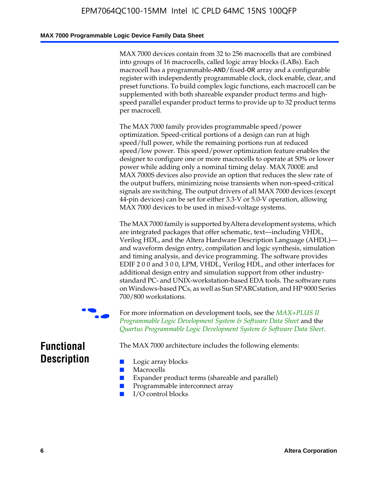### **MAX 7000 Programmable Logic Device Family Data Sheet**

MAX 7000 devices contain from 32 to 256 macrocells that are combined into groups of 16 macrocells, called logic array blocks (LABs). Each macrocell has a programmable-AND/fixed-OR array and a configurable register with independently programmable clock, clock enable, clear, and preset functions. To build complex logic functions, each macrocell can be supplemented with both shareable expander product terms and highspeed parallel expander product terms to provide up to 32 product terms per macrocell.

The MAX 7000 family provides programmable speed/power optimization. Speed-critical portions of a design can run at high speed/full power, while the remaining portions run at reduced speed/low power. This speed/power optimization feature enables the designer to configure one or more macrocells to operate at 50% or lower power while adding only a nominal timing delay. MAX 7000E and MAX 7000S devices also provide an option that reduces the slew rate of the output buffers, minimizing noise transients when non-speed-critical signals are switching. The output drivers of all MAX 7000 devices (except 44-pin devices) can be set for either 3.3-V or 5.0-V operation, allowing MAX 7000 devices to be used in mixed-voltage systems.

The MAX 7000 family is supported byAltera development systems, which are integrated packages that offer schematic, text—including VHDL, Verilog HDL, and the Altera Hardware Description Language (AHDL) and waveform design entry, compilation and logic synthesis, simulation and timing analysis, and device programming. The [software provides](http://www.altera.com/literature/ds/dsmii.pdf)  [EDIF 2 0 0 and 3 0 0, LPM, VHDL, Verilog HDL, and other in](http://www.altera.com/literature/ds/dsmii.pdf)terfaces for [additional design entry and simulation support from other industry](http://www.altera.com/literature/ds/quartus.pdf)standard PC- and UNIX-workstation-based EDA tools. The software runs on Windows-based PCs, as well as Sun SPARCstation, and HP 9000 Series 700/800 workstations.

For more information on development tools, see the **MAX+PLUS II** *Programmable Logic Development System & Software Data Sheet* and the *Quartus Programmable Logic Development System & Software Data Sheet*.

The MAX 7000 architecture includes the following elements:

# **Functional Description**

- Logic array blocks
- **Macrocells**
- Expander product terms (shareable and parallel)
- Programmable interconnect array
- I/O control blocks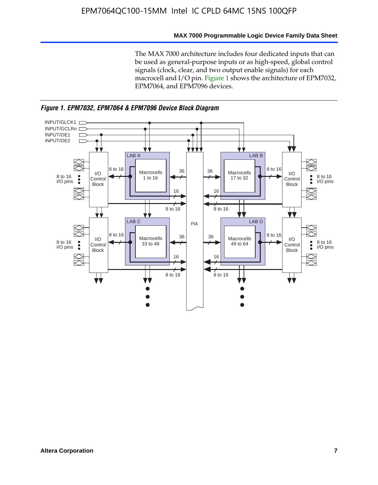### **MAX 7000 Programmable Logic Device Family Data Sheet**

The MAX 7000 architecture includes four dedicated inputs that can be used as general-purpose inputs or as high-speed, global control signals (clock, clear, and two output enable signals) for each macrocell and I/O pin. Figure 1 shows the architecture of EPM7032, EPM7064, and EPM7096 devices.



*Figure 1. EPM7032, EPM7064 & EPM7096 Device Block Diagram*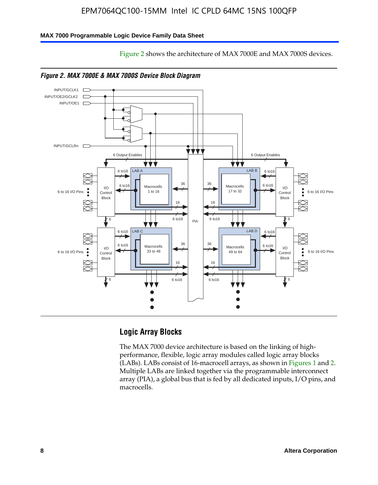Figure 2 shows the architecture of MAX 7000E and MAX 7000S devices.

### **MAX 7000 Programmable Logic Device Family Data Sheet**



### **Logic Array Blocks**

The MAX 7000 device architecture is based on the linking of highperformance, flexible, logic array modules called logic array blocks (LABs). LABs consist of 16-macrocell arrays, as shown in Figures 1 and 2. Multiple LABs are linked together via the programmable interconnect array (PIA), a global bus that is fed by all dedicated inputs, I/O pins, and macrocells.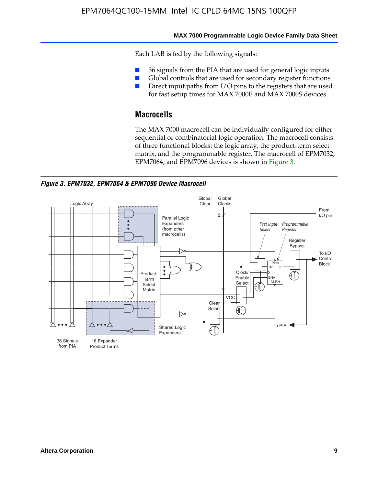#### **MAX 7000 Programmable Logic Device Family Data Sheet**

Each LAB is fed by the following signals:

- 36 signals from the PIA that are used for general logic inputs
- Global controls that are used for secondary register functions
- Direct input paths from I/O pins to the registers that are used for fast setup times for MAX 7000E and MAX 7000S devices

# **Macrocells**

The MAX 7000 macrocell can be individually configured for either sequential or combinatorial logic operation. The macrocell consists of three functional blocks: the logic array, the product-term select matrix, and the programmable register. The macrocell of EPM7032, EPM7064, and EPM7096 devices is shown in Figure 3.

*Figure 3. EPM7032, EPM7064 & EPM7096 Device Macrocell*

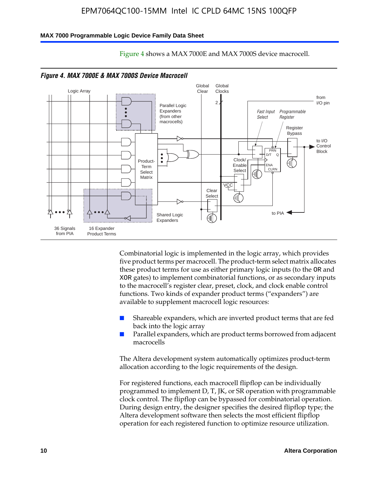#### **MAX 7000 Programmable Logic Device Family Data Sheet**



Figure 4 shows a MAX 7000E and MAX 7000S device macrocell.

Combinatorial logic is implemented in the logic array, which provides five product terms per macrocell. The product-term select matrix allocates these product terms for use as either primary logic inputs (to the OR and XOR gates) to implement combinatorial functions, or as secondary inputs to the macrocell's register clear, preset, clock, and clock enable control functions. Two kinds of expander product terms ("expanders") are available to supplement macrocell logic resources:

- Shareable expanders, which are inverted product terms that are fed back into the logic array
- Parallel expanders, which are product terms borrowed from adjacent macrocells

The Altera development system automatically optimizes product-term allocation according to the logic requirements of the design.

For registered functions, each macrocell flipflop can be individually programmed to implement D, T, JK, or SR operation with programmable clock control. The flipflop can be bypassed for combinatorial operation. During design entry, the designer specifies the desired flipflop type; the Altera development software then selects the most efficient flipflop operation for each registered function to optimize resource utilization.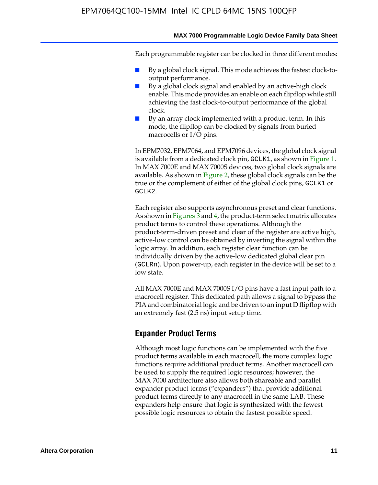Each programmable register can be clocked in three different modes:

- By a global clock signal. This mode achieves the fastest clock-tooutput performance.
- By a global clock signal and enabled by an active-high clock enable. This mode provides an enable on each flipflop while still achieving the fast clock-to-output performance of the global clock.
- By an array clock implemented with a product term. In this mode, the flipflop can be clocked by signals from buried macrocells or I/O pins.

In EPM7032, EPM7064, and EPM7096 devices, the global clock signal is available from a dedicated clock pin, GCLK1, as shown in Figure 1. In MAX 7000E and MAX 7000S devices, two global clock signals are available. As shown in Figure 2, these global clock signals can be the true or the complement of either of the global clock pins, GCLK1 or GCLK2.

Each register also supports asynchronous preset and clear functions. As shown in Figures 3 and 4, the product-term select matrix allocates product terms to control these operations. Although the product-term-driven preset and clear of the register are active high, active-low control can be obtained by inverting the signal within the logic array. In addition, each register clear function can be individually driven by the active-low dedicated global clear pin (GCLRn). Upon power-up, each register in the device will be set to a low state.

All MAX 7000E and MAX 7000S I/O pins have a fast input path to a macrocell register. This dedicated path allows a signal to bypass the PIA and combinatorial logic and be driven to an input D flipflop with an extremely fast (2.5 ns) input setup time.

### **Expander Product Terms**

Although most logic functions can be implemented with the five product terms available in each macrocell, the more complex logic functions require additional product terms. Another macrocell can be used to supply the required logic resources; however, the MAX 7000 architecture also allows both shareable and parallel expander product terms ("expanders") that provide additional product terms directly to any macrocell in the same LAB. These expanders help ensure that logic is synthesized with the fewest possible logic resources to obtain the fastest possible speed.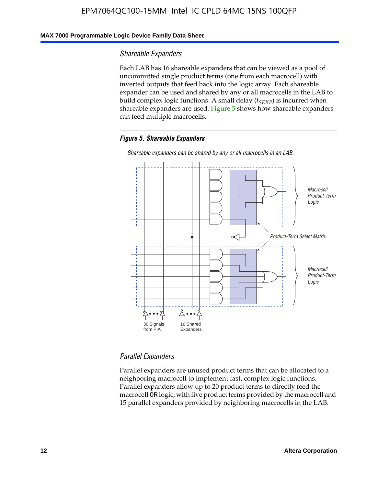### **MAX 7000 Programmable Logic Device Family Data Sheet**

### *Shareable Expanders*

Each LAB has 16 shareable expanders that can be viewed as a pool of uncommitted single product terms (one from each macrocell) with inverted outputs that feed back into the logic array. Each shareable expander can be used and shared by any or all macrocells in the LAB to build complex logic functions. A small delay ( $t_{SEXP}$ ) is incurred when shareable expanders are used. Figure 5 shows how shareable expanders can feed multiple macrocells.

### *Figure 5. Shareable Expanders*



*Shareable expanders can be shared by any or all macrocells in an LAB.*

### *Parallel Expanders*

Parallel expanders are unused product terms that can be allocated to a neighboring macrocell to implement fast, complex logic functions. Parallel expanders allow up to 20 product terms to directly feed the macrocell OR logic, with five product terms provided by the macrocell and 15 parallel expanders provided by neighboring macrocells in the LAB.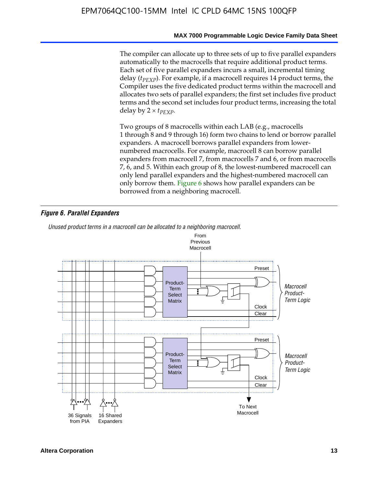The compiler can allocate up to three sets of up to five parallel expanders automatically to the macrocells that require additional product terms. Each set of five parallel expanders incurs a small, incremental timing delay (*t<sub>PEXP</sub>*). For example, if a macrocell requires 14 product terms, the Compiler uses the five dedicated product terms within the macrocell and allocates two sets of parallel expanders; the first set includes five product terms and the second set includes four product terms, increasing the total delay by  $2 \times t_{PFXP}$ .

Two groups of 8 macrocells within each LAB (e.g., macrocells 1 through 8 and 9 through 16) form two chains to lend or borrow parallel expanders. A macrocell borrows parallel expanders from lowernumbered macrocells. For example, macrocell 8 can borrow parallel expanders from macrocell 7, from macrocells 7 and 6, or from macrocells 7, 6, and 5. Within each group of 8, the lowest-numbered macrocell can only lend parallel expanders and the highest-numbered macrocell can only borrow them. Figure 6 shows how parallel expanders can be borrowed from a neighboring macrocell.

### *Figure 6. Parallel Expanders*

*Unused product terms in a macrocell can be allocated to a neighboring macrocell.*

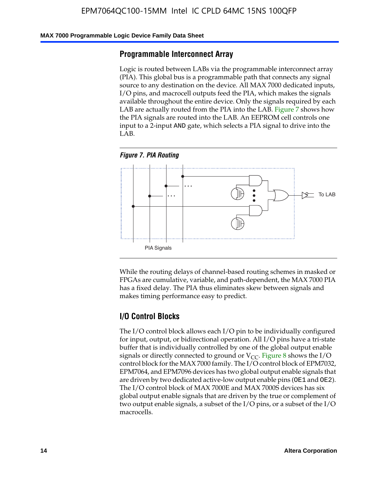### **MAX 7000 Programmable Logic Device Family Data Sheet**

### **Programmable Interconnect Array**

Logic is routed between LABs via the programmable interconnect array (PIA). This global bus is a programmable path that connects any signal source to any destination on the device. All MAX 7000 dedicated inputs, I/O pins, and macrocell outputs feed the PIA, which makes the signals available throughout the entire device. Only the signals required by each LAB are actually routed from the PIA into the LAB. Figure 7 shows how the PIA signals are routed into the LAB. An EEPROM cell controls one input to a 2-input AND gate, which selects a PIA signal to drive into the LAB.





While the routing delays of channel-based routing schemes in masked or FPGAs are cumulative, variable, and path-dependent, the MAX 7000 PIA has a fixed delay. The PIA thus eliminates skew between signals and makes timing performance easy to predict.

### **I/O Control Blocks**

The I/O control block allows each I/O pin to be individually configured for input, output, or bidirectional operation. All I/O pins have a tri-state buffer that is individually controlled by one of the global output enable signals or directly connected to ground or  $V_{CC}$ . Figure 8 shows the I/O control block for the MAX 7000 family. The I/O control block of EPM7032, EPM7064, and EPM7096 devices has two global output enable signals that are driven by two dedicated active-low output enable pins (OE1 and OE2). The I/O control block of MAX 7000E and MAX 7000S devices has six global output enable signals that are driven by the true or complement of two output enable signals, a subset of the I/O pins, or a subset of the I/O macrocells.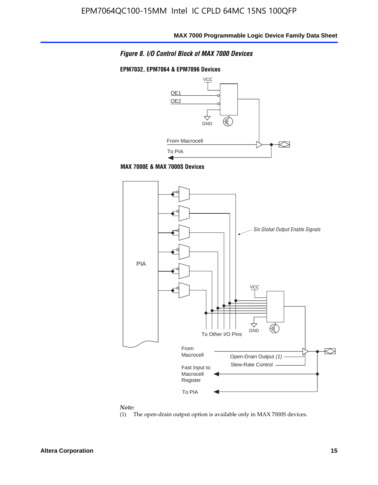

### **EPM7032, EPM7064 & EPM7096 Devices**







#### *Note:*

(1) The open-drain output option is available only in MAX 7000S devices.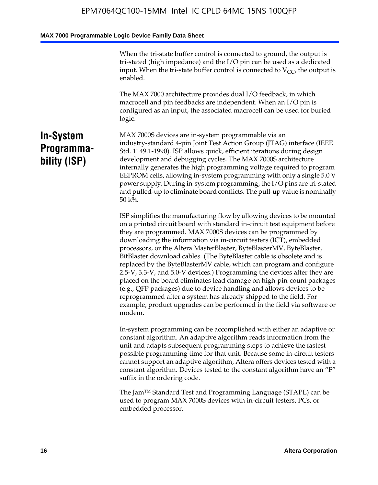When the tri-state buffer control is connected to ground, the output is tri-stated (high impedance) and the I/O pin can be used as a dedicated input. When the tri-state buffer control is connected to  $V_{CC}$ , the output is enabled.

The MAX 7000 architecture provides dual I/O feedback, in which macrocell and pin feedbacks are independent. When an I/O pin is configured as an input, the associated macrocell can be used for buried logic.

# **In-System Programmability (ISP)**

MAX 7000S devices are in-system programmable via an industry-standard 4-pin Joint Test Action Group (JTAG) interface (IEEE Std. 1149.1-1990). ISP allows quick, efficient iterations during design development and debugging cycles. The MAX 7000S architecture internally generates the high programming voltage required to program EEPROM cells, allowing in-system programming with only a single 5.0 V power supply. During in-system programming, the I/O pins are tri-stated and pulled-up to eliminate board conflicts. The pull-up value is nominally 50 k¾.

ISP simplifies the manufacturing flow by allowing devices to be mounted on a printed circuit board with standard in-circuit test equipment before they are programmed. MAX 7000S devices can be programmed by downloading the information via in-circuit testers (ICT), embedded processors, or the Altera MasterBlaster, ByteBlasterMV, ByteBlaster, BitBlaster download cables. (The ByteBlaster cable is obsolete and is replaced by the ByteBlasterMV cable, which can program and configure 2.5-V, 3.3-V, and 5.0-V devices.) Programming the devices after they are placed on the board eliminates lead damage on high-pin-count packages (e.g., QFP packages) due to device handling and allows devices to be reprogrammed after a system has already shipped to the field. For example, product upgrades can be performed in the field via software or modem.

In-system programming can be accomplished with either an adaptive or constant algorithm. An adaptive algorithm reads information from the unit and adapts subsequent programming steps to achieve the fastest possible programming time for that unit. Because some in-circuit testers cannot support an adaptive algorithm, Altera offers devices tested with a constant algorithm. Devices tested to the constant algorithm have an "F" suffix in the ordering code.

The Jam™ Standard Test and Programming Language (STAPL) can be used to program MAX 7000S devices with in-circuit testers, PCs, or embedded processor.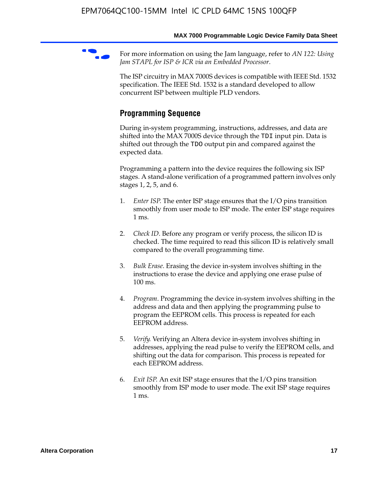For more information on using the Jam language, refer to *AN* 122: Using *Jam STAPL for ISP & ICR via an Embedded Processor*.

The ISP circuitry in MAX 7000S devices is compatible with IEEE Std. 1532 specification. The IEEE Std. 1532 is a standard developed to allow concurrent ISP between multiple PLD vendors.

# **Programming Sequence**

During in-system programming, instructions, addresses, and data are shifted into the MAX 7000S device through the TDI input pin. Data is shifted out through the TDO output pin and compared against the expected data.

Programming a pattern into the device requires the following six ISP stages. A stand-alone verification of a programmed pattern involves only stages 1, 2, 5, and 6.

- 1. *Enter ISP*. The enter ISP stage ensures that the I/O pins transition smoothly from user mode to ISP mode. The enter ISP stage requires 1 ms.
- 2. *Check ID*. Before any program or verify process, the silicon ID is checked. The time required to read this silicon ID is relatively small compared to the overall programming time.
- 3. *Bulk Erase*. Erasing the device in-system involves shifting in the instructions to erase the device and applying one erase pulse of 100 ms.
- 4. *Program*. Programming the device in-system involves shifting in the address and data and then applying the programming pulse to program the EEPROM cells. This process is repeated for each EEPROM address.
- 5. *Verify*. Verifying an Altera device in-system involves shifting in addresses, applying the read pulse to verify the EEPROM cells, and shifting out the data for comparison. This process is repeated for each EEPROM address.
- 6. *Exit ISP*. An exit ISP stage ensures that the I/O pins transition smoothly from ISP mode to user mode. The exit ISP stage requires 1 ms.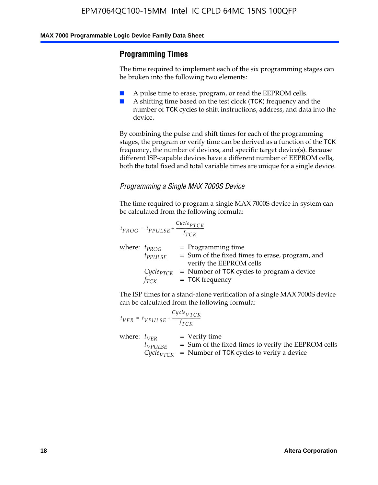## **Programming Times**

The time required to implement each of the six programming stages can be broken into the following two elements:

- A pulse time to erase, program, or read the EEPROM cells.
- A shifting time based on the test clock (TCK) frequency and the number of TCK cycles to shift instructions, address, and data into the device.

By combining the pulse and shift times for each of the programming stages, the program or verify time can be derived as a function of the TCK frequency, the number of devices, and specific target device(s). Because different ISP-capable devices have a different number of EEPROM cells, both the total fixed and total variable times are unique for a single device.

### *Programming a Single MAX 7000S Device*

The time required to program a single MAX 7000S device in-system can be calculated from the following formula:

$$
t_{PROG} = t_{PPULSE} + \frac{C_{ycle_{PTCK}}}{f_{TCK}}
$$
  
where:  $t_{PROG}$  = Programming time  
 $t_{PPULSE}$  = Sum of the fixed times to erase, program, and  
verify the EEPROM cells  
 $C_{ycle_{PTCK}}$  = Number of TCK cycles to program a device  
 $f_{TCK}$  = TCK frequency

The ISP times for a stand-alone verification of a single MAX 7000S device can be calculated from the following formula:

|                  | $t_{VER} = t_{VPULSE} + \frac{Cycle_{VTCK}}{f_{TCK}}$ |                                                                                                                                 |
|------------------|-------------------------------------------------------|---------------------------------------------------------------------------------------------------------------------------------|
| where: $t_{VFR}$ | $t_{VPULSE}$                                          | = Verify time<br>$=$ Sum of the fixed times to verify the EEPROM cells<br>$CycleVTCK$ = Number of TCK cycles to verify a device |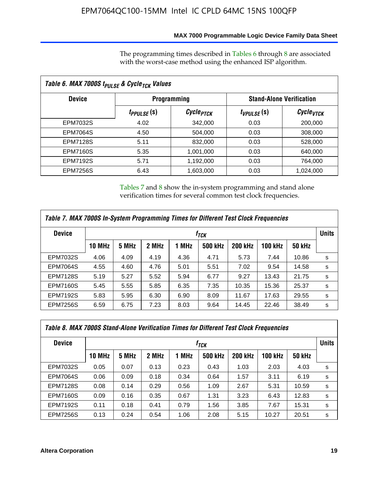### **MAX 7000 Programmable Logic Device Family Data Sheet**

The programming times described in Tables 6 through 8 are associated with the worst-case method using the enhanced ISP algorithm.

| Table 6. MAX 7000S t <sub>PULSE</sub> & Cycle <sub>TCK</sub> Values |                         |                       |                                 |                             |  |  |  |  |
|---------------------------------------------------------------------|-------------------------|-----------------------|---------------------------------|-----------------------------|--|--|--|--|
| <b>Device</b>                                                       |                         | <b>Programming</b>    | <b>Stand-Alone Verification</b> |                             |  |  |  |  |
|                                                                     | t <sub>PPULSE</sub> (S) | Cycle <sub>PTCK</sub> | $t_{VPULSE}(s)$                 | $\mathcal C$ ycle $_{VTCK}$ |  |  |  |  |
| EPM7032S                                                            | 4.02                    | 342,000               | 0.03                            | 200,000                     |  |  |  |  |
| <b>EPM7064S</b>                                                     | 4.50                    | 504,000               | 0.03                            | 308,000                     |  |  |  |  |
| <b>EPM7128S</b>                                                     | 5.11                    | 832,000               | 0.03                            | 528,000                     |  |  |  |  |
| <b>EPM7160S</b>                                                     | 5.35                    | 1,001,000             | 0.03                            | 640,000                     |  |  |  |  |
| <b>EPM7192S</b>                                                     | 5.71                    | 1,192,000             | 0.03                            | 764,000                     |  |  |  |  |
| <b>EPM7256S</b>                                                     | 6.43                    | 1,603,000             | 0.03                            | 1,024,000                   |  |  |  |  |

Tables 7 and 8 show the in-system programming and stand alone verification times for several common test clock frequencies.

| Table 7. MAX 7000S In-System Programming Times for Different Test Clock Frequencies |               |                    |       |       |                |                |                |               |   |
|-------------------------------------------------------------------------------------|---------------|--------------------|-------|-------|----------------|----------------|----------------|---------------|---|
| <b>Device</b>                                                                       |               | $t_{\textit{TCK}}$ |       |       |                |                |                |               |   |
|                                                                                     | <b>10 MHz</b> | 5 MHz              | 2 MHz | 1 MHz | <b>500 kHz</b> | <b>200 kHz</b> | <b>100 kHz</b> | <b>50 kHz</b> |   |
| <b>EPM7032S</b>                                                                     | 4.06          | 4.09               | 4.19  | 4.36  | 4.71           | 5.73           | 7.44           | 10.86         | s |
| <b>EPM7064S</b>                                                                     | 4.55          | 4.60               | 4.76  | 5.01  | 5.51           | 7.02           | 9.54           | 14.58         | s |
| <b>EPM7128S</b>                                                                     | 5.19          | 5.27               | 5.52  | 5.94  | 6.77           | 9.27           | 13.43          | 21.75         | s |
| <b>EPM7160S</b>                                                                     | 5.45          | 5.55               | 5.85  | 6.35  | 7.35           | 10.35          | 15.36          | 25.37         | s |
| <b>EPM7192S</b>                                                                     | 5.83          | 5.95               | 6.30  | 6.90  | 8.09           | 11.67          | 17.63          | 29.55         | s |
| <b>EPM7256S</b>                                                                     | 6.59          | 6.75               | 7.23  | 8.03  | 9.64           | 14.45          | 22.46          | 38.49         | s |

|                 | Table 8. MAX 7000S Stand-Alone Verification Times for Different Test Clock Frequencies |                  |       |       |                |                |                |               |              |
|-----------------|----------------------------------------------------------------------------------------|------------------|-------|-------|----------------|----------------|----------------|---------------|--------------|
| <b>Device</b>   |                                                                                        | f <sub>тск</sub> |       |       |                |                |                |               | <b>Units</b> |
|                 | <b>10 MHz</b>                                                                          | 5 MHz            | 2 MHz | 1 MHz | <b>500 kHz</b> | <b>200 kHz</b> | <b>100 kHz</b> | <b>50 kHz</b> |              |
| EPM7032S        | 0.05                                                                                   | 0.07             | 0.13  | 0.23  | 0.43           | 1.03           | 2.03           | 4.03          | s            |
| <b>EPM7064S</b> | 0.06                                                                                   | 0.09             | 0.18  | 0.34  | 0.64           | 1.57           | 3.11           | 6.19          | s            |
| <b>EPM7128S</b> | 0.08                                                                                   | 0.14             | 0.29  | 0.56  | 1.09           | 2.67           | 5.31           | 10.59         | s            |
| <b>EPM7160S</b> | 0.09                                                                                   | 0.16             | 0.35  | 0.67  | 1.31           | 3.23           | 6.43           | 12.83         | s            |
| <b>EPM7192S</b> | 0.11                                                                                   | 0.18             | 0.41  | 0.79  | 1.56           | 3.85           | 7.67           | 15.31         | s            |
| <b>EPM7256S</b> | 0.13                                                                                   | 0.24             | 0.54  | 1.06  | 2.08           | 5.15           | 10.27          | 20.51         | s            |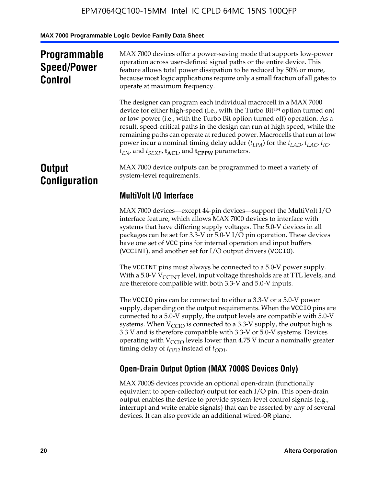# **Programmable Speed/Power Control**

MAX 7000 devices offer a power-saving mode that supports low-power operation across user-defined signal paths or the entire device. This feature allows total power dissipation to be reduced by 50% or more, because most logic applications require only a small fraction of all gates to operate at maximum frequency.

The designer can program each individual macrocell in a MAX 7000 device for either high-speed (i.e., with the Turbo  $Bit^{TM}$  option turned on) or low-power (i.e., with the Turbo Bit option turned off) operation. As a result, speed-critical paths in the design can run at high speed, while the remaining paths can operate at reduced power. Macrocells that run at low power incur a nominal timing delay adder  $(t_{LPA})$  for the  $t_{LAD}$ ,  $t_{LAC}$ ,  $t_{IC}$ ,  $t_{EN}$ , and  $t_{SEXP}$ ,  $t_{ACL}$ , and  $t_{CPPW}$  parameters.

# **Output Configuration**

MAX 7000 device outputs can be programmed to meet a variety of system-level requirements.

# **MultiVolt I/O Interface**

MAX 7000 devices—except 44-pin devices—support the MultiVolt I/O interface feature, which allows MAX 7000 devices to interface with systems that have differing supply voltages. The 5.0-V devices in all packages can be set for 3.3-V or 5.0-V I/O pin operation. These devices have one set of VCC pins for internal operation and input buffers (VCCINT), and another set for I/O output drivers (VCCIO).

The VCCINT pins must always be connected to a 5.0-V power supply. With a 5.0-V  $V_{\text{CCINT}}$  level, input voltage thresholds are at TTL levels, and are therefore compatible with both 3.3-V and 5.0-V inputs.

The VCCIO pins can be connected to either a 3.3-V or a 5.0-V power supply, depending on the output requirements. When the VCCIO pins are connected to a 5.0-V supply, the output levels are compatible with 5.0-V systems. When  $V_{\text{CGO}}$  is connected to a 3.3-V supply, the output high is 3.3 V and is therefore compatible with 3.3-V or 5.0-V systems. Devices operating with  $V_{\text{CCIO}}$  levels lower than 4.75 V incur a nominally greater timing delay of  $t_{OD2}$  instead of  $t_{OD1}$ .

# **Open-Drain Output Option (MAX 7000S Devices Only)**

MAX 7000S devices provide an optional open-drain (functionally equivalent to open-collector) output for each I/O pin. This open-drain output enables the device to provide system-level control signals (e.g., interrupt and write enable signals) that can be asserted by any of several devices. It can also provide an additional wired-OR plane.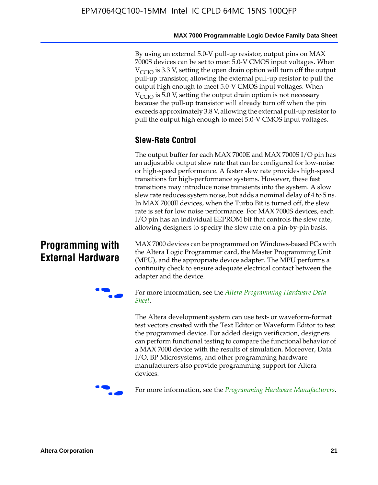By using an external 5.0-V pull-up resistor, output pins on MAX 7000S devices can be set to meet 5.0-V CMOS input voltages. When  $V_{\text{CCIO}}$  is 3.3 V, setting the open drain option will turn off the output pull-up transistor, allowing the external pull-up resistor to pull the output high enough to meet 5.0-V CMOS input voltages. When  $V_{\text{CCIO}}$  is 5.0 V, setting the output drain option is not necessary because the pull-up transistor will already turn off when the pin exceeds approximately 3.8 V, allowing the external pull-up resistor to pull the output high enough to meet 5.0-V CMOS input voltages.

# **Slew-Rate Control**

The output buffer for each MAX 7000E and MAX 7000S I/O pin has an adjustable output slew rate that can be configured for low-noise or high-speed performance. A faster slew rate provides high-speed transitions for high-performance systems. However, these fast transitions may introduce noise transients into the system. A slow slew rate reduces system noise, but adds a nominal delay of 4 to 5 ns. In MAX 7000E devices, when the Turbo Bit is turned off, the slew rate is set for low noise performance. For MAX 7000S devices, each I/O pin has an individual EEPROM bit that controls the slew rate, allowing designers to specify the slew rate on a pin-by-pin basis.

# **Programming with External Hardware**

[MAX](http://www.altera.com/literature/ds/dspghd.pdf) 7000 devices can be prog[rammed on Windows-based PCs with](http://www.altera.com/literature/ds/dspghd.pdf)  the Altera Logic Programmer card, the Master Programming Unit (MPU), and the appropriate device adapter. The MPU performs a continuity check to ensure adequate electrical contact between the adapter and the device.



For more information, see the *Altera Programming Hardware Data Sheet*.

The Altera development system can use text- or waveform-format test vectors created with the Text Editor or Waveform Editor to test the programmed device. For added design verification, designers can perform functional testing to compare the functional behavior of a MAX 7000 device with the results of simulation. Moreover, Data I/O, BP Microsystems, and other programming hardware manufacturers also provide programming support for Altera devices.



For more information, see the *Programming Hardware Manufacturers*.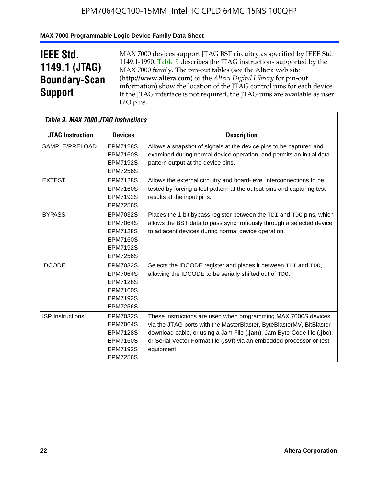### **MAX 7000 Programmable Logic Device Family Data Sheet**

# **IEEE Std. 1149.1 (JTAG) Boundary-Scan Support**

 $\mathsf{r}$ 

MAX 7000 devices support JTAG BST circuitry as specified by IEEE Std. 1149.1-1990. Table 9 describes the JTAG instructions supported by the MAX 7000 family. The pin-out tables (see the Altera web site (**http://www.altera.com**) or the *Altera Digital Library* for pin-out information) show the location of the JTAG control pins for each device. If the JTAG interface is not required, the JTAG pins are available as user I/O pins.

|                         | Table 9. MAX 7000 JTAG Instructions                                                                            |                                                                                                                                                                                                                                                                                                         |  |  |  |  |  |  |
|-------------------------|----------------------------------------------------------------------------------------------------------------|---------------------------------------------------------------------------------------------------------------------------------------------------------------------------------------------------------------------------------------------------------------------------------------------------------|--|--|--|--|--|--|
| <b>JTAG Instruction</b> | <b>Devices</b>                                                                                                 | <b>Description</b>                                                                                                                                                                                                                                                                                      |  |  |  |  |  |  |
| SAMPLE/PRELOAD          | <b>EPM7128S</b><br><b>EPM7160S</b><br><b>EPM7192S</b>                                                          | Allows a snapshot of signals at the device pins to be captured and<br>examined during normal device operation, and permits an initial data<br>pattern output at the device pins.                                                                                                                        |  |  |  |  |  |  |
|                         | <b>EPM7256S</b>                                                                                                |                                                                                                                                                                                                                                                                                                         |  |  |  |  |  |  |
| <b>EXTEST</b>           | <b>EPM7128S</b><br><b>EPM7160S</b><br><b>EPM7192S</b><br><b>EPM7256S</b>                                       | Allows the external circuitry and board-level interconnections to be<br>tested by forcing a test pattern at the output pins and capturing test<br>results at the input pins.                                                                                                                            |  |  |  |  |  |  |
| <b>BYPASS</b>           | EPM7032S<br><b>EPM7064S</b><br><b>EPM7128S</b><br><b>EPM7160S</b><br><b>EPM7192S</b><br><b>EPM7256S</b>        | Places the 1-bit bypass register between the TDI and TDO pins, which<br>allows the BST data to pass synchronously through a selected device<br>to adjacent devices during normal device operation.                                                                                                      |  |  |  |  |  |  |
| <b>IDCODE</b>           | EPM7032S<br><b>EPM7064S</b><br><b>EPM7128S</b><br><b>EPM7160S</b><br><b>EPM7192S</b><br><b>EPM7256S</b>        | Selects the IDCODE register and places it between TDI and TDO,<br>allowing the IDCODE to be serially shifted out of TDO.                                                                                                                                                                                |  |  |  |  |  |  |
| <b>ISP Instructions</b> | <b>EPM7032S</b><br><b>EPM7064S</b><br><b>EPM7128S</b><br><b>EPM7160S</b><br><b>EPM7192S</b><br><b>EPM7256S</b> | These instructions are used when programming MAX 7000S devices<br>via the JTAG ports with the MasterBlaster, ByteBlasterMV, BitBlaster<br>download cable, or using a Jam File (.jam), Jam Byte-Code file (.jbc),<br>or Serial Vector Format file (.svf) via an embedded processor or test<br>equipment. |  |  |  |  |  |  |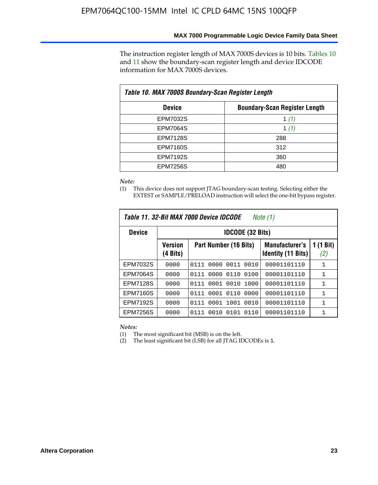The instruction register length of MAX 7000S devices is 10 bits. Tables 10 and 11 show the boundary-scan register length and device IDCODE information for MAX 7000S devices.

| Table 10. MAX 7000S Boundary-Scan Register Length     |         |  |  |  |  |  |
|-------------------------------------------------------|---------|--|--|--|--|--|
| <b>Boundary-Scan Register Length</b><br><b>Device</b> |         |  |  |  |  |  |
| <b>EPM7032S</b>                                       | 1 $(1)$ |  |  |  |  |  |
| <b>EPM7064S</b>                                       | 1 $(1)$ |  |  |  |  |  |
| <b>EPM7128S</b>                                       | 288     |  |  |  |  |  |
| <b>EPM7160S</b>                                       | 312     |  |  |  |  |  |
| <b>EPM7192S</b>                                       | 360     |  |  |  |  |  |
| <b>EPM7256S</b>                                       | 480     |  |  |  |  |  |

*Note:*

(1) This device does not support JTAG boundary-scan testing. Selecting either the EXTEST or SAMPLE/PRELOAD instruction will select the one-bit bypass register.

| Table 11, 32-Bit MAX 7000 Device IDCODE<br>Note (1) |                            |                              |                                                    |                  |  |  |  |  |  |
|-----------------------------------------------------|----------------------------|------------------------------|----------------------------------------------------|------------------|--|--|--|--|--|
| <b>Device</b>                                       |                            | <b>IDCODE (32 Bits)</b>      |                                                    |                  |  |  |  |  |  |
|                                                     | <b>Version</b><br>(4 Bits) | Part Number (16 Bits)        | <b>Manufacturer's</b><br><b>Identity (11 Bits)</b> | 1 (1 Bit)<br>(2) |  |  |  |  |  |
| EPM7032S                                            | 0000                       | 0111<br>0011<br>0010<br>0000 | 00001101110                                        | 1                |  |  |  |  |  |
| EPM7064S                                            | 0000                       | 0110<br>0000<br>0100<br>0111 | 00001101110                                        | 1                |  |  |  |  |  |
| <b>EPM7128S</b>                                     | 0000                       | 0001 0010 1000<br>0111       | 00001101110                                        | 1                |  |  |  |  |  |
| <b>EPM7160S</b>                                     | 0000                       | 0001<br>0110<br>0000<br>0111 | 00001101110                                        | $\mathbf{1}$     |  |  |  |  |  |
| <b>EPM7192S</b>                                     | 0000                       | 0111<br>0001 1001<br>0010    | 00001101110                                        | 1                |  |  |  |  |  |
| <b>EPM7256S</b>                                     | 0000                       | 0111<br>0010<br>0101<br>0110 | 00001101110                                        | 1                |  |  |  |  |  |

*Notes:*

(1) The most significant bit (MSB) is on the left.

(2) The least significant bit (LSB) for all JTAG IDCODEs is 1.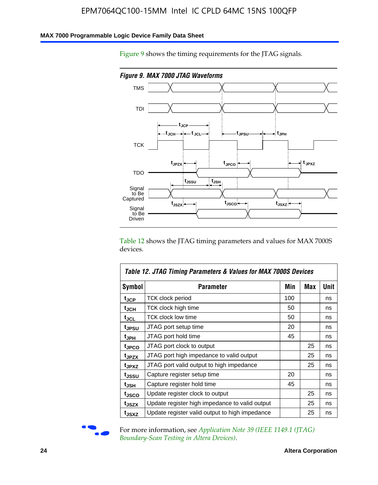### **MAX 7000 Programmable Logic Device Family Data Sheet**

Figure 9 shows the timing requirements for the JTAG signals.



Table 12 shows the JTAG timing parameters and values for MAX 7000S devices.

|                   | Table 12. JTAG Timing Parameters & Values for MAX 7000S Devices                                                         |     |     |             |  |  |  |  |
|-------------------|-------------------------------------------------------------------------------------------------------------------------|-----|-----|-------------|--|--|--|--|
| <b>Symbol</b>     | Parameter                                                                                                               | Min | Max | <b>Unit</b> |  |  |  |  |
| t <sub>JCP</sub>  | TCK clock period                                                                                                        | 100 |     | ns          |  |  |  |  |
| t <sub>JCH</sub>  | TCK clock high time                                                                                                     | 50  |     | ns          |  |  |  |  |
| $t_{\sf JCL}$     | <b>TCK clock low time</b>                                                                                               | 50  |     | ns          |  |  |  |  |
| tjpsu             | JTAG port setup time                                                                                                    | 20  |     | ns          |  |  |  |  |
| t <sub>JPH</sub>  | JTAG port hold time                                                                                                     | 45  |     | ns          |  |  |  |  |
| tjpco             | JTAG port clock to output                                                                                               |     | 25  | ns          |  |  |  |  |
| t <sub>JPZX</sub> | JTAG port high impedance to valid output                                                                                |     | 25  | ns          |  |  |  |  |
| t <sub>JPXZ</sub> | JTAG port valid output to high impedance<br>25<br>20<br>Capture register setup time<br>Capture register hold time<br>45 |     |     | ns          |  |  |  |  |
| t <sub>JSSU</sub> |                                                                                                                         |     |     | ns          |  |  |  |  |
| t <sub>JSH</sub>  |                                                                                                                         |     |     | ns          |  |  |  |  |
| tjsco             | Update register clock to output                                                                                         |     | 25  | ns          |  |  |  |  |
| t <sub>JSZX</sub> | Update register high impedance to valid output                                                                          |     | 25  | ns          |  |  |  |  |
| tjsxz             | Update register valid output to high impedance                                                                          |     | 25  | ns          |  |  |  |  |



For more information, see *Application Note 39* (IEEE 1149.1 (JTAG) *Boundary-Scan Testing in Altera Devices)*.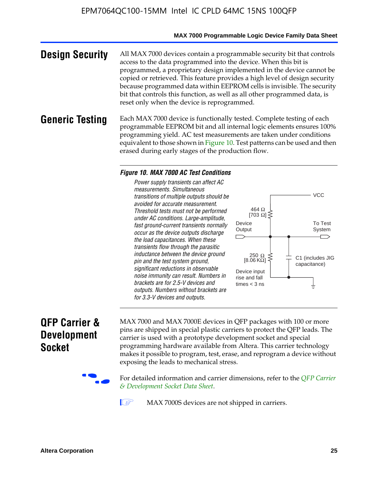### **MAX 7000 Programmable Logic Device Family Data Sheet**

**Design Security** All MAX 7000 devices contain a programmable security bit that controls access to the data programmed into the device. When this bit is programmed, a proprietary design implemented in the device cannot be copied or retrieved. This feature provides a high level of design security because programmed data within EEPROM cells is invisible. The security bit that controls this function, as well as all other programmed data, is reset only when the device is reprogrammed.

### **Generic Testing** Each MAX 7000 device is functionally tested. Complete testing of each programmable EEPROM bit and all internal logic elements ensures 100% programming yield. AC test measurements are taken under conditions equivalent to those shown in Figure 10. Test patterns can be used and then erased during early stages of the production flow.

### *Figure 10. MAX 7000 AC Test Conditions*

*Power supply transients can affect AC measurements. Simultaneous transitions of multiple outputs should be avoided for accurate measurement. Threshold tests must not be performed under AC conditions. Large-amplitude, fast ground-current transients normally occur as the device outputs discharge the load capacitances. When these transients flow through the parasitic inductance between the device ground pin and the test system ground, significant reductions in observable noise immunity can result. Numbers in brackets are for 2.5-V devices and outputs. Numbers without brackets are for 3.3-V devices and outputs.*



# **QFP Carrier & Development Socket**

MAX 7000 and MAX 7000E devices in QFP packages with 10[0 or more](http://www.altera.com/literature/ds/dsqfp.pdf)  [pins are shipped in special plas](http://www.altera.com/literature/ds/dsqfp.pdf)tic carriers to protect the QFP leads. The carrier is used with a prototype development socket and special programming hardware available from Altera. This carrier technology makes it possible to program, test, erase, and reprogram a device without exposing the leads to mechanical stress.

For detailed information and carrier dimensions, refer to the *QFP Carrier & Development Socket Data Sheet*.

MAX 7000S devices are not shipped in carriers.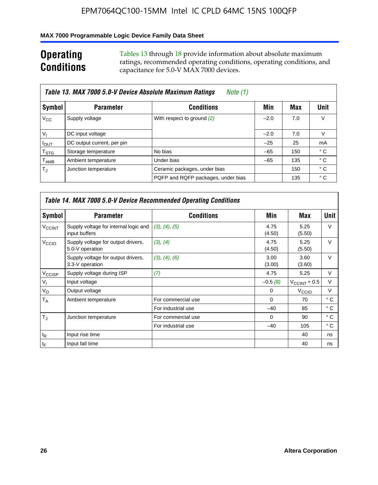### **MAX 7000 Programmable Logic Device Family Data Sheet**

# **Operating Conditions**

Tables 13 through 18 provide information about absolute maximum ratings, recommended operating conditions, operating conditions, and capacitance for 5.0-V MAX 7000 devices.

|                             | Table 13. MAX 7000 5.0-V Device Absolute Maximum Ratings<br>Note (1) |                                    |        |     |      |  |  |  |  |  |  |
|-----------------------------|----------------------------------------------------------------------|------------------------------------|--------|-----|------|--|--|--|--|--|--|
| Symbol                      | <b>Parameter</b>                                                     | <b>Conditions</b>                  | Min    | Max | Unit |  |  |  |  |  |  |
| $V_{\rm CC}$                | Supply voltage                                                       | With respect to ground (2)         | $-2.0$ | 7.0 | V    |  |  |  |  |  |  |
| $V_{1}$                     | DC input voltage                                                     |                                    | $-2.0$ | 7.0 | V    |  |  |  |  |  |  |
| $I_{\text{OUT}}$            | DC output current, per pin                                           |                                    | $-25$  | 25  | mA   |  |  |  |  |  |  |
| $\mathsf{T}_{\text{STG}}$   | Storage temperature                                                  | No bias                            | $-65$  | 150 | ° C  |  |  |  |  |  |  |
| $\mathsf{T}_{\mathsf{AMB}}$ | Ambient temperature                                                  | Under bias                         | $-65$  | 135 | ° C  |  |  |  |  |  |  |
| $T_{\rm J}$                 | Junction temperature                                                 | Ceramic packages, under bias       |        | 150 | ° C  |  |  |  |  |  |  |
|                             |                                                                      | PQFP and RQFP packages, under bias |        | 135 | ° C  |  |  |  |  |  |  |

|                          | Table 14. MAX 7000 5.0-V Device Recommended Operating Conditions |                    |                |                          |              |  |  |  |  |  |
|--------------------------|------------------------------------------------------------------|--------------------|----------------|--------------------------|--------------|--|--|--|--|--|
| Symbol                   | <b>Parameter</b>                                                 | <b>Conditions</b>  | Min            | Max                      | Unit         |  |  |  |  |  |
| <b>V<sub>CCINT</sub></b> | Supply voltage for internal logic and<br>input buffers           | (3), (4), (5)      | 4.75<br>(4.50) | 5.25<br>(5.50)           | $\vee$       |  |  |  |  |  |
| V <sub>CCIO</sub>        | Supply voltage for output drivers,<br>5.0-V operation            | (3), (4)           | 4.75<br>(4.50) | 5.25<br>(5.50)           | $\vee$       |  |  |  |  |  |
|                          | Supply voltage for output drivers,<br>3.3-V operation            | (3), (4), (6)      | 3.00<br>(3.00) | 3.60<br>(3.60)           | $\vee$       |  |  |  |  |  |
| V <sub>CCISP</sub>       | Supply voltage during ISP                                        | (7)                | 4.75           | 5.25                     | V            |  |  |  |  |  |
| $V_{1}$                  | Input voltage                                                    |                    | $-0.5(8)$      | $V_{\text{CCINT}} + 0.5$ | $\vee$       |  |  |  |  |  |
| $V_{\rm O}$              | Output voltage                                                   |                    | 0              | V <sub>CCIO</sub>        | V            |  |  |  |  |  |
| T <sub>A</sub>           | Ambient temperature                                              | For commercial use | $\Omega$       | 70                       | $^{\circ}$ C |  |  |  |  |  |
|                          |                                                                  | For industrial use | $-40$          | 85                       | ° C          |  |  |  |  |  |
| $T_{\rm d}$              | Junction temperature                                             | For commercial use | $\Omega$       | 90                       | ° C          |  |  |  |  |  |
|                          |                                                                  | For industrial use | $-40$          | 105                      | $^{\circ}$ C |  |  |  |  |  |
| $t_{R}$                  | Input rise time                                                  |                    |                | 40                       | ns           |  |  |  |  |  |
| $t_F$                    | Input fall time                                                  |                    |                | 40                       | ns           |  |  |  |  |  |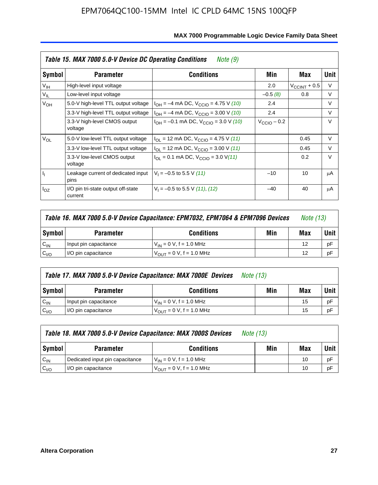|                 | Table 15. MAX 7000 5.0-V Device DC Operating Conditions<br>Note (9) |                                                             |                         |                          |        |  |  |  |  |  |
|-----------------|---------------------------------------------------------------------|-------------------------------------------------------------|-------------------------|--------------------------|--------|--|--|--|--|--|
| Symbol          | <b>Parameter</b>                                                    | <b>Conditions</b>                                           | Min                     | Max                      | Unit   |  |  |  |  |  |
| V <sub>IH</sub> | High-level input voltage                                            |                                                             | 2.0                     | $V_{\text{CCINT}} + 0.5$ | V      |  |  |  |  |  |
| $V_{IL}$        | Low-level input voltage                                             |                                                             | $-0.5(8)$               | 0.8                      | V      |  |  |  |  |  |
| $V_{OH}$        | 5.0-V high-level TTL output voltage                                 | $I_{OH} = -4$ mA DC, $V_{CClO} = 4.75$ V (10)               | 2.4                     |                          | $\vee$ |  |  |  |  |  |
|                 | 3.3-V high-level TTL output voltage                                 | $I_{OH} = -4$ mA DC, $V_{CCIO} = 3.00$ V (10)               | 2.4                     |                          | $\vee$ |  |  |  |  |  |
|                 | 3.3-V high-level CMOS output<br>voltage                             | $I_{OH} = -0.1$ mA DC, $V_{CClO} = 3.0$ V (10)              | $V_{\text{CCIO}} - 0.2$ |                          | $\vee$ |  |  |  |  |  |
| $V_{OL}$        | 5.0-V low-level TTL output voltage                                  | $I_{\text{OI}}$ = 12 mA DC, V <sub>CCIO</sub> = 4.75 V (11) |                         | 0.45                     | $\vee$ |  |  |  |  |  |
|                 | 3.3-V low-level TTL output voltage                                  | $I_{OL}$ = 12 mA DC, $V_{CClO}$ = 3.00 V (11)               |                         | 0.45                     | V      |  |  |  |  |  |
|                 | 3.3-V low-level CMOS output<br>voltage                              | $I_{\text{OI}}$ = 0.1 mA DC, $V_{\text{CCIO}}$ = 3.0 V(11)  |                         | 0.2                      | $\vee$ |  |  |  |  |  |
| h,              | Leakage current of dedicated input<br>pins                          | $V_1 = -0.5$ to 5.5 V (11)                                  | $-10$                   | 10                       | μA     |  |  |  |  |  |
| $I_{OZ}$        | I/O pin tri-state output off-state<br>current                       | $V_1 = -0.5$ to 5.5 V (11), (12)                            | $-40$                   | 40                       | μA     |  |  |  |  |  |

| Table 16. MAX 7000 5.0-V Device Capacitance: EPM7032, EPM7064 & EPM7096 Devices |                       |                                     |     |     | <i>Note (13)</i> |
|---------------------------------------------------------------------------------|-----------------------|-------------------------------------|-----|-----|------------------|
| Symbol                                                                          | <b>Parameter</b>      | <b>Conditions</b>                   | Min | Max | Unit             |
| $C_{IN}$                                                                        | Input pin capacitance | $V_{IN} = 0 V$ , f = 1.0 MHz        |     | 12  | pF               |
| C <sub>I/O</sub>                                                                | I/O pin capacitance   | $V_{\text{OUT}} = 0 V, f = 1.0 MHz$ |     | 12  | pF               |

|                  | Table 17. MAX 7000 5.0-V Device Capacitance: MAX 7000E Devices<br><i>Note (13)</i> |                                |     |     |        |  |  |  |
|------------------|------------------------------------------------------------------------------------|--------------------------------|-----|-----|--------|--|--|--|
| Symbol           | <b>Parameter</b>                                                                   | <b>Conditions</b>              | Min | Max | Unit I |  |  |  |
| $C_{IN}$         | Input pin capacitance                                                              | $V_{1N} = 0 V$ , f = 1.0 MHz   |     | 15  | pF     |  |  |  |
| C <sub>I/O</sub> | I/O pin capacitance                                                                | $V_{OIII} = 0 V$ , f = 1.0 MHz |     | 15  | pF     |  |  |  |

|                  | Table 18. MAX 7000 5.0-V Device Capacitance: MAX 7000S Devices<br><i>Note (13)</i> |                                     |     |     |        |  |  |
|------------------|------------------------------------------------------------------------------------|-------------------------------------|-----|-----|--------|--|--|
| Symbol           | <b>Parameter</b>                                                                   | <b>Conditions</b>                   | Min | Max | Unit I |  |  |
| $C_{IN}$         | Dedicated input pin capacitance                                                    | $V_{IN} = 0 V$ , f = 1.0 MHz        |     | 10  | pF     |  |  |
| C <sub>I/O</sub> | I/O pin capacitance                                                                | $V_{\text{OUT}} = 0$ V, f = 1.0 MHz |     | 10  | pF     |  |  |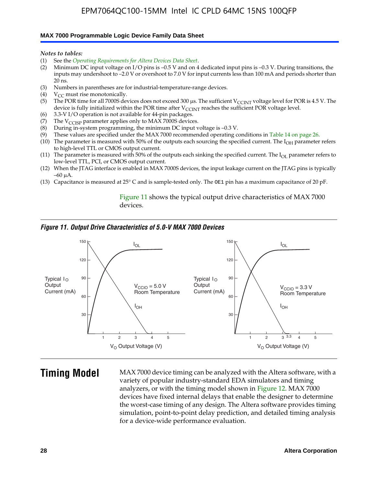#### **MAX 7000 Programmable Logic Device Family Data Sheet**

*Notes to tables:*

- (1) See the *Operating Requirements for Altera Devices Data Sheet*.
- (2) Minimum DC input voltage on I/O pins is –0.5 V and on 4 dedicated input pins is –0.3 V. During transitions, the inputs may undershoot to –2.0 V or overshoot to 7.0 V for input currents less than 100 mA and periods shorter than  $20$  ns.
- (3) Numbers in parentheses are for industrial-temperature-range devices.
- (4)  $V_{CC}$  must rise monotonically.
- (5) The POR time for all 7000S devices does not exceed 300 µs. The sufficient V<sub>CCINT</sub> voltage level for POR is 4.5 V. The device is fully initialized within the POR time after  $V_{\text{CCINT}}$  reaches the sufficient POR voltage level.
- (6) 3.3-V I/O operation is not available for 44-pin packages.
- (7) The  $V_{\text{CCISP}}$  parameter applies only to MAX 7000S devices.
- (8) During in-system programming, the minimum DC input voltage is –0.3 V.
- (9) These values are specified under the MAX 7000 recommended operating conditions in Table 14 on page 26.
- (10) The parameter is measured with 50% of the outputs each sourcing the specified current. The  $I_{OH}$  parameter refers to high-level TTL or CMOS output current.
- (11) The parameter is measured with 50% of the outputs each sinking the specified current. The  $I_{OL}$  parameter refers to low-level TTL, PCI, or CMOS output current.
- (12) When the JTAG interface is enabled in MAX 7000S devices, the input leakage current on the JTAG pins is typically –60 μA.
- (13) Capacitance is measured at 25° C and is sample-tested only. The OE1 pin has a maximum capacitance of 20 pF.

Figure 11 shows the typical output drive characteristics of MAX 7000 devices.

### *Figure 11. Output Drive Characteristics of 5.0-V MAX 7000 Devices*



**Timing Model** MAX 7000 device timing can be analyzed with the Altera software, with a variety of popular industry-standard EDA simulators and timing analyzers, or with the timing model shown in Figure 12. MAX 7000 devices have fixed internal delays that enable the designer to determine the worst-case timing of any design. The Altera software provides timing simulation, point-to-point delay prediction, and detailed timing analysis for a device-wide performance evaluation.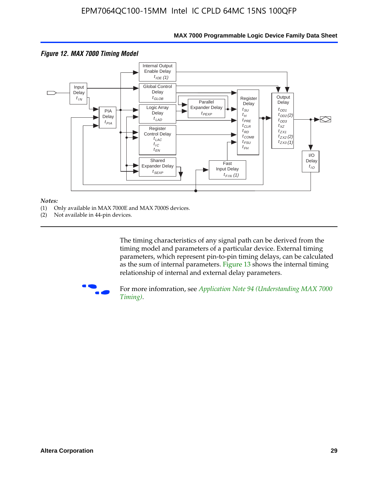

#### *Notes:*

- (1) Only available in MAX 7000E and MAX 7000S devices.
- (2) Not available in 44-pin devices.

[The tim](http://www.altera.com/literature/an/an094.pdf)ing characteristics [of any signal path can be derived from the](http://www.altera.com/literature/an/an094.pdf)  timing model and parameters of a particular device. External timing parameters, which represent pin-to-pin timing delays, can be calculated as the sum of internal parameters. Figure 13 shows the internal timing relationship of internal and external delay parameters.



For more infomration, see *Application Note 94 (Understanding MAX 7000 Timing)*.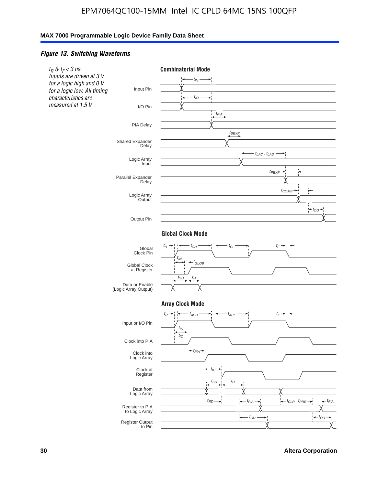### *Figure 13. Switching Waveforms*

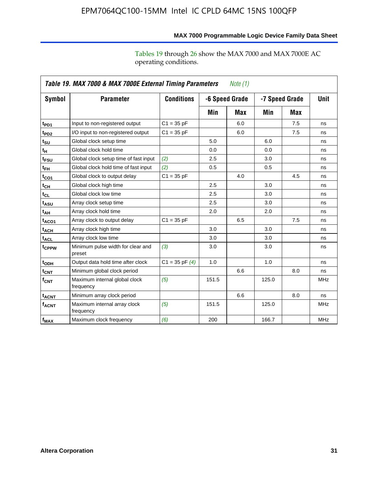operating conditions.

| Table 19. MAX 7000 & MAX 7000E External Timing Parameters<br>Note $(1)$ |                                             |                    |       |                |       |                |             |  |  |
|-------------------------------------------------------------------------|---------------------------------------------|--------------------|-------|----------------|-------|----------------|-------------|--|--|
| Symbol                                                                  | <b>Parameter</b>                            | <b>Conditions</b>  |       | -6 Speed Grade |       | -7 Speed Grade | <b>Unit</b> |  |  |
|                                                                         |                                             |                    | Min   | Max            | Min   | Max            |             |  |  |
| t <sub>PD1</sub>                                                        | Input to non-registered output              | $C1 = 35 pF$       |       | 6.0            |       | 7.5            | ns          |  |  |
| t <sub>PD2</sub>                                                        | I/O input to non-registered output          | $C1 = 35 pF$       |       | 6.0            |       | 7.5            | ns          |  |  |
| $t_{\text{SU}}$                                                         | Global clock setup time                     |                    | 5.0   |                | 6.0   |                | ns          |  |  |
| tμ                                                                      | Global clock hold time                      |                    | 0.0   |                | 0.0   |                | ns          |  |  |
| t <sub>FSU</sub>                                                        | Global clock setup time of fast input       | (2)                | 2.5   |                | 3.0   |                | ns          |  |  |
| $t_{FH}$                                                                | Global clock hold time of fast input        | (2)                | 0.5   |                | 0.5   |                | ns          |  |  |
| t <sub>CO1</sub>                                                        | Global clock to output delay                | $C1 = 35 pF$       |       | 4.0            |       | 4.5            | ns          |  |  |
| $t_{\mathsf{CH}}$                                                       | Global clock high time                      |                    | 2.5   |                | 3.0   |                | ns          |  |  |
| $t_{CL}$                                                                | Global clock low time                       |                    | 2.5   |                | 3.0   |                | ns          |  |  |
| t <sub>ASU</sub>                                                        | Array clock setup time                      |                    | 2.5   |                | 3.0   |                | ns          |  |  |
| t <sub>АН</sub>                                                         | Array clock hold time                       |                    | 2.0   |                | 2.0   |                | ns          |  |  |
| t <sub>ACO1</sub>                                                       | Array clock to output delay                 | $C1 = 35 pF$       |       | 6.5            |       | 7.5            | ns          |  |  |
| t <sub>ACH</sub>                                                        | Array clock high time                       |                    | 3.0   |                | 3.0   |                | ns          |  |  |
| $t_{\sf ACL}$                                                           | Array clock low time                        |                    | 3.0   |                | 3.0   |                | ns          |  |  |
| t <sub>CPPW</sub>                                                       | Minimum pulse width for clear and<br>preset | (3)                | 3.0   |                | 3.0   |                | ns          |  |  |
| t <sub>ODH</sub>                                                        | Output data hold time after clock           | $C1 = 35$ pF $(4)$ | 1.0   |                | 1.0   |                | ns          |  |  |
| $t_{\mathsf{CNT}}$                                                      | Minimum global clock period                 |                    |       | 6.6            |       | 8.0            | ns          |  |  |
| $f_{\mathsf{CNT}}$                                                      | Maximum internal global clock<br>frequency  | (5)                | 151.5 |                | 125.0 |                | <b>MHz</b>  |  |  |
| t <sub>ACNT</sub>                                                       | Minimum array clock period                  |                    |       | 6.6            |       | 8.0            | ns          |  |  |
| $f_{ACNT}$                                                              | Maximum internal array clock<br>frequency   | (5)                | 151.5 |                | 125.0 |                | <b>MHz</b>  |  |  |
| f <sub>MAX</sub>                                                        | Maximum clock frequency                     | (6)                | 200   |                | 166.7 |                | <b>MHz</b>  |  |  |

# **MAX 7000 Programmable Logic Device Family Data Sheet**

Tables 19 through 26 show the MAX 7000 and MAX 7000E AC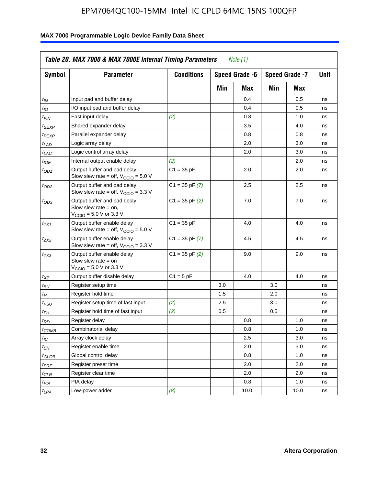| Symbol                        | <b>Parameter</b>                                                                                             | <b>Conditions</b>  |     | Speed Grade -6 |     | Speed Grade -7 | Unit |
|-------------------------------|--------------------------------------------------------------------------------------------------------------|--------------------|-----|----------------|-----|----------------|------|
|                               |                                                                                                              |                    | Min | Max            | Min | Max            |      |
| $t_{\mathsf{IN}}$             | Input pad and buffer delay                                                                                   |                    |     | 0.4            |     | 0.5            | ns   |
| $t_{IO}$                      | I/O input pad and buffer delay                                                                               |                    |     | 0.4            |     | 0.5            | ns   |
| t <sub>FIN</sub>              | Fast input delay                                                                                             | (2)                |     | 0.8            |     | 1.0            | ns   |
| t <sub>SEXP</sub>             | Shared expander delay                                                                                        |                    |     | 3.5            |     | 4.0            | ns   |
| t <sub>PEXP</sub>             | Parallel expander delay                                                                                      |                    |     | 0.8            |     | 0.8            | ns   |
| t <sub>LAD</sub>              | Logic array delay                                                                                            |                    |     | 2.0            |     | 3.0            | ns   |
| t <sub>LAC</sub>              | Logic control array delay                                                                                    |                    |     | 2.0            |     | 3.0            | ns   |
| t <sub>IOE</sub>              | Internal output enable delay                                                                                 | (2)                |     |                |     | 2.0            | ns   |
| $t_{OD1}$                     | Output buffer and pad delay<br>Slow slew rate = off, $V_{\text{CCIO}} = 5.0 V$                               | $C1 = 35$ pF       |     | 2.0            |     | 2.0            | ns   |
| $t_{OD2}$                     | Output buffer and pad delay<br>Slow slew rate = off, $V_{\text{CCIO}} = 3.3$ V                               | $C1 = 35$ pF $(7)$ |     | 2.5            |     | 2.5            | ns   |
| $t_{OD3}$                     | Output buffer and pad delay<br>Slow slew rate $=$ on,<br>$V_{\text{CCIO}} = 5.0 \text{ V or } 3.3 \text{ V}$ | $C1 = 35$ pF $(2)$ |     | 7.0            |     | 7.0            | ns   |
| tzx1                          | Output buffer enable delay<br>Slow slew rate = off, $V_{\text{CCIO}} = 5.0 \text{ V}$                        | $C1 = 35 pF$       |     | 4.0            |     | 4.0            | ns   |
| t <sub>ZX2</sub>              | Output buffer enable delay<br>Slow slew rate = off, $V_{\text{CCIO}} = 3.3$ V                                | $C1 = 35$ pF $(7)$ |     | 4.5            |     | 4.5            | ns   |
| tzx3                          | Output buffer enable delay<br>Slow slew rate $=$ on<br>$V_{\text{CCIO}} = 5.0 \text{ V or } 3.3 \text{ V}$   | $C1 = 35$ pF $(2)$ |     | 9.0            |     | 9.0            | ns   |
| $t_{\mathsf{XZ}}$             | Output buffer disable delay                                                                                  | $C1 = 5pF$         |     | 4.0            |     | 4.0            | ns   |
| $t_{\scriptstyle\text{SU}}$   | Register setup time                                                                                          |                    | 3.0 |                | 3.0 |                | ns   |
| t <sub>Η</sub>                | Register hold time                                                                                           |                    | 1.5 |                | 2.0 |                | ns   |
| t <sub>FSU</sub>              | Register setup time of fast input                                                                            | (2)                | 2.5 |                | 3.0 |                | ns   |
| t <sub>FH</sub>               | Register hold time of fast input                                                                             | (2)                | 0.5 |                | 0.5 |                | ns   |
| t <sub>RD</sub>               | Register delay                                                                                               |                    |     | 0.8            |     | 1.0            | ns   |
| $t_{\mathsf{COMB}}$           | Combinatorial delay                                                                                          |                    |     | 0.8            |     | 1.0            | ns   |
| $t_{\mathcal{IC}}$            | Array clock delay                                                                                            |                    |     | 2.5            |     | 3.0            | ns   |
| $t_{EN}$                      | Register enable time                                                                                         |                    |     | 2.0            |     | 3.0            | ns   |
| $t_{\scriptstyle\text{GLOB}}$ | Global control delay                                                                                         |                    |     | 0.8            |     | 1.0            | ns   |
| t <sub>PRE</sub>              | Register preset time                                                                                         |                    |     | 2.0            |     | 2.0            | ns   |
| $t_{\sf CLR}$                 | Register clear time                                                                                          |                    |     | 2.0            |     | 2.0            | ns   |
| t <sub>PIA</sub>              | PIA delay                                                                                                    |                    |     | 0.8            |     | 1.0            | ns   |
| $t_{LPA}$                     | Low-power adder                                                                                              | (8)                |     | 10.0           |     | 10.0           | ns   |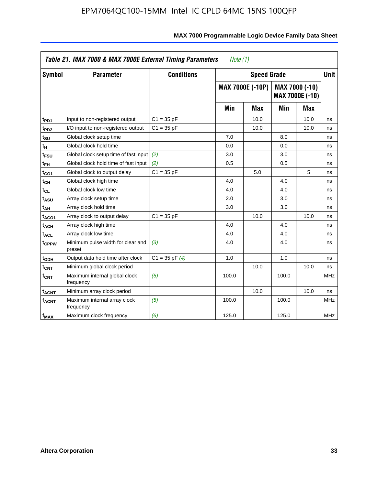| Symbol                       | <b>Parameter</b>                            | <b>Conditions</b>  |       | <b>Speed Grade</b>      |       |                                          |            |  |
|------------------------------|---------------------------------------------|--------------------|-------|-------------------------|-------|------------------------------------------|------------|--|
|                              |                                             |                    |       | <b>MAX 7000E (-10P)</b> |       | MAX 7000 (-10)<br><b>MAX 7000E (-10)</b> |            |  |
|                              |                                             |                    | Min   | <b>Max</b>              | Min   | Max                                      |            |  |
| t <sub>PD1</sub>             | Input to non-registered output              | $C1 = 35 pF$       |       | 10.0                    |       | 10.0                                     | ns         |  |
| t <sub>PD2</sub>             | I/O input to non-registered output          | $C1 = 35 pF$       |       | 10.0                    |       | 10.0                                     | ns         |  |
| t <sub>su</sub>              | Global clock setup time                     |                    | 7.0   |                         | 8.0   |                                          | ns         |  |
| tμ                           | Global clock hold time                      |                    | 0.0   |                         | 0.0   |                                          | ns         |  |
| t <sub>FSU</sub>             | Global clock setup time of fast input       | (2)                | 3.0   |                         | 3.0   |                                          | ns         |  |
| t <sub>FH</sub>              | Global clock hold time of fast input        | (2)                | 0.5   |                         | 0.5   |                                          | ns         |  |
| t <sub>CO1</sub>             | Global clock to output delay                | $C1 = 35 pF$       |       | 5.0                     |       | 5                                        | ns         |  |
| $\mathfrak{t}_{\textsf{CH}}$ | Global clock high time                      |                    | 4.0   |                         | 4.0   |                                          | ns         |  |
| $t_{CL}$                     | Global clock low time                       |                    | 4.0   |                         | 4.0   |                                          | ns         |  |
| t <sub>ASU</sub>             | Array clock setup time                      |                    | 2.0   |                         | 3.0   |                                          | ns         |  |
| t <sub>АН</sub>              | Array clock hold time                       |                    | 3.0   |                         | 3.0   |                                          | ns         |  |
| t <sub>ACO1</sub>            | Array clock to output delay                 | $C1 = 35 pF$       |       | 10.0                    |       | 10.0                                     | ns         |  |
| t <sub>ACH</sub>             | Array clock high time                       |                    | 4.0   |                         | 4.0   |                                          | ns         |  |
| $t_{\sf ACL}$                | Array clock low time                        |                    | 4.0   |                         | 4.0   |                                          | ns         |  |
| t <sub>CPPW</sub>            | Minimum pulse width for clear and<br>preset | (3)                | 4.0   |                         | 4.0   |                                          | ns         |  |
| t <sub>ODH</sub>             | Output data hold time after clock           | $C1 = 35$ pF $(4)$ | 1.0   |                         | 1.0   |                                          | ns         |  |
| $t_{\mathsf{CNT}}$           | Minimum global clock period                 |                    |       | 10.0                    |       | 10.0                                     | ns         |  |
| $f_{\mathsf{CNT}}$           | Maximum internal global clock<br>frequency  | (5)                | 100.0 |                         | 100.0 |                                          | <b>MHz</b> |  |
| <b>t<sub>ACNT</sub></b>      | Minimum array clock period                  |                    |       | 10.0                    |       | 10.0                                     | ns         |  |
| f <sub>ACNT</sub>            | Maximum internal array clock<br>frequency   | (5)                | 100.0 |                         | 100.0 |                                          | <b>MHz</b> |  |
| $f_{MAX}$                    | Maximum clock frequency                     | (6)                | 125.0 |                         | 125.0 |                                          | <b>MHz</b> |  |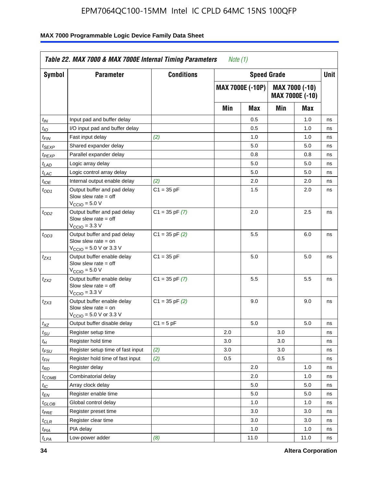| Symbol                      | <b>Parameter</b>                                                                                            | <b>Conditions</b>  |     | <b>Speed Grade</b>      |     |                                   | Unit |
|-----------------------------|-------------------------------------------------------------------------------------------------------------|--------------------|-----|-------------------------|-----|-----------------------------------|------|
|                             |                                                                                                             |                    |     | <b>MAX 7000E (-10P)</b> |     | MAX 7000 (-10)<br>MAX 7000E (-10) |      |
|                             |                                                                                                             |                    | Min | Max                     | Min | Max                               |      |
| $t_{IN}$                    | Input pad and buffer delay                                                                                  |                    |     | 0.5                     |     | 1.0                               | ns   |
| $t_{IO}$                    | I/O input pad and buffer delay                                                                              |                    |     | 0.5                     |     | 1.0                               | ns   |
| t <sub>FIN</sub>            | Fast input delay                                                                                            | (2)                |     | 1.0                     |     | 1.0                               | ns   |
| $t_{SEXP}$                  | Shared expander delay                                                                                       |                    |     | 5.0                     |     | 5.0                               | ns   |
| $t_{PEXP}$                  | Parallel expander delay                                                                                     |                    |     | 0.8                     |     | 0.8                               | ns   |
| t <sub>LAD</sub>            | Logic array delay                                                                                           |                    |     | 5.0                     |     | 5.0                               | ns   |
| $t_{LAC}$                   | Logic control array delay                                                                                   |                    |     | 5.0                     |     | 5.0                               | ns   |
| $t_{IOE}$                   | Internal output enable delay                                                                                | (2)                |     | 2.0                     |     | 2.0                               | ns   |
| $t_{OD1}$                   | Output buffer and pad delay<br>Slow slew rate $=$ off<br>V <sub>CCIO</sub> = 5.0 V                          | $C1 = 35 pF$       |     | 1.5                     |     | 2.0                               | ns   |
| $t_{OD2}$                   | Output buffer and pad delay<br>Slow slew rate $=$ off<br>$V_{\text{CCIO}} = 3.3 \text{ V}$                  | $C1 = 35$ pF $(7)$ |     | 2.0                     |     | 2.5                               | ns   |
| $t_{OD3}$                   | Output buffer and pad delay<br>Slow slew rate $=$ on<br>$V_{\text{CCIO}} = 5.0 \text{ V or } 3.3 \text{ V}$ | $C1 = 35$ pF $(2)$ |     | 5.5                     |     | 6.0                               | ns   |
| t <sub>ZX1</sub>            | Output buffer enable delay<br>Slow slew rate $=$ off<br>$VCCIO = 5.0 V$                                     | $C1 = 35 pF$       |     | 5.0                     |     | 5.0                               | ns   |
| t <sub>ZX2</sub>            | Output buffer enable delay<br>Slow slew rate $=$ off<br>$VCCIO = 3.3 V$                                     | $C1 = 35$ pF $(7)$ |     | 5.5                     |     | 5.5                               | ns   |
| t <sub>ZX3</sub>            | Output buffer enable delay<br>Slow slew rate $=$ on<br>$V_{\text{CCIO}} = 5.0 \text{ V or } 3.3 \text{ V}$  | $C1 = 35$ pF $(2)$ |     | 9.0                     |     | 9.0                               | ns   |
| $t_{XZ}$                    | Output buffer disable delay                                                                                 | $C1 = 5 pF$        |     | 5.0                     |     | 5.0                               | ns   |
| $t_{\scriptstyle\text{SU}}$ | Register setup time                                                                                         |                    | 2.0 |                         | 3.0 |                                   | ns   |
| $t_H$                       | Register hold time                                                                                          |                    | 3.0 |                         | 3.0 |                                   | ns   |
| $t_{\it FSU}$               | Register setup time of fast input                                                                           | (2)                | 3.0 |                         | 3.0 |                                   | ns   |
| $t_{FH}$                    | Register hold time of fast input                                                                            | (2)                | 0.5 |                         | 0.5 |                                   | ns   |
| t <sub>RD</sub>             | Register delay                                                                                              |                    |     | 2.0                     |     | 1.0                               | ns   |
| $t_{COMB}$                  | Combinatorial delay                                                                                         |                    |     | 2.0                     |     | 1.0                               | ns   |
| ЧC                          | Array clock delay                                                                                           |                    |     | 5.0                     |     | 5.0                               | ns   |
| $t_{EN}$                    | Register enable time                                                                                        |                    |     | 5.0                     |     | 5.0                               | ns   |
| $t_{GLOB}$                  | Global control delay                                                                                        |                    |     | 1.0                     |     | 1.0                               | ns   |
| $t_{PRE}$                   | Register preset time                                                                                        |                    |     | 3.0                     |     | 3.0                               | ns   |
| $t_{CLR}$                   | Register clear time                                                                                         |                    |     | 3.0                     |     | 3.0                               | ns   |
| t <sub>PIA</sub>            | PIA delay                                                                                                   |                    |     | 1.0                     |     | 1.0                               | ns   |
| $t_{LPA}$                   | Low-power adder                                                                                             | (8)                |     | 11.0                    |     | 11.0                              | ns   |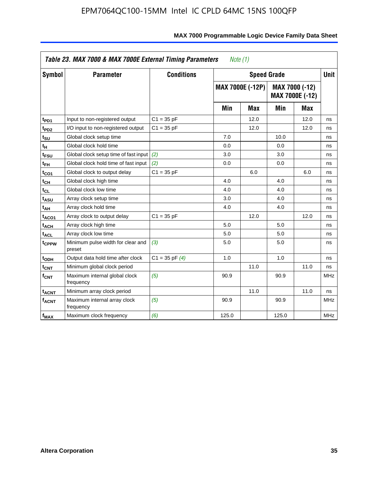|                             | Table 23. MAX 7000 & MAX 7000E External Timing Parameters |                    | Note $(1)$ |                         |       |                                   |             |
|-----------------------------|-----------------------------------------------------------|--------------------|------------|-------------------------|-------|-----------------------------------|-------------|
| Symbol                      | <b>Parameter</b>                                          | <b>Conditions</b>  |            | <b>Speed Grade</b>      |       |                                   | <b>Unit</b> |
|                             |                                                           |                    |            | <b>MAX 7000E (-12P)</b> |       | MAX 7000 (-12)<br>MAX 7000E (-12) |             |
|                             |                                                           |                    | Min        | <b>Max</b>              | Min   | <b>Max</b>                        |             |
| t <sub>PD1</sub>            | Input to non-registered output                            | $C1 = 35 pF$       |            | 12.0                    |       | 12.0                              | ns          |
| t <sub>PD2</sub>            | I/O input to non-registered output                        | $C1 = 35 pF$       |            | 12.0                    |       | 12.0                              | ns          |
| t <sub>SU</sub>             | Global clock setup time                                   |                    | 7.0        |                         | 10.0  |                                   | ns          |
| tн                          | Global clock hold time                                    |                    | 0.0        |                         | 0.0   |                                   | ns          |
| t <sub>FSU</sub>            | Global clock setup time of fast input                     | (2)                | 3.0        |                         | 3.0   |                                   | ns          |
| t <sub>FH</sub>             | Global clock hold time of fast input                      | (2)                | 0.0        |                         | 0.0   |                                   | ns          |
| t <sub>CO1</sub>            | Global clock to output delay                              | $C1 = 35 pF$       |            | 6.0                     |       | 6.0                               | ns          |
| $t_{\mathsf{CH}}$           | Global clock high time                                    |                    | 4.0        |                         | 4.0   |                                   | ns          |
| $t_{CL}$                    | Global clock low time                                     |                    | 4.0        |                         | 4.0   |                                   | ns          |
| t <sub>ASU</sub>            | Array clock setup time                                    |                    | 3.0        |                         | 4.0   |                                   | ns          |
| t <sub>АН</sub>             | Array clock hold time                                     |                    | 4.0        |                         | 4.0   |                                   | ns          |
| t <sub>ACO1</sub>           | Array clock to output delay                               | $C1 = 35 pF$       |            | 12.0                    |       | 12.0                              | ns          |
| t <sub>ACH</sub>            | Array clock high time                                     |                    | 5.0        |                         | 5.0   |                                   | ns          |
| $t_{\sf ACL}$               | Array clock low time                                      |                    | 5.0        |                         | 5.0   |                                   | ns          |
| t <sub>CPPW</sub>           | Minimum pulse width for clear and<br>preset               | (3)                | 5.0        |                         | 5.0   |                                   | ns          |
| t <sub>ODH</sub>            | Output data hold time after clock                         | $C1 = 35$ pF $(4)$ | 1.0        |                         | 1.0   |                                   | ns          |
| $t_{\mathsf{CNT}}$          | Minimum global clock period                               |                    |            | 11.0                    |       | 11.0                              | ns          |
| $\mathsf{f}_{\mathsf{CNT}}$ | Maximum internal global clock<br>frequency                | (5)                | 90.9       |                         | 90.9  |                                   | <b>MHz</b>  |
| <b>t<sub>ACNT</sub></b>     | Minimum array clock period                                |                    |            | 11.0                    |       | 11.0                              | ns          |
| f <sub>ACNT</sub>           | Maximum internal array clock<br>frequency                 | (5)                | 90.9       |                         | 90.9  |                                   | <b>MHz</b>  |
| $f_{MAX}$                   | Maximum clock frequency                                   | (6)                | 125.0      |                         | 125.0 |                                   | <b>MHz</b>  |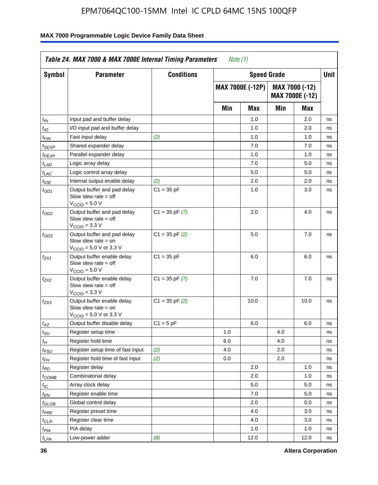| Symbol                      | <b>Parameter</b>                                                                                            | <b>Conditions</b>  |     | <b>Speed Grade</b>      |     |                                   | <b>Unit</b> |
|-----------------------------|-------------------------------------------------------------------------------------------------------------|--------------------|-----|-------------------------|-----|-----------------------------------|-------------|
|                             |                                                                                                             |                    |     | <b>MAX 7000E (-12P)</b> |     | MAX 7000 (-12)<br>MAX 7000E (-12) |             |
|                             |                                                                                                             |                    | Min | <b>Max</b>              | Min | Max                               |             |
| $t_{IN}$                    | Input pad and buffer delay                                                                                  |                    |     | 1.0                     |     | 2.0                               | ns          |
| $t_{IO}$                    | I/O input pad and buffer delay                                                                              |                    |     | 1.0                     |     | 2.0                               | ns          |
| $t_{\textit{FIN}}$          | Fast input delay                                                                                            | (2)                |     | 1.0                     |     | 1.0                               | ns          |
| t <sub>SEXP</sub>           | Shared expander delay                                                                                       |                    |     | 7.0                     |     | 7.0                               | ns          |
| t <sub>PEXP</sub>           | Parallel expander delay                                                                                     |                    |     | 1.0                     |     | 1.0                               | ns          |
| t <sub>LAD</sub>            | Logic array delay                                                                                           |                    |     | 7.0                     |     | 5.0                               | ns          |
| $t_{LAC}$                   | Logic control array delay                                                                                   |                    |     | 5.0                     |     | 5.0                               | ns          |
| $t_{IOE}$                   | Internal output enable delay                                                                                | (2)                |     | 2.0                     |     | 2.0                               | ns          |
| $t_{OD1}$                   | Output buffer and pad delay<br>Slow slew rate $=$ off<br>$V_{\text{CCIO}} = 5.0 V$                          | $C1 = 35 pF$       |     | 1.0                     |     | 3.0                               | ns          |
| $t_{OD2}$                   | Output buffer and pad delay<br>Slow slew rate $=$ off<br>$VCCIO = 3.3 V$                                    | $C1 = 35$ pF $(7)$ |     | 2.0                     |     | 4.0                               | ns          |
| $t_{OD3}$                   | Output buffer and pad delay<br>Slow slew rate $=$ on<br>$V_{\text{CCIO}} = 5.0 \text{ V or } 3.3 \text{ V}$ | $C1 = 35$ pF $(2)$ |     | 5.0                     |     | 7.0                               | ns          |
| $t_{ZX1}$                   | Output buffer enable delay<br>Slow slew rate $=$ off<br>$V_{\text{CCIO}} = 5.0 V$                           | $C1 = 35 pF$       |     | 6.0                     |     | 6.0                               | ns          |
| $t_{ZX2}$                   | Output buffer enable delay<br>Slow slew rate $=$ off<br>$V_{\rm CClO}$ = 3.3 V                              | $C1 = 35$ pF $(7)$ |     | 7.0                     |     | 7.0                               | ns          |
| $t_{ZX3}$                   | Output buffer enable delay<br>Slow slew rate $=$ on<br>$V_{\text{CCIO}} = 5.0 \text{ V or } 3.3 \text{ V}$  | $C1 = 35$ pF $(2)$ |     | 10.0                    |     | 10.0                              | ns          |
| $t_{\mathsf{XZ}}$           | Output buffer disable delay                                                                                 | $C1 = 5$ pF        |     | 6.0                     |     | 6.0                               | ns          |
| $t_{\scriptstyle\text{SU}}$ | Register setup time                                                                                         |                    | 1.0 |                         | 4.0 |                                   | ns          |
| $t_H$                       | Register hold time                                                                                          |                    | 6.0 |                         | 4.0 |                                   | ns          |
| $t_{\mathit{FSU}}$          | Register setup time of fast input                                                                           | (2)                | 4.0 |                         | 2.0 |                                   | ns          |
| t <sub>FH</sub>             | Register hold time of fast input                                                                            | (2)                | 0.0 |                         | 2.0 |                                   | ns          |
| $t_{RD}$                    | Register delay                                                                                              |                    |     | 2.0                     |     | 1.0                               | ns          |
| $t_{\sf COMB}$              | Combinatorial delay                                                                                         |                    |     | 2.0                     |     | 1.0                               | ns          |
| ЧC                          | Array clock delay                                                                                           |                    |     | $5.0\,$                 |     | 5.0                               | ns          |
| $t_{EN}$                    | Register enable time                                                                                        |                    |     | 7.0                     |     | 5.0                               | ns          |
| $t_{GLOB}$                  | Global control delay                                                                                        |                    |     | 2.0                     |     | 0.0                               | ns          |
| t <sub>PRE</sub>            | Register preset time                                                                                        |                    |     | 4.0                     |     | 3.0                               | ns          |
| $t_{\sf CLR}$               | Register clear time                                                                                         |                    |     | 4.0                     |     | 3.0                               | ns          |
| t <sub>PIA</sub>            | PIA delay                                                                                                   |                    |     | 1.0                     |     | 1.0                               | ns          |
| t <sub>LPA</sub>            | Low-power adder                                                                                             | (8)                |     | 12.0                    |     | 12.0                              | ns          |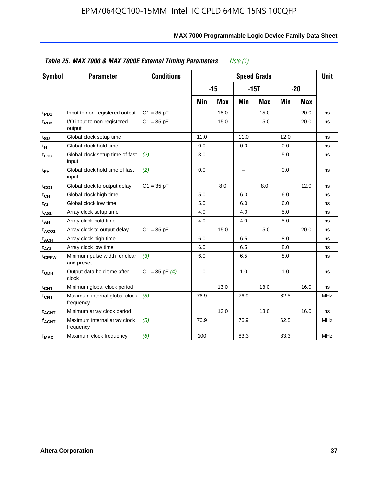| <b>Symbol</b>           | <b>Parameter</b>                            | <b>Conditions</b>  |      |            |      | <b>Speed Grade</b> |      |            | <b>Unit</b> |
|-------------------------|---------------------------------------------|--------------------|------|------------|------|--------------------|------|------------|-------------|
|                         |                                             |                    |      | $-15$      |      | $-15T$             |      | $-20$      |             |
|                         |                                             |                    | Min  | <b>Max</b> | Min  | <b>Max</b>         | Min  | <b>Max</b> |             |
| $t_{PD1}$               | Input to non-registered output              | $C1 = 35 pF$       |      | 15.0       |      | 15.0               |      | 20.0       | ns          |
| t <sub>PD2</sub>        | I/O input to non-registered<br>output       | $C1 = 35 pF$       |      | 15.0       |      | 15.0               |      | 20.0       | ns          |
| tsu                     | Global clock setup time                     |                    | 11.0 |            | 11.0 |                    | 12.0 |            | ns          |
| $t_H$                   | Global clock hold time                      |                    | 0.0  |            | 0.0  |                    | 0.0  |            | ns          |
| t <sub>FSU</sub>        | Global clock setup time of fast<br>input    | (2)                | 3.0  |            | -    |                    | 5.0  |            | ns          |
| $t_{FH}$                | Global clock hold time of fast<br>input     | (2)                | 0.0  |            | -    |                    | 0.0  |            | ns          |
| t <sub>CO1</sub>        | Global clock to output delay                | $C1 = 35 pF$       |      | 8.0        |      | 8.0                |      | 12.0       | ns          |
| $t_{\mathsf{CH}}$       | Global clock high time                      |                    | 5.0  |            | 6.0  |                    | 6.0  |            | ns          |
| $t_{CL}$                | Global clock low time                       |                    | 5.0  |            | 6.0  |                    | 6.0  |            | ns          |
| $t_{ASU}$               | Array clock setup time                      |                    | 4.0  |            | 4.0  |                    | 5.0  |            | ns          |
| t <sub>АН</sub>         | Array clock hold time                       |                    | 4.0  |            | 4.0  |                    | 5.0  |            | ns          |
| t <sub>ACO1</sub>       | Array clock to output delay                 | $C1 = 35 pF$       |      | 15.0       |      | 15.0               |      | 20.0       | ns          |
| $t_{\sf ACH}$           | Array clock high time                       |                    | 6.0  |            | 6.5  |                    | 8.0  |            | ns          |
| t <sub>ACL</sub>        | Array clock low time                        |                    | 6.0  |            | 6.5  |                    | 8.0  |            | ns          |
| t <sub>CPPW</sub>       | Minimum pulse width for clear<br>and preset | (3)                | 6.0  |            | 6.5  |                    | 8.0  |            | ns          |
| t <sub>ODH</sub>        | Output data hold time after<br>clock        | $C1 = 35$ pF $(4)$ | 1.0  |            | 1.0  |                    | 1.0  |            | ns          |
| $t_{\mathsf{CNT}}$      | Minimum global clock period                 |                    |      | 13.0       |      | 13.0               |      | 16.0       | ns          |
| $f_{\mathsf{CNT}}$      | Maximum internal global clock<br>frequency  | (5)                | 76.9 |            | 76.9 |                    | 62.5 |            | <b>MHz</b>  |
| <b>t<sub>ACNT</sub></b> | Minimum array clock period                  |                    |      | 13.0       |      | 13.0               |      | 16.0       | ns          |
| <b>fACNT</b>            | Maximum internal array clock<br>frequency   | (5)                | 76.9 |            | 76.9 |                    | 62.5 |            | <b>MHz</b>  |
| $f_{MAX}$               | Maximum clock frequency                     | (6)                | 100  |            | 83.3 |                    | 83.3 |            | MHz         |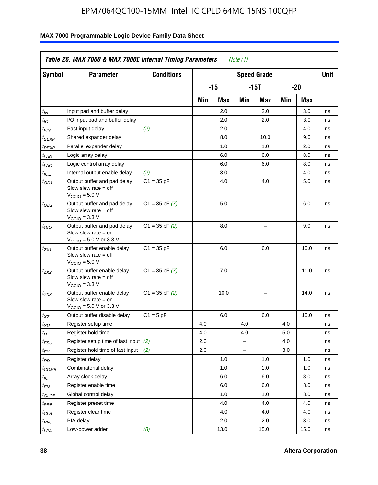| <b>Symbol</b>                 | <b>Parameter</b>                                                                                            | <b>Conditions</b>  |     |      |                          | <b>Speed Grade</b>       |     |      | <b>Unit</b> |
|-------------------------------|-------------------------------------------------------------------------------------------------------------|--------------------|-----|------|--------------------------|--------------------------|-----|------|-------------|
|                               |                                                                                                             |                    |     | -15  |                          | $-15T$                   |     | -20  |             |
|                               |                                                                                                             |                    | Min | Max  | Min                      | Max                      | Min | Max  |             |
| $t_{IN}$                      | Input pad and buffer delay                                                                                  |                    |     | 2.0  |                          | 2.0                      |     | 3.0  | ns          |
| $t_{IO}$                      | I/O input pad and buffer delay                                                                              |                    |     | 2.0  |                          | 2.0                      |     | 3.0  | ns          |
| $t_{\textit{FIN}}$            | Fast input delay                                                                                            | (2)                |     | 2.0  |                          | $\equiv$                 |     | 4.0  | ns          |
| $t_{SEXP}$                    | Shared expander delay                                                                                       |                    |     | 8.0  |                          | 10.0                     |     | 9.0  | ns          |
| t <sub>PEXP</sub>             | Parallel expander delay                                                                                     |                    |     | 1.0  |                          | 1.0                      |     | 2.0  | ns          |
| t <sub>LAD</sub>              | Logic array delay                                                                                           |                    |     | 6.0  |                          | 6.0                      |     | 8.0  | ns          |
| $t_{LAC}$                     | Logic control array delay                                                                                   |                    |     | 6.0  |                          | 6.0                      |     | 8.0  | ns          |
| $t_{IOE}$                     | Internal output enable delay                                                                                | (2)                |     | 3.0  |                          | $\overline{\phantom{0}}$ |     | 4.0  | ns          |
| $t_{OD1}$                     | Output buffer and pad delay<br>Slow slew rate $=$ off<br>$V_{\text{CCIO}} = 5.0 V$                          | $C1 = 35 pF$       |     | 4.0  |                          | 4.0                      |     | 5.0  | ns          |
| $t_{OD2}$                     | Output buffer and pad delay<br>Slow slew rate $=$ off<br>$V_{\text{CCIO}} = 3.3 \text{ V}$                  | $C1 = 35 pF(7)$    |     | 5.0  |                          | $\overline{\phantom{0}}$ |     | 6.0  | ns          |
| $t_{OD3}$                     | Output buffer and pad delay<br>Slow slew rate $=$ on<br>$V_{\text{CCIO}} = 5.0 \text{ V or } 3.3 \text{ V}$ | $C1 = 35$ pF $(2)$ |     | 8.0  |                          |                          |     | 9.0  | ns          |
| $t_{ZX1}$                     | Output buffer enable delay<br>Slow slew rate $=$ off<br>$V_{\text{CCIO}} = 5.0 V$                           | $C1 = 35 pF$       |     | 6.0  |                          | 6.0                      |     | 10.0 | ns          |
| t <sub>ZX2</sub>              | Output buffer enable delay<br>Slow slew rate $=$ off<br>$V_{\text{CCIO}} = 3.3 \text{ V}$                   | $C1 = 35$ pF $(7)$ |     | 7.0  |                          | L,                       |     | 11.0 | ns          |
| t <sub>ZX3</sub>              | Output buffer enable delay<br>Slow slew rate $=$ on<br>$V_{\text{CCIO}} = 5.0 \text{ V or } 3.3 \text{ V}$  | $C1 = 35$ pF $(2)$ |     | 10.0 |                          |                          |     | 14.0 | ns          |
| $t_{\mathsf{XZ}}$             | Output buffer disable delay                                                                                 | $C1 = 5pF$         |     | 6.0  |                          | 6.0                      |     | 10.0 | ns          |
| $t_{\scriptstyle\text{SU}}$   | Register setup time                                                                                         |                    | 4.0 |      | 4.0                      |                          | 4.0 |      | ns          |
| tμ                            | Register hold time                                                                                          |                    | 4.0 |      | 4.0                      |                          | 5.0 |      | ns          |
| t <sub>FSU</sub>              | Register setup time of fast input                                                                           | (2)                | 2.0 |      | $\overline{\phantom{0}}$ |                          | 4.0 |      | ns          |
| t <sub>FH</sub>               | Register hold time of fast input                                                                            | (2)                | 2.0 |      | L.                       |                          | 3.0 |      | ns          |
| $t_{RD}$                      | Register delay                                                                                              |                    |     | 1.0  |                          | 1.0                      |     | 1.0  | ns          |
| $t_{COMB}$                    | Combinatorial delay                                                                                         |                    |     | 1.0  |                          | 1.0                      |     | 1.0  | ns          |
| $t_{IC}$                      | Array clock delay                                                                                           |                    |     | 6.0  |                          | 6.0                      |     | 8.0  | ns          |
| $t_{EN}$                      | Register enable time                                                                                        |                    |     | 6.0  |                          | 6.0                      |     | 8.0  | ns          |
| $t_{\scriptstyle\text{GLOB}}$ | Global control delay                                                                                        |                    |     | 1.0  |                          | 1.0                      |     | 3.0  | ns          |
| $t_{PRE}$                     | Register preset time                                                                                        |                    |     | 4.0  |                          | 4.0                      |     | 4.0  | ns          |
| $t_{\sf CLR}$                 | Register clear time                                                                                         |                    |     | 4.0  |                          | 4.0                      |     | 4.0  | ns          |
| $t_{PIA}$                     | PIA delay                                                                                                   |                    |     | 2.0  |                          | 2.0                      |     | 3.0  | ns          |
| $t_{LPA}$                     | Low-power adder                                                                                             | (8)                |     | 13.0 |                          | 15.0                     |     | 15.0 | ns          |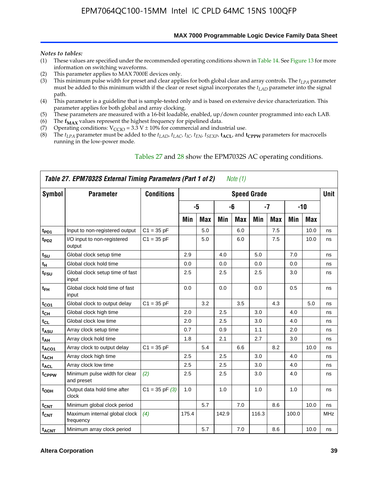**MAX 7000 Programmable Logic Device Family Data Sheet**

#### *Notes to tables:*

- (1) These values are specified under the recommended operating conditions shown in Table 14. See Figure 13 for more information on switching waveforms.
- (2) This parameter applies to MAX 7000E devices only.
- (3) This minimum pulse width for preset and clear applies for both global clear and array controls. The *tLPA* parameter must be added to this minimum width if the clear or reset signal incorporates the  $t_{LAD}$  parameter into the signal path.
- (4) This parameter is a guideline that is sample-tested only and is based on extensive device characterization. This parameter applies for both global and array clocking.
- (5) These parameters are measured with a 16-bit loadable, enabled, up/down counter programmed into each LAB.
- (6) The  $f_{MAX}$  values represent the highest frequency for pipelined data.
- (7) Operating conditions:  $V_{\text{CCIO}} = 3.3 \text{ V} \pm 10\%$  for commercial and industrial use.
- (8) The  $t_{LPA}$  parameter must be added to the  $t_{LAD}$ ,  $t_{LAC}$ ,  $t_{IC}$ ,  $t_{EN}$ ,  $t_{SEXP}$ ,  $t_{ACL}$ , and  $t_{CPPW}$  parameters for macrocells running in the low-power mode.

| Symbol                  | <b>Parameter</b>                            | <b>Conditions</b>  |       |            |       |            | <b>Speed Grade</b> |            |       |       | <b>Unit</b> |
|-------------------------|---------------------------------------------|--------------------|-------|------------|-------|------------|--------------------|------------|-------|-------|-------------|
|                         |                                             |                    |       | $-5$       |       | -6         |                    | $-7$       |       | $-10$ |             |
|                         |                                             |                    | Min   | <b>Max</b> | Min   | <b>Max</b> | Min                | <b>Max</b> | Min   | Max   |             |
| t <sub>PD1</sub>        | Input to non-registered output              | $C1 = 35 pF$       |       | 5.0        |       | 6.0        |                    | 7.5        |       | 10.0  | ns          |
| $t_{PD2}$               | I/O input to non-registered<br>output       | $C1 = 35 pF$       |       | 5.0        |       | 6.0        |                    | 7.5        |       | 10.0  | ns          |
| $t_{\text{SU}}$         | Global clock setup time                     |                    | 2.9   |            | 4.0   |            | 5.0                |            | 7.0   |       | ns          |
| $t_H$                   | Global clock hold time                      |                    | 0.0   |            | 0.0   |            | 0.0                |            | 0.0   |       | ns          |
| t <sub>FSU</sub>        | Global clock setup time of fast<br>input    |                    | 2.5   |            | 2.5   |            | 2.5                |            | 3.0   |       | ns          |
| $t_{FH}$                | Global clock hold time of fast<br>input     |                    | 0.0   |            | 0.0   |            | 0.0                |            | 0.5   |       | ns          |
| $t_{CO1}$               | Global clock to output delay                | $C1 = 35 pF$       |       | 3.2        |       | 3.5        |                    | 4.3        |       | 5.0   | ns          |
| $t_{CH}$                | Global clock high time                      |                    | 2.0   |            | 2.5   |            | 3.0                |            | 4.0   |       | ns          |
| $t_{CL}$                | Global clock low time                       |                    | 2.0   |            | 2.5   |            | 3.0                |            | 4.0   |       | ns          |
| t <sub>ASU</sub>        | Array clock setup time                      |                    | 0.7   |            | 0.9   |            | 1.1                |            | 2.0   |       | ns          |
| t <sub>АН</sub>         | Array clock hold time                       |                    | 1.8   |            | 2.1   |            | 2.7                |            | 3.0   |       | ns          |
| t <sub>ACO1</sub>       | Array clock to output delay                 | $C1 = 35 pF$       |       | 5.4        |       | 6.6        |                    | 8.2        |       | 10.0  | ns          |
| <b>t<sub>ACH</sub></b>  | Array clock high time                       |                    | 2.5   |            | 2.5   |            | 3.0                |            | 4.0   |       | ns          |
| t <sub>ACL</sub>        | Array clock low time                        |                    | 2.5   |            | 2.5   |            | 3.0                |            | 4.0   |       | ns          |
| tcppw                   | Minimum pulse width for clear<br>and preset | (2)                | 2.5   |            | 2.5   |            | 3.0                |            | 4.0   |       | ns          |
| t <sub>ODH</sub>        | Output data hold time after<br>clock        | $C1 = 35$ pF $(3)$ | 1.0   |            | 1.0   |            | 1.0                |            | 1.0   |       | ns          |
| $t_{\text{CNT}}$        | Minimum global clock period                 |                    |       | 5.7        |       | 7.0        |                    | 8.6        |       | 10.0  | ns          |
| $f_{\text{CNT}}$        | Maximum internal global clock<br>frequency  | (4)                | 175.4 |            | 142.9 |            | 116.3              |            | 100.0 |       | <b>MHz</b>  |
| <b>t<sub>ACNT</sub></b> | Minimum array clock period                  |                    |       | 5.7        |       | 7.0        |                    | 8.6        |       | 10.0  | ns          |

### Tables 27 and 28 show the EPM7032S AC operating conditions.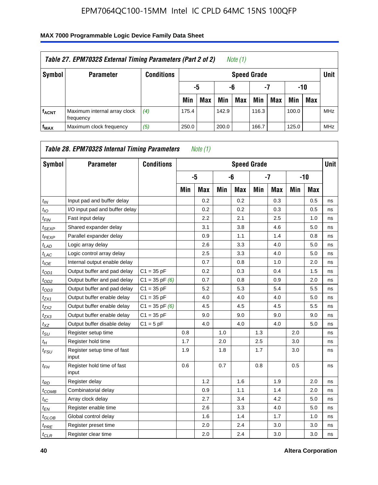# **f<sub>ACNT</sub>** Maximum internal array clock frequency *(4)* 175.4 142.9 116.3 100.0 MHz **fMAX** Maximum clock frequency *(5)* 250.0 200.0 166.7 125.0 MHz *Table 27. EPM7032S External Timing Parameters (Part 2 of 2) Note (1)* **Symbol Parameter Conditions Speed Grade Unit -5 -6 -7 -10** Min | Max | Min | Max | Min | Max | Min | Max

| Symbol                     | <b>Parameter</b>                     | <b>Conditions</b>  |     |            |     |            | <b>Speed Grade</b> |            |     |            | <b>Unit</b> |
|----------------------------|--------------------------------------|--------------------|-----|------------|-----|------------|--------------------|------------|-----|------------|-------------|
|                            |                                      |                    |     | -5         |     | -6         |                    | $-7$       |     | $-10$      |             |
|                            |                                      |                    | Min | <b>Max</b> | Min | <b>Max</b> | Min                | <b>Max</b> | Min | <b>Max</b> |             |
| $t_{IN}$                   | Input pad and buffer delay           |                    |     | 0.2        |     | 0.2        |                    | 0.3        |     | 0.5        | ns          |
| $t_{IO}$                   | I/O input pad and buffer delay       |                    |     | 0.2        |     | 0.2        |                    | 0.3        |     | 0.5        | ns          |
| $t_{\mathsf{FIN}}$         | Fast input delay                     |                    |     | 2.2        |     | 2.1        |                    | 2.5        |     | 1.0        | ns          |
| t <sub>SEXP</sub>          | Shared expander delay                |                    |     | 3.1        |     | 3.8        |                    | 4.6        |     | 5.0        | ns          |
| t <sub>PEXP</sub>          | Parallel expander delay              |                    |     | 0.9        |     | 1.1        |                    | 1.4        |     | 0.8        | ns          |
| $t_{LAD}$                  | Logic array delay                    |                    |     | 2.6        |     | 3.3        |                    | 4.0        |     | 5.0        | ns          |
| $t_{LAC}$                  | Logic control array delay            |                    |     | 2.5        |     | 3.3        |                    | 4.0        |     | 5.0        | ns          |
| $t_{IOE}$                  | Internal output enable delay         |                    |     | 0.7        |     | 0.8        |                    | 1.0        |     | 2.0        | ns          |
| $t_{OD1}$                  | Output buffer and pad delay          | $C1 = 35 pF$       |     | 0.2        |     | 0.3        |                    | 0.4        |     | 1.5        | ns          |
| $t_{OD2}$                  | Output buffer and pad delay          | $C1 = 35$ pF $(6)$ |     | 0.7        |     | 0.8        |                    | 0.9        |     | 2.0        | ns          |
| $t_{OD3}$                  | Output buffer and pad delay          | $C1 = 35 pF$       |     | 5.2        |     | 5.3        |                    | 5.4        |     | 5.5        | ns          |
| $t_{ZX1}$                  | Output buffer enable delay           | $C1 = 35 pF$       |     | 4.0        |     | 4.0        |                    | 4.0        |     | 5.0        | ns          |
| tzx2                       | Output buffer enable delay           | $C1 = 35$ pF $(6)$ |     | 4.5        |     | 4.5        |                    | 4.5        |     | 5.5        | ns          |
| $t_{ZX3}$                  | Output buffer enable delay           | $C1 = 35 pF$       |     | 9.0        |     | 9.0        |                    | 9.0        |     | 9.0        | ns          |
| $t_{XZ}$                   | Output buffer disable delay          | $C1 = 5$ pF        |     | 4.0        |     | 4.0        |                    | 4.0        |     | 5.0        | ns          |
| $t_{\text{SU}}$            | Register setup time                  |                    | 0.8 |            | 1.0 |            | 1.3                |            | 2.0 |            | ns          |
| $t_H$                      | Register hold time                   |                    | 1.7 |            | 2.0 |            | 2.5                |            | 3.0 |            | ns          |
| $t_{FSU}$                  | Register setup time of fast<br>input |                    | 1.9 |            | 1.8 |            | 1.7                |            | 3.0 |            | ns          |
| $t_{FH}$                   | Register hold time of fast<br>input  |                    | 0.6 |            | 0.7 |            | 0.8                |            | 0.5 |            | ns          |
| $t_{RD}$                   | Register delay                       |                    |     | 1.2        |     | 1.6        |                    | 1.9        |     | 2.0        | ns          |
| $t_{COMB}$                 | Combinatorial delay                  |                    |     | 0.9        |     | 1.1        |                    | 1.4        |     | 2.0        | ns          |
| $t_{IC}$                   | Array clock delay                    |                    |     | 2.7        |     | 3.4        |                    | 4.2        |     | 5.0        | ns          |
| $t_{EN}$                   | Register enable time                 |                    |     | 2.6        |     | 3.3        |                    | 4.0        |     | 5.0        | ns          |
| $t_{\scriptstyle\rm GLOB}$ | Global control delay                 |                    |     | 1.6        |     | 1.4        |                    | 1.7        |     | 1.0        | ns          |
| t <sub>PRE</sub>           | Register preset time                 |                    |     | 2.0        |     | 2.4        |                    | 3.0        |     | 3.0        | ns          |
| $t_{CLR}$                  | Register clear time                  |                    |     | 2.0        |     | 2.4        |                    | 3.0        |     | 3.0        | ns          |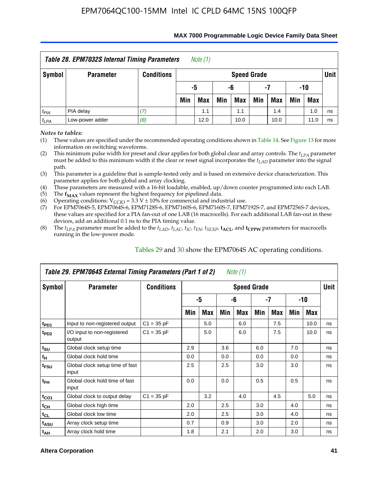| Table 28. EPM7032S Internal Timing Parameters<br>Note (1) |                  |                   |                       |            |     |                    |     |            |     |            |             |  |
|-----------------------------------------------------------|------------------|-------------------|-----------------------|------------|-----|--------------------|-----|------------|-----|------------|-------------|--|
| Symbol                                                    | <b>Parameter</b> | <b>Conditions</b> |                       |            |     | <b>Speed Grade</b> |     |            |     |            | <b>Unit</b> |  |
|                                                           |                  |                   | -10<br>-5<br>-6<br>-7 |            |     |                    |     |            |     |            |             |  |
|                                                           |                  |                   | Min                   | <b>Max</b> | Min | Max                | Min | <b>Max</b> | Min | <b>Max</b> |             |  |
| $t_{PIA}$                                                 | PIA delay        |                   |                       | 1.1        |     | 1.1                |     | 1.4        |     | 1.0        | ns          |  |
| $t_{LPA}$                                                 | Low-power adder  | (8)               |                       | 12.0       |     | 10.0               |     | 10.0       |     | 11.0       | ns          |  |

#### **MAX 7000 Programmable Logic Device Family Data Sheet**

*Notes to tables:*

(1) These values are specified under the recommended operating conditions shown in Table 14. See Figure 13 for more information on switching waveforms.

(2) This minimum pulse width for preset and clear applies for both global clear and array controls. The  $t_{LPA}$  parameter must be added to this minimum width if the clear or reset signal incorporates the *tLAD* parameter into the signal path.

(3) This parameter is a guideline that is sample-tested only and is based on extensive device characterization. This parameter applies for both global and array clocking.

(4) These parameters are measured with a 16-bit loadable, enabled, up/down counter programmed into each LAB.

(5) The  $f_{MAX}$  values represent the highest frequency for pipelined data.

(6) Operating conditions:  $V_{\text{CCIO}} = 3.3 \text{ V} \pm 10\%$  for commercial and industrial use.

(7) For EPM7064S-5, EPM7064S-6, EPM7128S-6, EPM7160S-6, EPM7160S-7, EPM7192S-7, and EPM7256S-7 devices, these values are specified for a PIA fan-out of one LAB (16 macrocells). For each additional LAB fan-out in these devices, add an additional 0.1 ns to the PIA timing value.

(8) The  $t_{LPA}$  parameter must be added to the  $t_{LAD}$ ,  $t_{LAC}$ ,  $t_{IC}$ ,  $t_{EN}$ ,  $t_{SEXP}$ ,  $t_{ACL}$ , and  $t_{CPPW}$  parameters for macrocells running in the low-power mode.

|                  | Table 29. EPM7064S External Timing Parameters (Part 1 of 2)<br>Note (1) |                   |     |     |     |                    |     |     |     |      |      |  |  |  |
|------------------|-------------------------------------------------------------------------|-------------------|-----|-----|-----|--------------------|-----|-----|-----|------|------|--|--|--|
| Symbol           | <b>Parameter</b>                                                        | <b>Conditions</b> |     |     |     | <b>Speed Grade</b> |     |     |     |      | Unit |  |  |  |
|                  |                                                                         |                   |     | -5  |     | -6                 |     | -7  |     | -10  |      |  |  |  |
|                  |                                                                         |                   | Min | Max | Min | Max                | Min | Max | Min | Max  |      |  |  |  |
| t <sub>PD1</sub> | Input to non-registered output                                          | $C1 = 35 pF$      |     | 5.0 |     | 6.0                |     | 7.5 |     | 10.0 | ns   |  |  |  |
| t <sub>PD2</sub> | I/O input to non-registered<br>output                                   | $C1 = 35 pF$      |     | 5.0 |     | 6.0                |     | 7.5 |     | 10.0 | ns   |  |  |  |
| $t_{\text{SU}}$  | Global clock setup time                                                 |                   | 2.9 |     | 3.6 |                    | 6.0 |     | 7.0 |      | ns   |  |  |  |
| $t_H$            | Global clock hold time                                                  |                   | 0.0 |     | 0.0 |                    | 0.0 |     | 0.0 |      | ns   |  |  |  |
| t <sub>FSU</sub> | Global clock setup time of fast<br>input                                |                   | 2.5 |     | 2.5 |                    | 3.0 |     | 3.0 |      | ns   |  |  |  |
| $t_{FH}$         | Global clock hold time of fast<br>input                                 |                   | 0.0 |     | 0.0 |                    | 0.5 |     | 0.5 |      | ns   |  |  |  |
| $t_{CO1}$        | Global clock to output delay                                            | $C1 = 35 pF$      |     | 3.2 |     | 4.0                |     | 4.5 |     | 5.0  | ns   |  |  |  |
| $t_{CH}$         | Global clock high time                                                  |                   | 2.0 |     | 2.5 |                    | 3.0 |     | 4.0 |      | ns   |  |  |  |
| $t_{CL}$         | Global clock low time                                                   |                   | 2.0 |     | 2.5 |                    | 3.0 |     | 4.0 |      | ns   |  |  |  |
| t <sub>ASU</sub> | Array clock setup time                                                  |                   | 0.7 |     | 0.9 |                    | 3.0 |     | 2.0 |      | ns   |  |  |  |
| $t_{AH}$         | Array clock hold time                                                   |                   | 1.8 |     | 2.1 |                    | 2.0 |     | 3.0 |      | ns   |  |  |  |

Tables 29 and 30 show the EPM7064S AC operating conditions.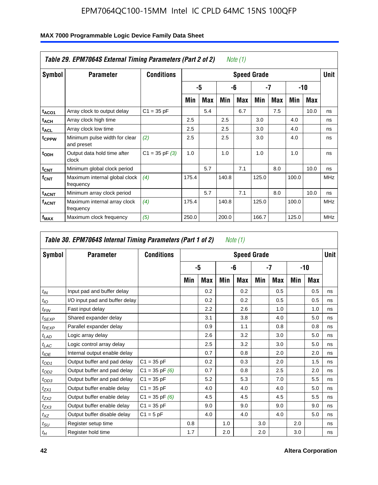| Table 29. EPM7064S External Timing Parameters (Part 2 of 2)<br>Note (1) |                                             |                    |       |     |       |     |                    |     |       |      |             |  |  |
|-------------------------------------------------------------------------|---------------------------------------------|--------------------|-------|-----|-------|-----|--------------------|-----|-------|------|-------------|--|--|
| Symbol                                                                  | <b>Parameter</b>                            | <b>Conditions</b>  |       |     |       |     | <b>Speed Grade</b> |     |       |      | <b>Unit</b> |  |  |
|                                                                         |                                             |                    |       | -5  |       | -6  |                    | -7  |       | -10  |             |  |  |
|                                                                         |                                             |                    | Min   | Max | Min   | Max | Min                | Max | Min   | Max  |             |  |  |
| t <sub>ACO1</sub>                                                       | Array clock to output delay                 | $C1 = 35 pF$       |       | 5.4 |       | 6.7 |                    | 7.5 |       | 10.0 | ns          |  |  |
| $t_{ACH}$                                                               | Array clock high time                       |                    | 2.5   |     | 2.5   |     | 3.0                |     | 4.0   |      | ns          |  |  |
| <sup>t</sup> ACL                                                        | Array clock low time                        |                    | 2.5   |     | 2.5   |     | 3.0                |     | 4.0   |      | ns          |  |  |
| t <sub>CPPW</sub>                                                       | Minimum pulse width for clear<br>and preset | (2)                | 2.5   |     | 2.5   |     | 3.0                |     | 4.0   |      | ns          |  |  |
| t <sub>ODH</sub>                                                        | Output data hold time after<br>clock        | $C1 = 35$ pF $(3)$ | 1.0   |     | 1.0   |     | 1.0                |     | 1.0   |      | ns          |  |  |
| $t_{\text{CNT}}$                                                        | Minimum global clock period                 |                    |       | 5.7 |       | 7.1 |                    | 8.0 |       | 10.0 | ns          |  |  |
| $f_{\text{CNT}}$                                                        | Maximum internal global clock<br>frequency  | (4)                | 175.4 |     | 140.8 |     | 125.0              |     | 100.0 |      | <b>MHz</b>  |  |  |
| <b>t<sub>ACNT</sub></b>                                                 | Minimum array clock period                  |                    |       | 5.7 |       | 7.1 |                    | 8.0 |       | 10.0 | ns          |  |  |
| <sup>f</sup> acnt                                                       | Maximum internal array clock<br>frequency   | (4)                | 175.4 |     | 140.8 |     | 125.0              |     | 100.0 |      | <b>MHz</b>  |  |  |
| f <sub>MAX</sub>                                                        | Maximum clock frequency                     | (5)                | 250.0 |     | 200.0 |     | 166.7              |     | 125.0 |      | <b>MHz</b>  |  |  |

|                   | Table 30. EPM7064S Internal Timing Parameters (Part 1 of 2)<br>Note (1) |                    |     |            |     |                    |     |            |     |            |             |  |  |  |
|-------------------|-------------------------------------------------------------------------|--------------------|-----|------------|-----|--------------------|-----|------------|-----|------------|-------------|--|--|--|
| Symbol            | <b>Parameter</b>                                                        | <b>Conditions</b>  |     |            |     | <b>Speed Grade</b> |     |            |     |            | <b>Unit</b> |  |  |  |
|                   |                                                                         |                    |     | -5         |     | -6                 |     | -7         |     | -10        |             |  |  |  |
|                   |                                                                         |                    | Min | <b>Max</b> | Min | Max                | Min | <b>Max</b> | Min | <b>Max</b> |             |  |  |  |
| $t_{IN}$          | Input pad and buffer delay                                              |                    |     | 0.2        |     | 0.2                |     | 0.5        |     | 0.5        | ns          |  |  |  |
| $t_{IO}$          | I/O input pad and buffer delay                                          |                    |     | 0.2        |     | 0.2                |     | 0.5        |     | 0.5        | ns          |  |  |  |
| $t_{FIN}$         | Fast input delay                                                        |                    |     | 2.2        |     | 2.6                |     | 1.0        |     | 1.0        | ns          |  |  |  |
| t <sub>SEXP</sub> | Shared expander delay                                                   |                    |     | 3.1        |     | 3.8                |     | 4.0        |     | 5.0        | ns          |  |  |  |
| $t_{PEXP}$        | Parallel expander delay                                                 |                    |     | 0.9        |     | 1.1                |     | 0.8        |     | 0.8        | ns          |  |  |  |
| $t_{LAD}$         | Logic array delay                                                       |                    |     | 2.6        |     | 3.2                |     | 3.0        |     | 5.0        | ns          |  |  |  |
| $t_{LAC}$         | Logic control array delay                                               |                    |     | 2.5        |     | 3.2                |     | 3.0        |     | 5.0        | ns          |  |  |  |
| $t_{IOE}$         | Internal output enable delay                                            |                    |     | 0.7        |     | 0.8                |     | 2.0        |     | 2.0        | ns          |  |  |  |
| $t_{OD1}$         | Output buffer and pad delay                                             | $C1 = 35 pF$       |     | 0.2        |     | 0.3                |     | 2.0        |     | 1.5        | ns          |  |  |  |
| $t_{OD2}$         | Output buffer and pad delay                                             | $C1 = 35$ pF $(6)$ |     | 0.7        |     | 0.8                |     | 2.5        |     | 2.0        | ns          |  |  |  |
| $t_{OD3}$         | Output buffer and pad delay                                             | $C1 = 35 pF$       |     | 5.2        |     | 5.3                |     | 7.0        |     | 5.5        | ns          |  |  |  |
| $t_{ZX1}$         | Output buffer enable delay                                              | $C1 = 35 pF$       |     | 4.0        |     | 4.0                |     | 4.0        |     | 5.0        | ns          |  |  |  |
| $t_{ZX2}$         | Output buffer enable delay                                              | $C1 = 35$ pF $(6)$ |     | 4.5        |     | 4.5                |     | 4.5        |     | 5.5        | ns          |  |  |  |
| $t_{ZX3}$         | Output buffer enable delay                                              | $C1 = 35 pF$       |     | 9.0        |     | 9.0                |     | 9.0        |     | 9.0        | ns          |  |  |  |
| $t_{XZ}$          | Output buffer disable delay                                             | $C1 = 5pF$         |     | 4.0        |     | 4.0                |     | 4.0        |     | 5.0        | ns          |  |  |  |
| $t_{\text{SU}}$   | Register setup time                                                     |                    | 0.8 |            | 1.0 |                    | 3.0 |            | 2.0 |            | ns          |  |  |  |
| $t_H$             | Register hold time                                                      |                    | 1.7 |            | 2.0 |                    | 2.0 |            | 3.0 |            | ns          |  |  |  |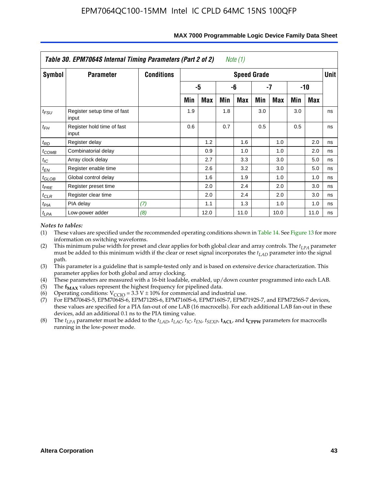|                   | Table 30. EPM7064S Internal Timing Parameters (Part 2 of 2)<br>Note (1) |                   |                         |      |     |                    |     |      |     |            |        |  |  |  |
|-------------------|-------------------------------------------------------------------------|-------------------|-------------------------|------|-----|--------------------|-----|------|-----|------------|--------|--|--|--|
| Symbol            | <b>Parameter</b>                                                        | <b>Conditions</b> |                         |      |     | <b>Speed Grade</b> |     |      |     |            | Unit I |  |  |  |
|                   |                                                                         |                   | -5<br>-6<br>-7<br>$-10$ |      |     |                    |     |      |     |            |        |  |  |  |
|                   |                                                                         |                   | Min                     | Max  | Min | Max                | Min | Max  | Min | <b>Max</b> |        |  |  |  |
| $t_{FSU}$         | Register setup time of fast<br>input                                    |                   | 1.9                     |      | 1.8 |                    | 3.0 |      | 3.0 |            | ns     |  |  |  |
| $t_{FH}$          | Register hold time of fast<br>input                                     |                   | 0.6                     |      | 0.7 |                    | 0.5 |      | 0.5 |            | ns     |  |  |  |
| $t_{RD}$          | Register delay                                                          |                   |                         | 1.2  |     | 1.6                |     | 1.0  |     | 2.0        | ns     |  |  |  |
| $t_{COMB}$        | Combinatorial delay                                                     |                   |                         | 0.9  |     | 1.0                |     | 1.0  |     | 2.0        | ns     |  |  |  |
| $t_{IC}$          | Array clock delay                                                       |                   |                         | 2.7  |     | 3.3                |     | 3.0  |     | 5.0        | ns     |  |  |  |
| $t_{EN}$          | Register enable time                                                    |                   |                         | 2.6  |     | 3.2                |     | 3.0  |     | 5.0        | ns     |  |  |  |
| $t_{\text{GLOB}}$ | Global control delay                                                    |                   |                         | 1.6  |     | 1.9                |     | 1.0  |     | 1.0        | ns     |  |  |  |
| $t_{PRE}$         | Register preset time                                                    |                   |                         | 2.0  |     | 2.4                |     | 2.0  |     | 3.0        | ns     |  |  |  |
| $t_{CLR}$         | Register clear time                                                     |                   |                         | 2.0  |     | 2.4                |     | 2.0  |     | 3.0        | ns     |  |  |  |
| $t_{PIA}$         | PIA delay                                                               | (7)               |                         | 1.1  |     | 1.3                |     | 1.0  |     | 1.0        | ns     |  |  |  |
| $t_{LPA}$         | Low-power adder                                                         | (8)               |                         | 12.0 |     | 11.0               |     | 10.0 |     | 11.0       | ns     |  |  |  |

### **MAX 7000 Programmable Logic Device Family Data Sheet**

### *Notes to tables:*

- (1) These values are specified under the recommended operating conditions shown in Table 14. See Figure 13 for more information on switching waveforms.
- (2) This minimum pulse width for preset and clear applies for both global clear and array controls. The  $t_{LPA}$  parameter must be added to this minimum width if the clear or reset signal incorporates the *t<sub>LAD</sub>* parameter into the signal path.
- (3) This parameter is a guideline that is sample-tested only and is based on extensive device characterization. This parameter applies for both global and array clocking.
- (4) These parameters are measured with a 16-bit loadable, enabled, up/down counter programmed into each LAB.
- (5) The  $f_{MAX}$  values represent the highest frequency for pipelined data.
- (6) Operating conditions:  $V_{\text{CGO}} = 3.3 \text{ V} \pm 10\%$  for commercial and industrial use.
- (7) For EPM7064S-5, EPM7064S-6, EPM7128S-6, EPM7160S-6, EPM7160S-7, EPM7192S-7, and EPM7256S-7 devices, these values are specified for a PIA fan-out of one LAB (16 macrocells). For each additional LAB fan-out in these devices, add an additional 0.1 ns to the PIA timing value.
- (8) The  $t_{LPA}$  parameter must be added to the  $t_{LAD}$ ,  $t_{LAC}$ ,  $t_{IC}$ ,  $t_{EN}$ ,  $t_{SEXP}$ ,  $t_{ACL}$ , and  $t_{CPPW}$  parameters for macrocells running in the low-power mode.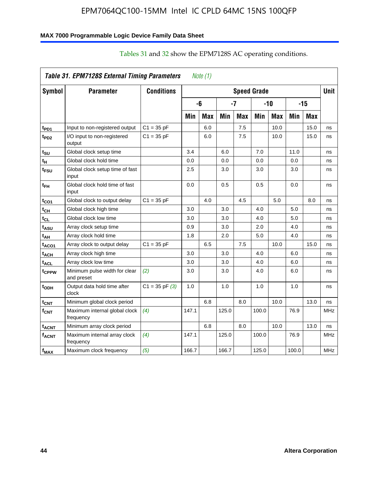### **MAX 7000 Programmable Logic Device Family Data Sheet**

|                          | Table 31. EPM7128S External Timing Parameters |                    |       | Note $(1)$ |            |            |                    |            |       |            |             |
|--------------------------|-----------------------------------------------|--------------------|-------|------------|------------|------------|--------------------|------------|-------|------------|-------------|
| Symbol                   | <b>Parameter</b>                              | <b>Conditions</b>  |       |            |            |            | <b>Speed Grade</b> |            |       |            | <b>Unit</b> |
|                          |                                               |                    |       | -6         |            | -7         |                    | $-10$      |       | $-15$      |             |
|                          |                                               |                    | Min   | <b>Max</b> | <b>Min</b> | <b>Max</b> | Min                | <b>Max</b> | Min   | <b>Max</b> |             |
| t <sub>PD1</sub>         | Input to non-registered output                | $C1 = 35 pF$       |       | 6.0        |            | 7.5        |                    | 10.0       |       | 15.0       | ns          |
| t <sub>PD2</sub>         | I/O input to non-registered<br>output         | $C1 = 35 pF$       |       | 6.0        |            | 7.5        |                    | 10.0       |       | 15.0       | ns          |
| t <sub>SU</sub>          | Global clock setup time                       |                    | 3.4   |            | 6.0        |            | 7.0                |            | 11.0  |            | ns          |
| t <sub>H</sub>           | Global clock hold time                        |                    | 0.0   |            | 0.0        |            | 0.0                |            | 0.0   |            | ns          |
| t <sub>FSU</sub>         | Global clock setup time of fast<br>input      |                    | 2.5   |            | 3.0        |            | 3.0                |            | 3.0   |            | ns          |
| t <sub>ЕН</sub>          | Global clock hold time of fast<br>input       |                    | 0.0   |            | 0.5        |            | 0.5                |            | 0.0   |            | ns          |
| t <sub>CO1</sub>         | Global clock to output delay                  | $C1 = 35 pF$       |       | 4.0        |            | 4.5        |                    | 5.0        |       | 8.0        | ns          |
| $t_{\text{CH}}$          | Global clock high time                        |                    | 3.0   |            | 3.0        |            | 4.0                |            | 5.0   |            | ns          |
| t <sub>CL</sub>          | Global clock low time                         |                    | 3.0   |            | 3.0        |            | 4.0                |            | 5.0   |            | ns          |
| t <sub>ASU</sub>         | Array clock setup time                        |                    | 0.9   |            | 3.0        |            | 2.0                |            | 4.0   |            | ns          |
| t <sub>АН</sub>          | Array clock hold time                         |                    | 1.8   |            | 2.0        |            | 5.0                |            | 4.0   |            | ns          |
| t <sub>ACO1</sub>        | Array clock to output delay                   | $C1 = 35 pF$       |       | 6.5        |            | 7.5        |                    | 10.0       |       | 15.0       | ns          |
| $\mathfrak{t}_{\sf ACH}$ | Array clock high time                         |                    | 3.0   |            | 3.0        |            | 4.0                |            | 6.0   |            | ns          |
| t <sub>ACL</sub>         | Array clock low time                          |                    | 3.0   |            | 3.0        |            | 4.0                |            | 6.0   |            | ns          |
| tcppw                    | Minimum pulse width for clear<br>and preset   | (2)                | 3.0   |            | 3.0        |            | 4.0                |            | 6.0   |            | ns          |
| t <sub>ODH</sub>         | Output data hold time after<br>clock          | $C1 = 35$ pF $(3)$ | 1.0   |            | 1.0        |            | 1.0                |            | 1.0   |            | ns          |
| $t_{\text{CNT}}$         | Minimum global clock period                   |                    |       | 6.8        |            | 8.0        |                    | 10.0       |       | 13.0       | ns          |
| $f_{\text{CNT}}$         | Maximum internal global clock<br>frequency    | (4)                | 147.1 |            | 125.0      |            | 100.0              |            | 76.9  |            | <b>MHz</b>  |
| <sup>t</sup> acnt        | Minimum array clock period                    |                    |       | 6.8        |            | 8.0        |                    | 10.0       |       | 13.0       | ns          |
| <b>f<sub>ACNT</sub></b>  | Maximum internal array clock<br>frequency     | (4)                | 147.1 |            | 125.0      |            | 100.0              |            | 76.9  |            | <b>MHz</b>  |
| $f_{MAX}$                | Maximum clock frequency                       | (5)                | 166.7 |            | 166.7      |            | 125.0              |            | 100.0 |            | <b>MHz</b>  |

# Tables 31 and 32 show the EPM7128S AC operating conditions.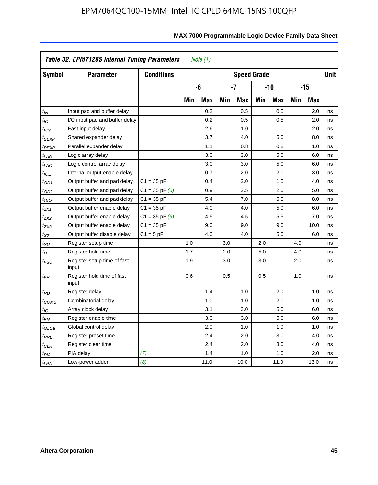| Symbol                      | <b>Parameter</b>                     | <b>Conditions</b>  |     |            |     | <b>Speed Grade</b> |     |            |     |            | <b>Unit</b> |
|-----------------------------|--------------------------------------|--------------------|-----|------------|-----|--------------------|-----|------------|-----|------------|-------------|
|                             |                                      |                    |     | -6         |     | $-7$               |     | $-10$      |     | $-15$      |             |
|                             |                                      |                    | Min | <b>Max</b> | Min | <b>Max</b>         | Min | <b>Max</b> | Min | <b>Max</b> |             |
| $t_{IN}$                    | Input pad and buffer delay           |                    |     | 0.2        |     | 0.5                |     | 0.5        |     | 2.0        | ns          |
| $t_{IO}$                    | I/O input pad and buffer delay       |                    |     | 0.2        |     | 0.5                |     | 0.5        |     | 2.0        | ns          |
| t <sub>FIN</sub>            | Fast input delay                     |                    |     | 2.6        |     | 1.0                |     | 1.0        |     | 2.0        | ns          |
| t <sub>SEXP</sub>           | Shared expander delay                |                    |     | 3.7        |     | 4.0                |     | 5.0        |     | 8.0        | ns          |
| t <sub>PEXP</sub>           | Parallel expander delay              |                    |     | 1.1        |     | 0.8                |     | 0.8        |     | 1.0        | ns          |
| $t_{LAD}$                   | Logic array delay                    |                    |     | 3.0        |     | 3.0                |     | 5.0        |     | 6.0        | ns          |
| $t_{LAC}$                   | Logic control array delay            |                    |     | 3.0        |     | 3.0                |     | 5.0        |     | 6.0        | ns          |
| $t_{IOE}$                   | Internal output enable delay         |                    |     | 0.7        |     | 2.0                |     | 2.0        |     | 3.0        | ns          |
| $t_{OD1}$                   | Output buffer and pad delay          | $C1 = 35 pF$       |     | 0.4        |     | 2.0                |     | 1.5        |     | 4.0        | ns          |
| $t_{OD2}$                   | Output buffer and pad delay          | $C1 = 35$ pF $(6)$ |     | 0.9        |     | 2.5                |     | 2.0        |     | 5.0        | ns          |
| $t_{OD3}$                   | Output buffer and pad delay          | $C1 = 35 pF$       |     | 5.4        |     | 7.0                |     | 5.5        |     | 8.0        | ns          |
| $t_{ZX1}$                   | Output buffer enable delay           | $C1 = 35 pF$       |     | 4.0        |     | 4.0                |     | 5.0        |     | 6.0        | ns          |
| $t_{ZX2}$                   | Output buffer enable delay           | $C1 = 35$ pF $(6)$ |     | 4.5        |     | 4.5                |     | 5.5        |     | 7.0        | ns          |
| $t_{ZX3}$                   | Output buffer enable delay           | $C1 = 35 pF$       |     | 9.0        |     | 9.0                |     | 9.0        |     | 10.0       | ns          |
| $t_{XZ}$                    | Output buffer disable delay          | $C1 = 5pF$         |     | 4.0        |     | 4.0                |     | 5.0        |     | 6.0        | ns          |
| $t_{\scriptstyle\text{SU}}$ | Register setup time                  |                    | 1.0 |            | 3.0 |                    | 2.0 |            | 4.0 |            | ns          |
| $t_H$                       | Register hold time                   |                    | 1.7 |            | 2.0 |                    | 5.0 |            | 4.0 |            | ns          |
| $t_{\it FSU}$               | Register setup time of fast<br>input |                    | 1.9 |            | 3.0 |                    | 3.0 |            | 2.0 |            | ns          |
| $t_{FH}$                    | Register hold time of fast<br>input  |                    | 0.6 |            | 0.5 |                    | 0.5 |            | 1.0 |            | ns          |
| $t_{RD}$                    | Register delay                       |                    |     | 1.4        |     | 1.0                |     | 2.0        |     | 1.0        | ns          |
| $t_{\mathsf{COMB}}$         | Combinatorial delay                  |                    |     | 1.0        |     | 1.0                |     | 2.0        |     | 1.0        | ns          |
| $t_{\mathcal{IC}}$          | Array clock delay                    |                    |     | 3.1        |     | 3.0                |     | 5.0        |     | 6.0        | ns          |
| t <sub>EN</sub>             | Register enable time                 |                    |     | 3.0        |     | 3.0                |     | 5.0        |     | 6.0        | ns          |
| $t_{\scriptstyle\rm GLOB}$  | Global control delay                 |                    |     | 2.0        |     | 1.0                |     | 1.0        |     | 1.0        | ns          |
| $t_{PRE}$                   | Register preset time                 |                    |     | 2.4        |     | 2.0                |     | 3.0        |     | 4.0        | ns          |
| $t_{CLR}$                   | Register clear time                  |                    |     | 2.4        |     | 2.0                |     | 3.0        |     | 4.0        | ns          |
| t <sub>PIA</sub>            | PIA delay                            | (7)                |     | 1.4        |     | 1.0                |     | 1.0        |     | 2.0        | ns          |
| $t_{LPA}$                   | Low-power adder                      | (8)                |     | 11.0       |     | 10.0               |     | 11.0       |     | 13.0       | ns          |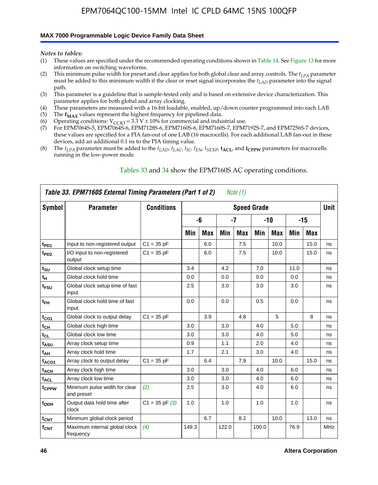### **MAX 7000 Programmable Logic Device Family Data Sheet**

*Notes to tables:*

- (1) These values are specified under the recommended operating conditions shown in Table 14. See Figure 13 for more information on switching waveforms.
- (2) This minimum pulse width for preset and clear applies for both global clear and array controls. The  $t_{LPA}$  parameter must be added to this minimum width if the clear or reset signal incorporates the *tLAD* parameter into the signal path.
- (3) This parameter is a guideline that is sample-tested only and is based on extensive device characterization. This parameter applies for both global and array clocking.
- (4) These parameters are measured with a 16-bit loadable, enabled, up/down counter programmed into each LAB.
- (5) The  $f_{MAX}$  values represent the highest frequency for pipelined data.
- (6) Operating conditions:  $V_{\text{CCIO}} = 3.3 \text{ V} \pm 10\%$  for commercial and industrial use.
- (7) For EPM7064S-5, EPM7064S-6, EPM7128S-6, EPM7160S-6, EPM7160S-7, EPM7192S-7, and EPM7256S-7 devices, these values are specified for a PIA fan-out of one LAB (16 macrocells). For each additional LAB fan-out in these devices, add an additional 0.1 ns to the PIA timing value.
- (8) The  $t_{LPA}$  parameter must be added to the  $t_{LAD}$ ,  $t_{LAC}$ ,  $t_{IC}$ ,  $t_{EN}$ ,  $t_{SEXP}$ ,  $t_{ACL}$ , and  $t_{CPPW}$  parameters for macrocells running in the low-power mode.

|                   | Table 33. EPM7160S External Timing Parameters (Part 1 of 2) |                    |       |            |       | Note (1) |                    |            |      |      |            |
|-------------------|-------------------------------------------------------------|--------------------|-------|------------|-------|----------|--------------------|------------|------|------|------------|
| Symbol            | <b>Parameter</b>                                            | <b>Conditions</b>  |       |            |       |          | <b>Speed Grade</b> |            |      |      | Unit       |
|                   |                                                             |                    |       | -6         |       | $-7$     |                    | $-10$      |      | -15  |            |
|                   |                                                             |                    | Min   | <b>Max</b> | Min   | Max      | Min                | <b>Max</b> | Min  | Max  |            |
| t <sub>PD1</sub>  | Input to non-registered output                              | $C1 = 35 pF$       |       | 6.0        |       | 7.5      |                    | 10.0       |      | 15.0 | ns         |
| $t_{PD2}$         | I/O input to non-registered<br>output                       | $C1 = 35 pF$       |       | 6.0        |       | 7.5      |                    | 10.0       |      | 15.0 | ns         |
| $t_{\text{SU}}$   | Global clock setup time                                     |                    | 3.4   |            | 4.2   |          | 7.0                |            | 11.0 |      | ns         |
| $t_H$             | Global clock hold time                                      |                    | 0.0   |            | 0.0   |          | 0.0                |            | 0.0  |      | ns         |
| t <sub>FSU</sub>  | Global clock setup time of fast<br>input                    |                    | 2.5   |            | 3.0   |          | 3.0                |            | 3.0  |      | ns         |
| $t_{FH}$          | Global clock hold time of fast<br>input                     |                    | 0.0   |            | 0.0   |          | 0.5                |            | 0.0  |      | ns         |
| $t_{CO1}$         | Global clock to output delay                                | $C1 = 35 pF$       |       | 3.9        |       | 4.8      |                    | 5          |      | 8    | ns         |
| $t_{CH}$          | Global clock high time                                      |                    | 3.0   |            | 3.0   |          | 4.0                |            | 5.0  |      | ns         |
| $t_{CL}$          | Global clock low time                                       |                    | 3.0   |            | 3.0   |          | 4.0                |            | 5.0  |      | ns         |
| t <sub>ASU</sub>  | Array clock setup time                                      |                    | 0.9   |            | 1.1   |          | 2.0                |            | 4.0  |      | ns         |
| t <sub>AH</sub>   | Array clock hold time                                       |                    | 1.7   |            | 2.1   |          | 3.0                |            | 4.0  |      | ns         |
| t <sub>ACO1</sub> | Array clock to output delay                                 | $C1 = 35 pF$       |       | 6.4        |       | 7.9      |                    | 10.0       |      | 15.0 | ns         |
| $t_{ACH}$         | Array clock high time                                       |                    | 3.0   |            | 3.0   |          | 4.0                |            | 6.0  |      | ns         |
| t <sub>ACL</sub>  | Array clock low time                                        |                    | 3.0   |            | 3.0   |          | 4.0                |            | 6.0  |      | ns         |
| tcppw             | Minimum pulse width for clear<br>and preset                 | (2)                | 2.5   |            | 3.0   |          | 4.0                |            | 6.0  |      | ns         |
| $t_{ODH}$         | Output data hold time after<br>clock                        | $C1 = 35$ pF $(3)$ | 1.0   |            | 1.0   |          | 1.0                |            | 1.0  |      | ns         |
| $t_{\text{CNT}}$  | Minimum global clock period                                 |                    |       | 6.7        |       | 8.2      |                    | 10.0       |      | 13.0 | ns         |
| $f_{\text{CNT}}$  | Maximum internal global clock<br>frequency                  | (4)                | 149.3 |            | 122.0 |          | 100.0              |            | 76.9 |      | <b>MHz</b> |

### Tables 33 and 34 show the EPM7160S AC operating conditions.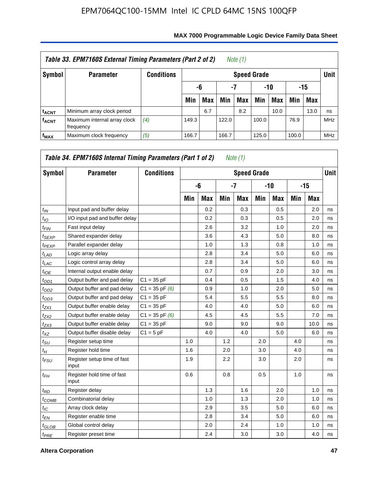|                         | Table 33. EPM7160S External Timing Parameters (Part 2 of 2) |                   |       |                        |       | Note (1) |       |      |       |            |            |  |  |
|-------------------------|-------------------------------------------------------------|-------------------|-------|------------------------|-------|----------|-------|------|-------|------------|------------|--|--|
| Symbol                  | <b>Parameter</b>                                            | <b>Conditions</b> |       | <b>Speed Grade</b>     |       |          |       |      |       |            |            |  |  |
|                         |                                                             |                   |       | -7<br>-15<br>-10<br>-6 |       |          |       |      |       |            |            |  |  |
|                         |                                                             |                   | Min   | <b>Max</b>             | Min   | Max      | Min   | Max  | Min   | <b>Max</b> |            |  |  |
| <sup>t</sup> acnt       | Minimum array clock period                                  |                   |       | 6.7                    |       | 8.2      |       | 10.0 |       | 13.0       | ns         |  |  |
| <b>f<sub>ACNT</sub></b> | Maximum internal array clock<br>frequency                   | (4)               | 149.3 |                        | 122.0 |          | 100.0 |      | 76.9  |            | <b>MHz</b> |  |  |
| f <sub>MAX</sub>        | Maximum clock frequency                                     | (5)               | 166.7 |                        | 166.7 |          | 125.0 |      | 100.0 |            | <b>MHz</b> |  |  |

| Symbol          | <b>Parameter</b>                     | <b>Conditions</b>  |     |            |     | <b>Speed Grade</b> |     |            |     |            | Unit I |
|-----------------|--------------------------------------|--------------------|-----|------------|-----|--------------------|-----|------------|-----|------------|--------|
|                 |                                      |                    |     | -6         |     | $-7$               |     | $-10$      |     | $-15$      |        |
|                 |                                      |                    | Min | <b>Max</b> | Min | Max                | Min | <b>Max</b> | Min | <b>Max</b> |        |
| $t_{IN}$        | Input pad and buffer delay           |                    |     | 0.2        |     | 0.3                |     | 0.5        |     | 2.0        | ns     |
| $t_{IO}$        | I/O input pad and buffer delay       |                    |     | 0.2        |     | 0.3                |     | 0.5        |     | 2.0        | ns     |
| $t_{FIN}$       | Fast input delay                     |                    |     | 2.6        |     | 3.2                |     | 1.0        |     | 2.0        | ns     |
| $t_{SEXP}$      | Shared expander delay                |                    |     | 3.6        |     | 4.3                |     | 5.0        |     | 8.0        | ns     |
| $t_{PEXP}$      | Parallel expander delay              |                    |     | 1.0        |     | 1.3                |     | 0.8        |     | 1.0        | ns     |
| $t_{LAD}$       | Logic array delay                    |                    |     | 2.8        |     | 3.4                |     | 5.0        |     | 6.0        | ns     |
| $t_{LAC}$       | Logic control array delay            |                    |     | 2.8        |     | 3.4                |     | 5.0        |     | 6.0        | ns     |
| $t_{IOE}$       | Internal output enable delay         |                    |     | 0.7        |     | 0.9                |     | 2.0        |     | 3.0        | ns     |
| $t_{OD1}$       | Output buffer and pad delay          | $C1 = 35$ pF       |     | 0.4        |     | 0.5                |     | 1.5        |     | 4.0        | ns     |
| $t_{OD2}$       | Output buffer and pad delay          | $C1 = 35$ pF $(6)$ |     | 0.9        |     | 1.0                |     | 2.0        |     | 5.0        | ns     |
| $t_{OD3}$       | Output buffer and pad delay          | $C1 = 35 pF$       |     | 5.4        |     | 5.5                |     | 5.5        |     | 8.0        | ns     |
| $t_{ZX1}$       | Output buffer enable delay           | $C1 = 35 pF$       |     | 4.0        |     | 4.0                |     | 5.0        |     | 6.0        | ns     |
| $t_{ZX2}$       | Output buffer enable delay           | $C1 = 35$ pF $(6)$ |     | 4.5        |     | 4.5                |     | 5.5        |     | 7.0        | ns     |
| $t_{ZX3}$       | Output buffer enable delay           | $C1 = 35$ pF       |     | 9.0        |     | 9.0                |     | 9.0        |     | 10.0       | ns     |
| $t_{XZ}$        | Output buffer disable delay          | $C1 = 5pF$         |     | 4.0        |     | 4.0                |     | 5.0        |     | 6.0        | ns     |
| $t_{\rm SU}$    | Register setup time                  |                    | 1.0 |            | 1.2 |                    | 2.0 |            | 4.0 |            | ns     |
| $t_H$           | Register hold time                   |                    | 1.6 |            | 2.0 |                    | 3.0 |            | 4.0 |            | ns     |
| $t_{FSU}$       | Register setup time of fast<br>input |                    | 1.9 |            | 2.2 |                    | 3.0 |            | 2.0 |            | ns     |
| $t_{FH}$        | Register hold time of fast<br>input  |                    | 0.6 |            | 0.8 |                    | 0.5 |            | 1.0 |            | ns     |
| $t_{RD}$        | Register delay                       |                    |     | 1.3        |     | 1.6                |     | 2.0        |     | 1.0        | ns     |
| $t_{COMB}$      | Combinatorial delay                  |                    |     | 1.0        |     | 1.3                |     | 2.0        |     | 1.0        | ns     |
| $t_{\text{IC}}$ | Array clock delay                    |                    |     | 2.9        |     | 3.5                |     | 5.0        |     | 6.0        | ns     |
| $t_{EN}$        | Register enable time                 |                    |     | 2.8        |     | 3.4                |     | 5.0        |     | 6.0        | ns     |
| $t_{GLOB}$      | Global control delay                 |                    |     | 2.0        |     | 2.4                |     | 1.0        |     | 1.0        | ns     |
| $t_{PRE}$       | Register preset time                 |                    |     | 2.4        |     | 3.0                |     | 3.0        |     | 4.0        | ns     |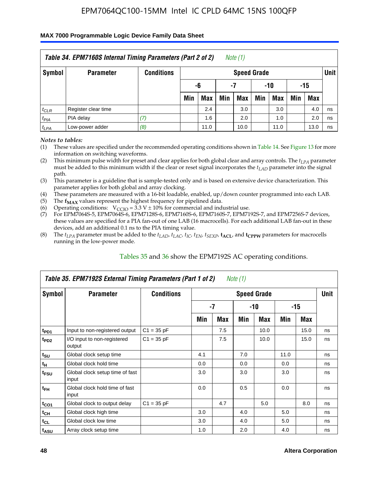### **MAX 7000 Programmable Logic Device Family Data Sheet**

|           | Table 34. EPM7160S Internal Timing Parameters (Part 2 of 2) |                   |                        |      |     | Note $(1)$         |     |      |     |      |             |  |
|-----------|-------------------------------------------------------------|-------------------|------------------------|------|-----|--------------------|-----|------|-----|------|-------------|--|
| Symbol    | <b>Parameter</b>                                            | <b>Conditions</b> |                        |      |     | <b>Speed Grade</b> |     |      |     |      | <b>Unit</b> |  |
|           |                                                             |                   | -15<br>-10<br>-6<br>-7 |      |     |                    |     |      |     |      |             |  |
|           |                                                             |                   | Min                    | Max  | Min | <b>Max</b>         | Min | Max  | Min | Max  |             |  |
| $t_{CLR}$ | Register clear time                                         |                   |                        | 2.4  |     | 3.0                |     | 3.0  |     | 4.0  | ns          |  |
| $t_{PIA}$ | PIA delay                                                   | (7)               |                        | 1.6  |     | 2.0                |     | 1.0  |     | 2.0  | ns          |  |
| $t_{LPA}$ | Low-power adder                                             | (8)               |                        | 11.0 |     | 10.0               |     | 11.0 |     | 13.0 | ns          |  |

*Notes to tables:*

- (1) These values are specified under the recommended operating conditions shown in Table 14. See Figure 13 for more information on switching waveforms.
- (2) This minimum pulse width for preset and clear applies for both global clear and array controls. The  $t_{LPA}$  parameter must be added to this minimum width if the clear or reset signal incorporates the *t<sub>LAD</sub>* parameter into the signal path.
- (3) This parameter is a guideline that is sample-tested only and is based on extensive device characterization. This parameter applies for both global and array clocking.
- (4) These parameters are measured with a 16-bit loadable, enabled, up/down counter programmed into each LAB.
- (5) The  $f_{MAX}$  values represent the highest frequency for pipelined data.
- (6) Operating conditions:  $V_{\text{CCIO}} = 3.3 V \pm 10\%$  for commercial and industrial use.
- (7) For EPM7064S-5, EPM7064S-6, EPM7128S-6, EPM7160S-6, EPM7160S-7, EPM7192S-7, and EPM7256S-7 devices, these values are specified for a PIA fan-out of one LAB (16 macrocells). For each additional LAB fan-out in these devices, add an additional 0.1 ns to the PIA timing value.
- (8) The  $t_{LPA}$  parameter must be added to the  $t_{LAP}$ ,  $t_{LAC}$ ,  $t_{IC}$ ,  $t_{EN}$ ,  $t_{SEXP}$ ,  $t_{ACL}$ , and  $t_{CPPW}$  parameters for macrocells running in the low-power mode.

|                             | Table 35. EPM7192S External Timing Parameters (Part 1 of 2) |                   |     |     | Note (1) |                    |      |       |             |
|-----------------------------|-------------------------------------------------------------|-------------------|-----|-----|----------|--------------------|------|-------|-------------|
| Symbol                      | <b>Parameter</b>                                            | <b>Conditions</b> |     |     |          | <b>Speed Grade</b> |      |       | <b>Unit</b> |
|                             |                                                             |                   |     | -7  |          | -10                |      | $-15$ |             |
|                             |                                                             |                   | Min | Max | Min      | Max                | Min  | Max   |             |
| t <sub>PD1</sub>            | Input to non-registered output                              | $C1 = 35 pF$      |     | 7.5 |          | 10.0               |      | 15.0  | ns          |
| $t_{PD2}$                   | I/O input to non-registered<br>output                       | $C1 = 35 pF$      |     | 7.5 |          | 10.0               |      | 15.0  | ns          |
| $t_{\scriptstyle\text{SU}}$ | Global clock setup time                                     |                   | 4.1 |     | 7.0      |                    | 11.0 |       | ns          |
| $t_H$                       | Global clock hold time                                      |                   | 0.0 |     | 0.0      |                    | 0.0  |       | ns          |
| t <sub>FSU</sub>            | Global clock setup time of fast<br>input                    |                   | 3.0 |     | 3.0      |                    | 3.0  |       | ns          |
| $t_{FH}$                    | Global clock hold time of fast<br>input                     |                   | 0.0 |     | 0.5      |                    | 0.0  |       | ns          |
| $t_{CO1}$                   | Global clock to output delay                                | $C1 = 35 pF$      |     | 4.7 |          | 5.0                |      | 8.0   | ns          |
| $t_{CH}$                    | Global clock high time                                      |                   | 3.0 |     | 4.0      |                    | 5.0  |       | ns          |
| $t_{CL}$                    | Global clock low time                                       |                   | 3.0 |     | 4.0      |                    | 5.0  |       | ns          |
| t <sub>ASU</sub>            | Array clock setup time                                      |                   | 1.0 |     | 2.0      |                    | 4.0  |       | ns          |

### Tables 35 and 36 show the EPM7192S AC operating conditions.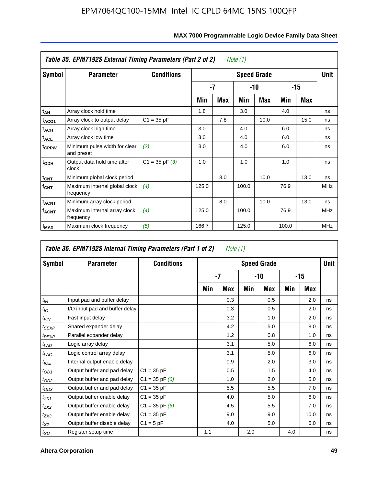|                         | Table 35. EPM7192S External Timing Parameters (Part 2 of 2) |                    |       |     | Note (1) |                    |       |      |            |
|-------------------------|-------------------------------------------------------------|--------------------|-------|-----|----------|--------------------|-------|------|------------|
| Symbol                  | <b>Parameter</b>                                            | <b>Conditions</b>  |       |     |          | <b>Speed Grade</b> |       |      | Unit       |
|                         |                                                             |                    |       | -7  |          | -10                |       | -15  |            |
|                         |                                                             |                    | Min   | Max | Min      | <b>Max</b>         | Min   | Max  |            |
| t <sub>АН</sub>         | Array clock hold time                                       |                    | 1.8   |     | 3.0      |                    | 4.0   |      | ns         |
| t <sub>ACO1</sub>       | Array clock to output delay                                 | $C1 = 35 pF$       |       | 7.8 |          | 10.0               |       | 15.0 | ns         |
| $t_{\sf ACH}$           | Array clock high time                                       |                    | 3.0   |     | 4.0      |                    | 6.0   |      | ns         |
| $t_{\sf ACL}$           | Array clock low time                                        |                    | 3.0   |     | 4.0      |                    | 6.0   |      | ns         |
| t <sub>CPPW</sub>       | Minimum pulse width for clear<br>and preset                 | (2)                | 3.0   |     | 4.0      |                    | 6.0   |      | ns         |
| $t_{ODH}$               | Output data hold time after<br>clock                        | $C1 = 35$ pF $(3)$ | 1.0   |     | 1.0      |                    | 1.0   |      | ns         |
| $t_{\mathsf{CNT}}$      | Minimum global clock period                                 |                    |       | 8.0 |          | 10.0               |       | 13.0 | ns         |
| $f_{\text{CNT}}$        | Maximum internal global clock<br>frequency                  | (4)                | 125.0 |     | 100.0    |                    | 76.9  |      | <b>MHz</b> |
| $t_{ACNT}$              | Minimum array clock period                                  |                    |       | 8.0 |          | 10.0               |       | 13.0 | ns         |
| <b>f<sub>ACNT</sub></b> | Maximum internal array clock<br>frequency                   | (4)                | 125.0 |     | 100.0    |                    | 76.9  |      | <b>MHz</b> |
| f <sub>MAX</sub>        | Maximum clock frequency                                     | (5)                | 166.7 |     | 125.0    |                    | 100.0 |      | <b>MHz</b> |

|                   | Table 36. EPM7192S Internal Timing Parameters (Part 1 of 2) |                    |     | Note (1) |     |                    |     |       |      |
|-------------------|-------------------------------------------------------------|--------------------|-----|----------|-----|--------------------|-----|-------|------|
| Symbol            | <b>Parameter</b>                                            | <b>Conditions</b>  |     |          |     | <b>Speed Grade</b> |     |       | Unit |
|                   |                                                             |                    |     | $-7$     |     | -10                |     | $-15$ |      |
|                   |                                                             |                    | Min | Max      | Min | Max                | Min | Max   |      |
| $t_{IN}$          | Input pad and buffer delay                                  |                    |     | 0.3      |     | 0.5                |     | 2.0   | ns   |
| $t_{IO}$          | I/O input pad and buffer delay                              |                    |     | 0.3      |     | 0.5                |     | 2.0   | ns   |
| $t_{\sf FIN}$     | Fast input delay                                            |                    |     | 3.2      |     | 1.0                |     | 2.0   | ns   |
| t <sub>SEXP</sub> | Shared expander delay                                       |                    |     | 4.2      |     | 5.0                |     | 8.0   | ns   |
| $t_{PEXP}$        | Parallel expander delay                                     |                    |     | 1.2      |     | 0.8                |     | 1.0   | ns   |
| $t_{LAD}$         | Logic array delay                                           |                    |     | 3.1      |     | 5.0                |     | 6.0   | ns   |
| $t_{LAC}$         | Logic control array delay                                   |                    |     | 3.1      |     | 5.0                |     | 6.0   | ns   |
| $t_{IOE}$         | Internal output enable delay                                |                    |     | 0.9      |     | 2.0                |     | 3.0   | ns   |
| $t_{OD1}$         | Output buffer and pad delay                                 | $C1 = 35 pF$       |     | 0.5      |     | 1.5                |     | 4.0   | ns   |
| $t_{OD2}$         | Output buffer and pad delay                                 | $C1 = 35$ pF $(6)$ |     | 1.0      |     | 2.0                |     | 5.0   | ns   |
| $t_{OD3}$         | Output buffer and pad delay                                 | $C1 = 35 pF$       |     | 5.5      |     | 5.5                |     | 7.0   | ns   |
| $t_{ZX1}$         | Output buffer enable delay                                  | $C1 = 35 pF$       |     | 4.0      |     | 5.0                |     | 6.0   | ns   |
| t <sub>ZX2</sub>  | Output buffer enable delay                                  | $C1 = 35$ pF $(6)$ |     | 4.5      |     | 5.5                |     | 7.0   | ns   |
| $t_{ZX3}$         | Output buffer enable delay                                  | $C1 = 35 pF$       |     | 9.0      |     | 9.0                |     | 10.0  | ns   |
| $t_{XZ}$          | Output buffer disable delay                                 | $C1 = 5pF$         |     | 4.0      |     | 5.0                |     | 6.0   | ns   |
| $t_{\text{SU}}$   | Register setup time                                         |                    | 1.1 |          | 2.0 |                    | 4.0 |       | ns   |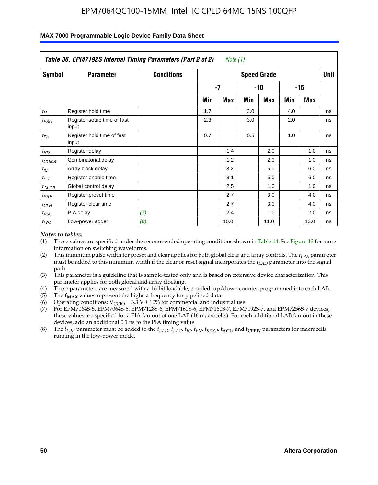|                    | Table 36. EPM7192S Internal Timing Parameters (Part 2 of 2) |                   |     | Note (1) |     |                    |     |       |      |
|--------------------|-------------------------------------------------------------|-------------------|-----|----------|-----|--------------------|-----|-------|------|
| Symbol             | <b>Parameter</b>                                            | <b>Conditions</b> |     |          |     | <b>Speed Grade</b> |     |       | Unit |
|                    |                                                             |                   |     | -7       |     | -10                |     | $-15$ |      |
|                    |                                                             |                   | Min | Max      | Min | Max                | Min | Max   |      |
| $t_H$              | Register hold time                                          |                   | 1.7 |          | 3.0 |                    | 4.0 |       | ns   |
| $t_{\mathit{FSU}}$ | Register setup time of fast<br>input                        |                   | 2.3 |          | 3.0 |                    | 2.0 |       | ns   |
| $t_{FH}$           | Register hold time of fast<br>input                         |                   | 0.7 |          | 0.5 |                    | 1.0 |       | ns   |
| $t_{RD}$           | Register delay                                              |                   |     | 1.4      |     | 2.0                |     | 1.0   | ns   |
| $t_{\text{COMB}}$  | Combinatorial delay                                         |                   |     | 1.2      |     | 2.0                |     | 1.0   | ns   |
| $t_{IC}$           | Array clock delay                                           |                   |     | 3.2      |     | 5.0                |     | 6.0   | ns   |
| $t_{EN}$           | Register enable time                                        |                   |     | 3.1      |     | 5.0                |     | 6.0   | ns   |
| $t_{GLOB}$         | Global control delay                                        |                   |     | 2.5      |     | 1.0                |     | 1.0   | ns   |
| $t_{PRE}$          | Register preset time                                        |                   |     | 2.7      |     | 3.0                |     | 4.0   | ns   |
| $t_{CLR}$          | Register clear time                                         |                   |     | 2.7      |     | 3.0                |     | 4.0   | ns   |
| t <sub>PIA</sub>   | PIA delay                                                   | (7)               |     | 2.4      |     | 1.0                |     | 2.0   | ns   |
| $t_{LPA}$          | Low-power adder                                             | (8)               |     | 10.0     |     | 11.0               |     | 13.0  | ns   |

### **MAX 7000 Programmable Logic Device Family Data Sheet**

#### *Notes to tables:*

- (1) These values are specified under the recommended operating conditions shown in Table 14. See Figure 13 for more information on switching waveforms.
- (2) This minimum pulse width for preset and clear applies for both global clear and array controls. The *tLPA* parameter must be added to this minimum width if the clear or reset signal incorporates the *t<sub>LAD</sub>* parameter into the signal path.
- (3) This parameter is a guideline that is sample-tested only and is based on extensive device characterization. This parameter applies for both global and array clocking.
- (4) These parameters are measured with a 16-bit loadable, enabled, up/down counter programmed into each LAB.
- (5) The  $f_{MAX}$  values represent the highest frequency for pipelined data.
- (6) Operating conditions:  $V_{\text{CCIO}} = 3.3 \text{ V} \pm 10\%$  for commercial and industrial use.
- (7) For EPM7064S-5, EPM7064S-6, EPM7128S-6, EPM7160S-6, EPM7160S-7, EPM7192S-7, and EPM7256S-7 devices, these values are specified for a PIA fan-out of one LAB (16 macrocells). For each additional LAB fan-out in these devices, add an additional 0.1 ns to the PIA timing value.
- (8) The  $t_{LPA}$  parameter must be added to the  $t_{LAD}$ ,  $t_{LAC}$ ,  $t_{IC}$ ,  $t_{EN}$ ,  $t_{SIX}$ ,  $t_{ACL}$ , and  $t_{CPW}$  parameters for macrocells running in the low-power mode.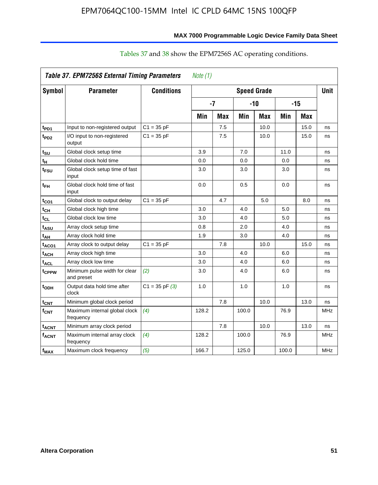|                         | <b>Table 37. EPM7256S External Timing Parameters</b> |                    | Note $(1)$ |     |                    |      |       |            |             |
|-------------------------|------------------------------------------------------|--------------------|------------|-----|--------------------|------|-------|------------|-------------|
| Symbol                  | <b>Parameter</b>                                     | <b>Conditions</b>  |            |     | <b>Speed Grade</b> |      |       |            | <b>Unit</b> |
|                         |                                                      |                    | $-7$       |     | $-10$              |      | $-15$ |            |             |
|                         |                                                      |                    | Min        | Max | Min                | Max  | Min   | <b>Max</b> |             |
| t <sub>PD1</sub>        | Input to non-registered output                       | $C1 = 35 pF$       |            | 7.5 |                    | 10.0 |       | 15.0       | ns          |
| t <sub>PD2</sub>        | I/O input to non-registered<br>output                | $C1 = 35 pF$       |            | 7.5 |                    | 10.0 |       | 15.0       | ns          |
| $t_{\text{SU}}$         | Global clock setup time                              |                    | 3.9        |     | 7.0                |      | 11.0  |            | ns          |
| tн                      | Global clock hold time                               |                    | 0.0        |     | 0.0                |      | 0.0   |            | ns          |
| $t_{\sf{FSU}}$          | Global clock setup time of fast<br>input             |                    | 3.0        |     | 3.0                |      | 3.0   |            | ns          |
| $t_{FH}$                | Global clock hold time of fast<br>input              |                    | 0.0        |     | 0.5                |      | 0.0   |            | ns          |
| $t_{CO1}$               | Global clock to output delay                         | $C1 = 35 pF$       |            | 4.7 |                    | 5.0  |       | 8.0        | ns          |
| $t_{CH}$                | Global clock high time                               |                    | 3.0        |     | 4.0                |      | 5.0   |            | ns          |
| $t_{CL}$                | Global clock low time                                |                    | 3.0        |     | 4.0                |      | 5.0   |            | ns          |
| t <sub>ASU</sub>        | Array clock setup time                               |                    | 0.8        |     | 2.0                |      | 4.0   |            | ns          |
| $t_{AH}$                | Array clock hold time                                |                    | 1.9        |     | 3.0                |      | 4.0   |            | ns          |
| t <sub>ACO1</sub>       | Array clock to output delay                          | $C1 = 35 pF$       |            | 7.8 |                    | 10.0 |       | 15.0       | ns          |
| t <sub>ACH</sub>        | Array clock high time                                |                    | 3.0        |     | 4.0                |      | 6.0   |            | ns          |
| $t_{\sf ACL}$           | Array clock low time                                 |                    | 3.0        |     | 4.0                |      | 6.0   |            | ns          |
| t <sub>CPPW</sub>       | Minimum pulse width for clear<br>and preset          | (2)                | 3.0        |     | 4.0                |      | 6.0   |            | ns          |
| t <sub>ODH</sub>        | Output data hold time after<br>clock                 | $C1 = 35$ pF $(3)$ | 1.0        |     | 1.0                |      | 1.0   |            | ns          |
| $t_{CNT}$               | Minimum global clock period                          |                    |            | 7.8 |                    | 10.0 |       | 13.0       | ns          |
| $f_{\mathsf{CNT}}$      | Maximum internal global clock<br>frequency           | (4)                | 128.2      |     | 100.0              |      | 76.9  |            | <b>MHz</b>  |
| <b>t<sub>ACNT</sub></b> | Minimum array clock period                           |                    |            | 7.8 |                    | 10.0 |       | 13.0       | ns          |
| f <sub>ACNT</sub>       | Maximum internal array clock<br>frequency            | (4)                | 128.2      |     | 100.0              |      | 76.9  |            | <b>MHz</b>  |
| f <sub>MAX</sub>        | Maximum clock frequency                              | (5)                | 166.7      |     | 125.0              |      | 100.0 |            | <b>MHz</b>  |

# Tables 37 and 38 show the EPM7256S AC operating conditions.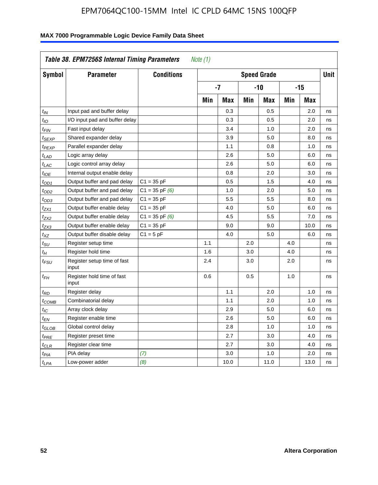| Symbol                      | <b>Parameter</b>                     | <b>Conditions</b>  |     |            |     | <b>Speed Grade</b> |            |            | <b>Unit</b> |
|-----------------------------|--------------------------------------|--------------------|-----|------------|-----|--------------------|------------|------------|-------------|
|                             |                                      |                    |     | -7         |     | -10                |            | $-15$      |             |
|                             |                                      |                    | Min | <b>Max</b> | Min | <b>Max</b>         | <b>Min</b> | <b>Max</b> |             |
| $t_{IN}$                    | Input pad and buffer delay           |                    |     | 0.3        |     | 0.5                |            | 2.0        | ns          |
| $t_{IO}$                    | I/O input pad and buffer delay       |                    |     | 0.3        |     | 0.5                |            | 2.0        | ns          |
| t <sub>FIN</sub>            | Fast input delay                     |                    |     | 3.4        |     | 1.0                |            | 2.0        | ns          |
| t <sub>SEXP</sub>           | Shared expander delay                |                    |     | 3.9        |     | 5.0                |            | 8.0        | ns          |
| t <sub>PEXP</sub>           | Parallel expander delay              |                    |     | 1.1        |     | 0.8                |            | 1.0        | ns          |
| t <sub>LAD</sub>            | Logic array delay                    |                    |     | 2.6        |     | 5.0                |            | 6.0        | ns          |
| $t_{LAC}$                   | Logic control array delay            |                    |     | 2.6        |     | 5.0                |            | 6.0        | ns          |
| $t_{IOE}$                   | Internal output enable delay         |                    |     | 0.8        |     | 2.0                |            | 3.0        | ns          |
| $t_{OD1}$                   | Output buffer and pad delay          | $C1 = 35 pF$       |     | 0.5        |     | 1.5                |            | 4.0        | ns          |
| t <sub>OD2</sub>            | Output buffer and pad delay          | $C1 = 35$ pF $(6)$ |     | 1.0        |     | 2.0                |            | 5.0        | ns          |
| $t_{OD3}$                   | Output buffer and pad delay          | $C1 = 35 pF$       |     | 5.5        |     | 5.5                |            | 8.0        | ns          |
| t <sub>ZX1</sub>            | Output buffer enable delay           | $C1 = 35 pF$       |     | 4.0        |     | 5.0                |            | 6.0        | ns          |
| t <sub>ZX2</sub>            | Output buffer enable delay           | $C1 = 35$ pF $(6)$ |     | 4.5        |     | 5.5                |            | 7.0        | ns          |
| t <sub>ZX3</sub>            | Output buffer enable delay           | $C1 = 35 pF$       |     | 9.0        |     | 9.0                |            | 10.0       | ns          |
| $t_{\chi Z}$                | Output buffer disable delay          | $C1 = 5$ pF        |     | 4.0        |     | 5.0                |            | 6.0        | ns          |
| $t_{\scriptstyle\text{SU}}$ | Register setup time                  |                    | 1.1 |            | 2.0 |                    | 4.0        |            | ns          |
| $t_H$                       | Register hold time                   |                    | 1.6 |            | 3.0 |                    | 4.0        |            | ns          |
| t <sub>FSU</sub>            | Register setup time of fast<br>input |                    | 2.4 |            | 3.0 |                    | 2.0        |            | ns          |
| $t_{FH}$                    | Register hold time of fast<br>input  |                    | 0.6 |            | 0.5 |                    | 1.0        |            | ns          |
| $t_{RD}$                    | Register delay                       |                    |     | 1.1        |     | 2.0                |            | 1.0        | ns          |
| $t_{COMB}$                  | Combinatorial delay                  |                    |     | 1.1        |     | 2.0                |            | 1.0        | ns          |
| t <sub>IC</sub>             | Array clock delay                    |                    |     | 2.9        |     | 5.0                |            | 6.0        | ns          |
| t <sub>EN</sub>             | Register enable time                 |                    |     | 2.6        |     | 5.0                |            | 6.0        | ns          |
| t <sub>GLOB</sub>           | Global control delay                 |                    |     | 2.8        |     | 1.0                |            | 1.0        | ns          |
| $t_{PRE}$                   | Register preset time                 |                    |     | 2.7        |     | 3.0                |            | 4.0        | ns          |
| $t_{\sf CLR}$               | Register clear time                  |                    |     | 2.7        |     | 3.0                |            | 4.0        | ns          |
| $t_{PIA}$                   | PIA delay                            | (7)                |     | 3.0        |     | 1.0                |            | 2.0        | ns          |
| $t_{LPA}$                   | Low-power adder                      | (8)                |     | 10.0       |     | 11.0               |            | 13.0       | ns          |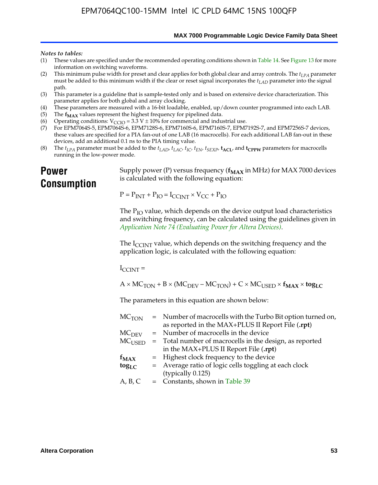**MAX 7000 Programmable Logic Device Family Data Sheet**

#### *Notes to tables:*

- (1) These values are specified under the recommended operating conditions shown in Table 14. See Figure 13 for more information on switching waveforms.
- (2) This minimum pulse width for preset and clear applies for both global clear and array controls. The  $t_{LPA}$  parameter must be added to this minimum width if the clear or reset signal incorporates the *tLAD* parameter into the signal path.
- (3) This parameter is a guideline that is sample-tested only and is based on extensive device characterization. This parameter applies for both global and array clocking.
- (4) These parameters are measured with a 16-bit loadable, enabled, up/down counter programmed into each LAB.
- (5) The  $f_{MAX}$  values represent the highest frequency for pipelined data.
- (6) Operating conditions:  $V_{\text{CCIO}} = 3.3 \text{ V} \pm 10\%$  for commercial and industrial use.
- (7) For EPM7064S-5, EPM7064S-6, EPM7128S-6, EPM7160S-6, EPM7160S-7, EPM7192S-7, and EPM7256S-7 devices, these values are specified for a PIA fan-out of one LAB (16 macrocells). For each additional LAB fan-out in these devices, add an additional 0.1 ns to the PIA timing value.
- (8) The  $t_{LPA}$  parameter must be added to the  $t_{LAD}$ ,  $t_{LAC}$ ,  $t_{IC}$ ,  $t_{EN}$ ,  $t_{SEXP}$ ,  $t_{ACL}$ , and  $t_{CPPW}$  parameters for macrocells running in the low-power mode.

# **Power Consumption**

[Supply power \(P\) versus frequency \(](http://www.altera.com/literature/an/an074.pdf) $f_{MAX}$  in MHz) for MAX 7000 devices is calculated with the following equation:

 $P = P_{INT} + P_{IO} = I_{CCLNT} \times V_{CC} + P_{IO}$ 

The  $P_{IO}$  value, which depends on the device output load characteristics and switching frequency, can be calculated using the guidelines given in *Application Note 74 (Evaluating Power for Altera Devices)*.

The  $I_{\text{CCINT}}$  value, which depends on the switching frequency and the application logic, is calculated with the following equation:

 $I_{\text{CCTNT}} =$ 

 $A \times MC_{TON} + B \times (MC_{DEFU} - MC_{TON}) + C \times MC_{LISED} \times f_{MAX} \times tog_{LC}$ 

The parameters in this equation are shown below:

| $MC$ <sub>TON</sub> | = Number of macrocells with the Turbo Bit option turned on,      |
|---------------------|------------------------------------------------------------------|
|                     | as reported in the MAX+PLUS II Report File (.rpt)                |
| MC <sub>DFV</sub>   | = Number of macrocells in the device                             |
|                     | $MCUSED$ = Total number of macrocells in the design, as reported |
|                     | in the MAX+PLUS II Report File (.rpt)                            |
| $f_{MAX}$           | = Highest clock frequency to the device                          |
| $tog_{LC}$          | = Average ratio of logic cells toggling at each clock            |
|                     | (typically 0.125)                                                |
| A, B, C             | $=$ Constants, shown in Table 39                                 |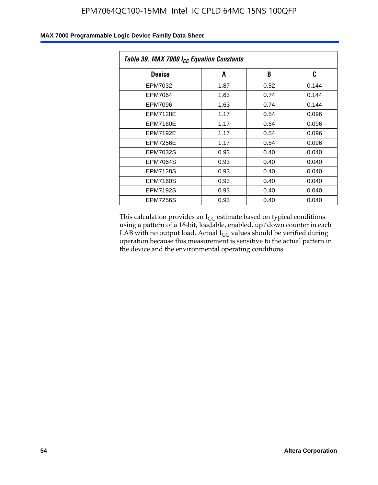| Table 39. MAX 7000 I <sub>CC</sub> Equation Constants |      |      |       |  |  |
|-------------------------------------------------------|------|------|-------|--|--|
| Device                                                | A    | B    | C     |  |  |
| EPM7032                                               | 1.87 | 0.52 | 0.144 |  |  |
| EPM7064                                               | 1.63 | 0.74 | 0.144 |  |  |
| EPM7096                                               | 1.63 | 0.74 | 0.144 |  |  |
| <b>EPM7128E</b>                                       | 1.17 | 0.54 | 0.096 |  |  |
| EPM7160E                                              | 1.17 | 0.54 | 0.096 |  |  |
| <b>EPM7192E</b>                                       | 1.17 | 0.54 | 0.096 |  |  |
| <b>EPM7256E</b>                                       | 1.17 | 0.54 | 0.096 |  |  |
| <b>EPM7032S</b>                                       | 0.93 | 0.40 | 0.040 |  |  |
| <b>EPM7064S</b>                                       | 0.93 | 0.40 | 0.040 |  |  |
| <b>EPM7128S</b>                                       | 0.93 | 0.40 | 0.040 |  |  |
| <b>EPM7160S</b>                                       | 0.93 | 0.40 | 0.040 |  |  |
| <b>EPM7192S</b>                                       | 0.93 | 0.40 | 0.040 |  |  |
| <b>EPM7256S</b>                                       | 0.93 | 0.40 | 0.040 |  |  |

This calculation provides an  $I_{CC}$  estimate based on typical conditions using a pattern of a 16-bit, loadable, enabled, up/down counter in each LAB with no output load. Actual  $I_{CC}$  values should be verified during operation because this measurement is sensitive to the actual pattern in the device and the environmental operating conditions.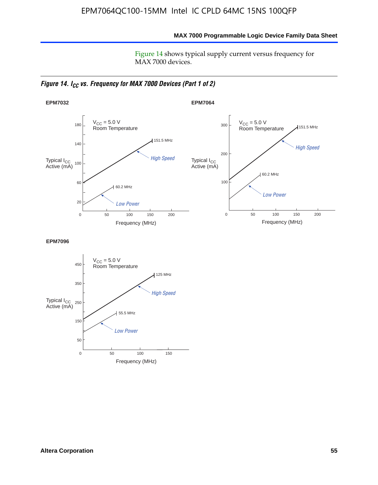**MAX 7000 Programmable Logic Device Family Data Sheet**

Figure 14 shows typical supply current versus frequency for MAX 7000 devices.

*Figure 14. I<sub>CC</sub> vs. Frequency for MAX 7000 Devices (Part 1 of 2)* 



**EPM7096**

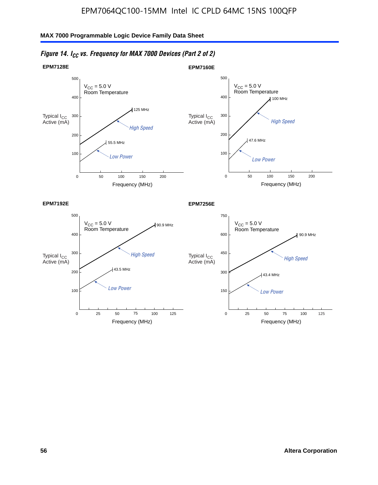#### $V_{CC}$  = 5.0 V Room Temperature 500 300 400 90.9 MHz **EPM7192E**  $V_{CC} = 5.0 V$ Room Temperature 750 450 600 90.9 MHz **EPM7256E**  $V_{CC}$  = 5.0 V Room Temperature 0 Frequency (MHz) 500 300 400 Low Power 200 100 50 100  $100$  MHz  $47.6$  MHz **EPM7160E** 150 200  $V_{CC}$  = 5.0 V Room Temperature  $\mathbf{0}$ Frequency (MHz) 500 300 400 High Speed 200 100 50 100 125 MHz 55.5 MHz **EPM7128E** 150 200 High Speed Typical  $\log \frac{1}{\log h}$  High Speed Typical  $\log \frac{450}{h}$  High Speed Low Power Typical I<sub>CC</sub><br>Active (mA) Active (mA) Typical I<sub>CC</sub><br>Active (mA) Typical I<sub>CC</sub><br>Active (mA)

0

300

150

### *Figure 14. I<sub>CC</sub> vs. Frequency for MAX 7000 Devices (Part 2 of 2)*

Frequency (MHz)

43.5 MHz

Low Power

75

25 50 100 125

Frequency (MHz)

25 50 100

43.4 MHz

Low Power

75

125

0

200

100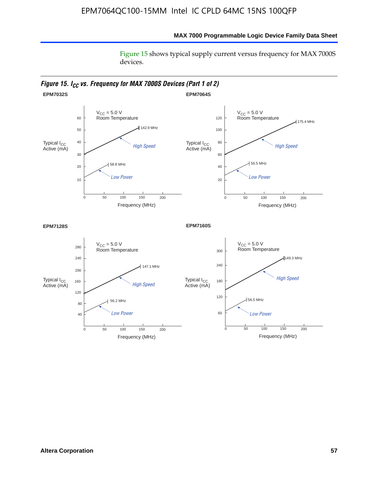Figure 15 shows typical supply current versus frequency for MAX 7000S devices.



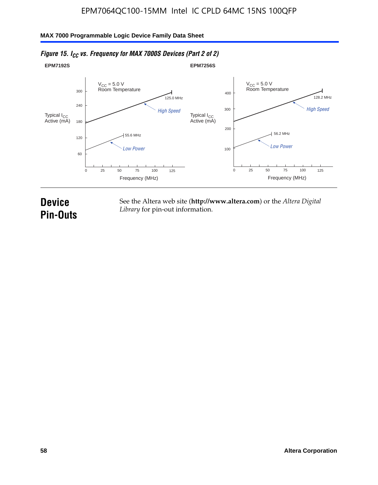#### **EPM7192S** V<sub>CC</sub> = 5.0 V<br>Room Temperature 0 Frequency (MHz) High Speed Low Power 25 100 125 125.0 MHz 55.6 MHz 60 120 180 240 300 50 75 **EPM7256S** V<sub>CC</sub> = 5.0 V<br>Room Temperature 0 Frequency (MHz) High Speed Low Power 25 100 125 128.2 MHz 56.2 MHz 100 200 300 400 50 75 Typical I<sub>CC</sub><br>Active (mA) Typical I<sub>CC</sub> Typical I<sub>CC</sub> Typical I<sub>C</sub> Typical I<sub>C</sub> Typical I<sub>C</sub> Typical I<sub>C</sub> Typical I<sub>C</sub> Typical I<sub>C</sub> Typical I<sub>C</sub> Typical I<sub>C</sub> Typical I<sub>C</sub> Typical I<sub>C</sub> Typical I<sub>C</sub> Typical I<sub>C</sub> Typical I<sub>C</sub> Typical I<sub>C</sub> Typical I<sub>C</sub> Typical I<sub>CC</sub><br>Active (mA)

### *Figure 15. I<sub>CC</sub> vs. Frequency for MAX 7000S Devices (Part 2 of 2)*

# **Device Pin-Outs**

See the Altera web site (**http://www.altera.com**) or the *Altera Digital Library* for pin-out information.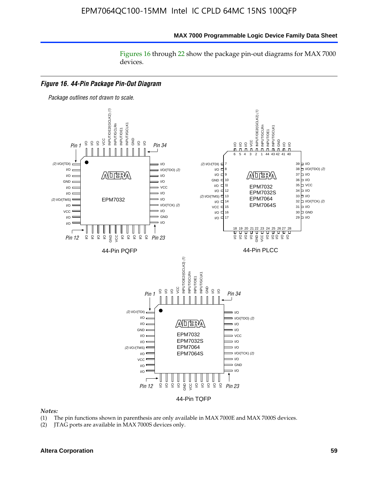Figures 16 through 22 show the package pin-out diagrams for MAX 7000 devices.



#### *Notes:*

- (1) The pin functions shown in parenthesis are only available in MAX 7000E and MAX 7000S devices.
- (2) JTAG ports are available in MAX 7000S devices only.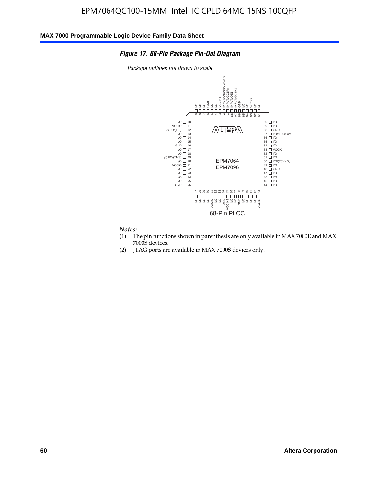### *Figure 17. 68-Pin Package Pin-Out Diagram*

*Package outlines not drawn to scale.*



#### *Notes:*

- (1) The pin functions shown in parenthesis are only available in MAX 7000E and MAX 7000S devices.
- (2) JTAG ports are available in MAX 7000S devices only.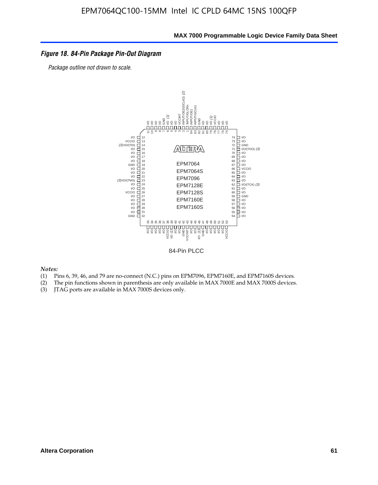### *Figure 18. 84-Pin Package Pin-Out Diagram*

*Package outline not drawn to scale.*



84-Pin PLCC

*Notes:*

- (1) Pins 6, 39, 46, and 79 are no-connect (N.C.) pins on EPM7096, EPM7160E, and EPM7160S devices.
- (2) The pin functions shown in parenthesis are only available in MAX 7000E and MAX 7000S devices.
-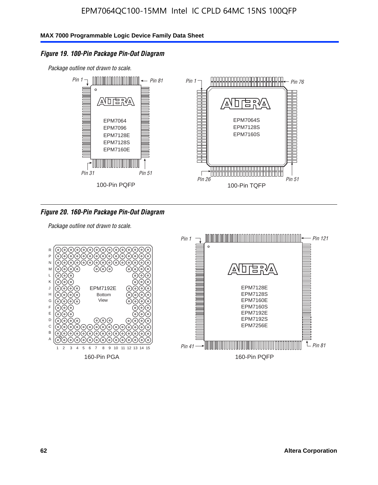### *Figure 19. 100-Pin Package Pin-Out Diagram*

*Package outline not drawn to scale.*



*Figure 20. 160-Pin Package Pin-Out Diagram*

*Package outline not drawn to scale.*

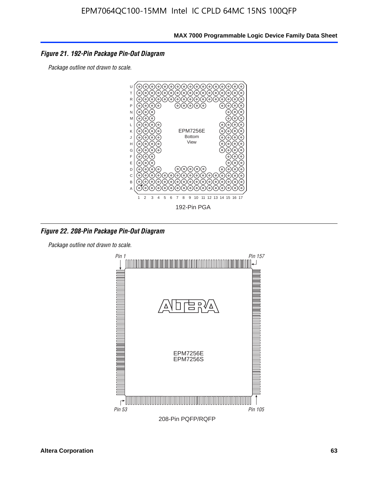### *Figure 21. 192-Pin Package Pin-Out Diagram*

*Package outline not drawn to scale.*



*Figure 22. 208-Pin Package Pin-Out Diagram*

*Package outline not drawn to scale.*

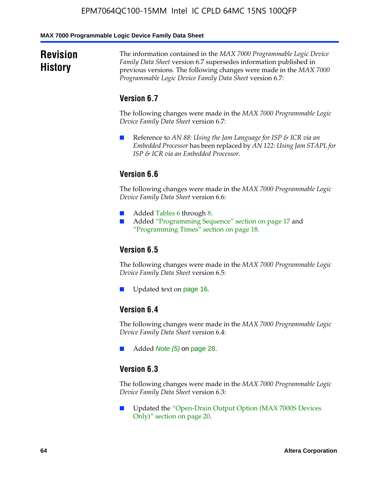#### **MAX 7000 Programmable Logic Device Family Data Sheet**

# **Revision History**

The information contained in the *MAX 7000 Programmable Logic Device Family Data Sheet* version 6.7 supersedes information published in previous versions. The following changes were made in the *MAX 7000 Programmable Logic Device Family Data Sheet* version 6.7:

### **Version 6.7**

The following changes were made in the *MAX 7000 Programmable Logic Device Family Data Sheet* version 6.7:

■ Reference to *AN 88: Using the Jam Language for ISP & ICR via an Embedded Processor* has been replaced by *AN 122: Using Jam STAPL for ISP & ICR via an Embedded Processor*.

# **Version 6.6**

The following changes were made in the *MAX 7000 Programmable Logic Device Family Data Sheet* version 6.6:

- Added Tables 6 through 8.
- Added "Programming Sequence" section on page 17 and "Programming Times" section on page 18.

### **Version 6.5**

The following changes were made in the *MAX 7000 Programmable Logic Device Family Data Sheet* version 6.5:

Updated text on page 16.

# **Version 6.4**

The following changes were made in the *MAX 7000 Programmable Logic Device Family Data Sheet* version 6.4:

■ Added *Note (5)* on page 28.

### **Version 6.3**

The following changes were made in the *MAX 7000 Programmable Logic Device Family Data Sheet* version 6.3:

■ Updated the "Open-Drain Output Option (MAX 7000S Devices Only)" section on page 20.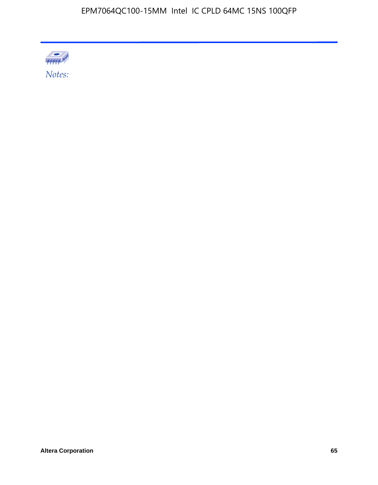

Altera Corporation 65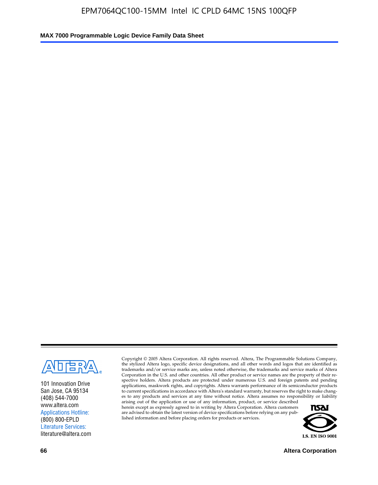

101 Innovation Drive San Jose, CA 95134 (408) 544-7000 www.altera.com Applications Hotline: (800) 800-EPLD Literature Services: literature@altera.com

Copyright © 2005 Altera Corporation. All rights reserved. Altera, The Programmable Solutions Company, the stylized Altera logo, specific device designations, and all other words and logos that are identified as trademarks and/or service marks are, unless noted otherwise, the trademarks and service marks of Altera Corporation in the U.S. and other countries. All other product or service names are the property of their respective holders. Altera products are protected under numerous U.S. and foreign patents and pending applications, maskwork rights, and copyrights. Altera warrants performance of its semiconductor products to current specifications in accordance with Altera's standard warranty, but reserves the right to make changes to any products and services at any time without notice. Altera assumes no responsibility or liability

arising out of the application or use of any information, product, or service described herein except as expressly agreed to in writing by Altera Corporation. Altera customers are advised to obtain the latest version of device specifications before relying on any published information and before placing orders for products or services.



**66 Altera Corporation**